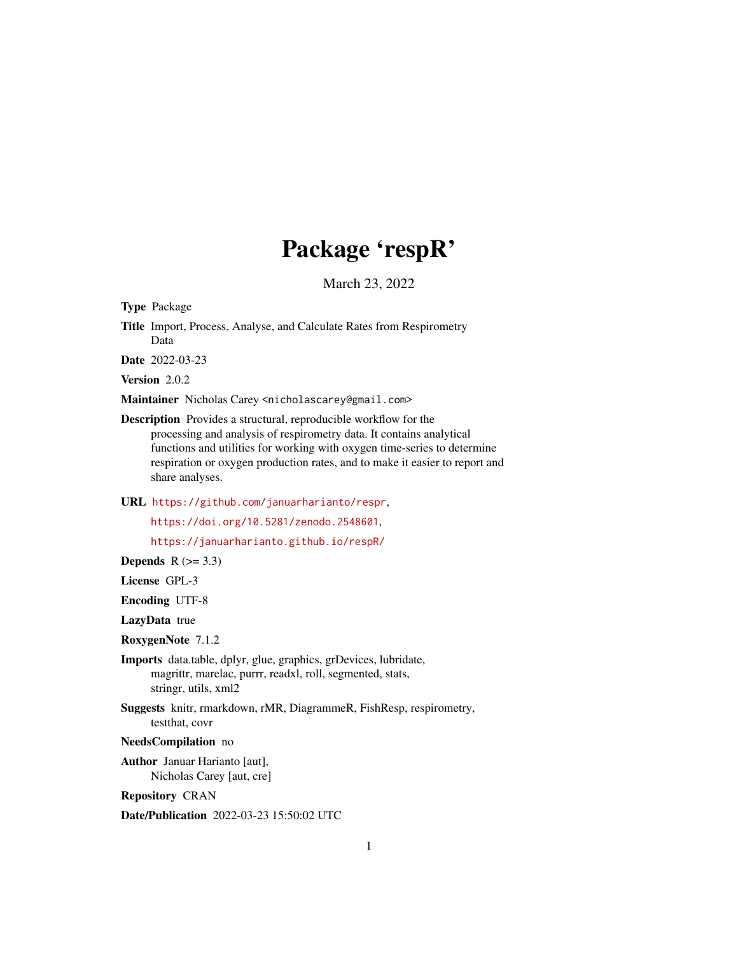# Package 'respR'

March 23, 2022

Type Package

Title Import, Process, Analyse, and Calculate Rates from Respirometry Data

Date 2022-03-23

Version 2.0.2

Maintainer Nicholas Carey <nicholascarey@gmail.com>

Description Provides a structural, reproducible workflow for the processing and analysis of respirometry data. It contains analytical functions and utilities for working with oxygen time-series to determine respiration or oxygen production rates, and to make it easier to report and share analyses.

URL <https://github.com/januarharianto/respr>,

<https://doi.org/10.5281/zenodo.2548601>,

<https://januarharianto.github.io/respR/>

Depends  $R$  ( $>= 3.3$ )

License GPL-3

Encoding UTF-8

LazyData true

RoxygenNote 7.1.2

Imports data.table, dplyr, glue, graphics, grDevices, lubridate, magrittr, marelac, purrr, readxl, roll, segmented, stats, stringr, utils, xml2

Suggests knitr, rmarkdown, rMR, DiagrammeR, FishResp, respirometry, testthat, covr

NeedsCompilation no

Author Januar Harianto [aut], Nicholas Carey [aut, cre]

Repository CRAN

Date/Publication 2022-03-23 15:50:02 UTC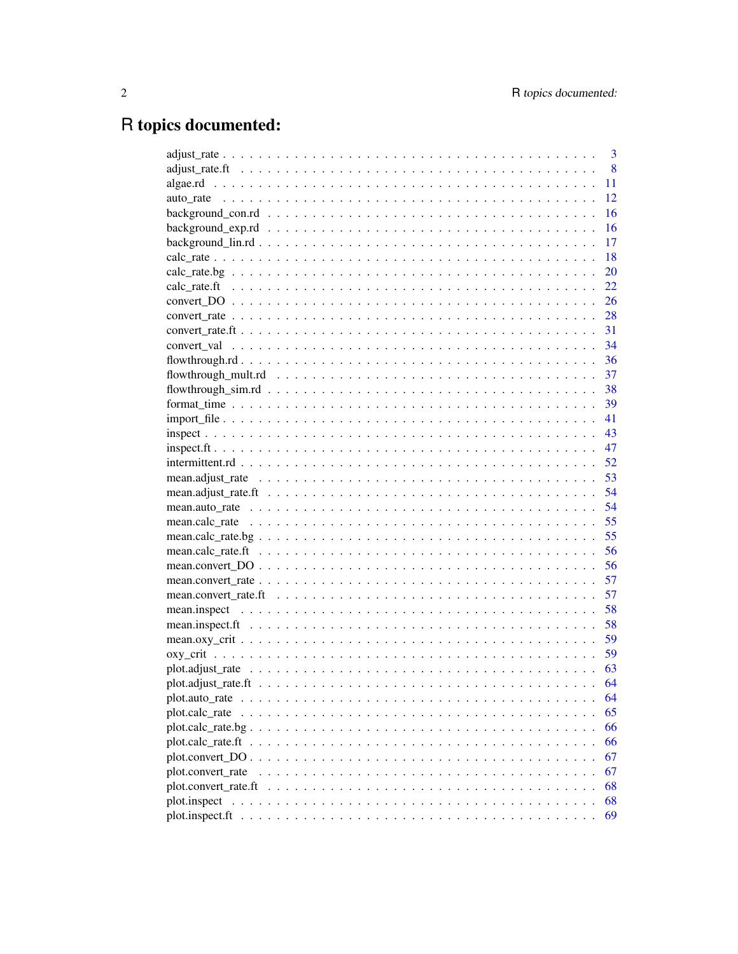# R topics documented:

|                                                                                                                                                                                                                                               | 3    |
|-----------------------------------------------------------------------------------------------------------------------------------------------------------------------------------------------------------------------------------------------|------|
|                                                                                                                                                                                                                                               | 8    |
|                                                                                                                                                                                                                                               | 11   |
|                                                                                                                                                                                                                                               | 12   |
|                                                                                                                                                                                                                                               | 16   |
|                                                                                                                                                                                                                                               | 16   |
|                                                                                                                                                                                                                                               | 17   |
|                                                                                                                                                                                                                                               | 18   |
|                                                                                                                                                                                                                                               | 20   |
|                                                                                                                                                                                                                                               | 22   |
|                                                                                                                                                                                                                                               | 26   |
|                                                                                                                                                                                                                                               | 28   |
|                                                                                                                                                                                                                                               | 31   |
|                                                                                                                                                                                                                                               | 34   |
|                                                                                                                                                                                                                                               |      |
|                                                                                                                                                                                                                                               |      |
|                                                                                                                                                                                                                                               |      |
|                                                                                                                                                                                                                                               |      |
|                                                                                                                                                                                                                                               | -41  |
|                                                                                                                                                                                                                                               | 43   |
|                                                                                                                                                                                                                                               | 47   |
|                                                                                                                                                                                                                                               | 52   |
|                                                                                                                                                                                                                                               | 53   |
|                                                                                                                                                                                                                                               | 54   |
|                                                                                                                                                                                                                                               | 54   |
|                                                                                                                                                                                                                                               | 55   |
|                                                                                                                                                                                                                                               | 55   |
|                                                                                                                                                                                                                                               | 56   |
|                                                                                                                                                                                                                                               | 56   |
|                                                                                                                                                                                                                                               | 57   |
| mean.convert_rate.ft $\dots \dots \dots \dots \dots \dots \dots \dots \dots \dots \dots \dots \dots \dots \dots \dots \dots$                                                                                                                  | 57   |
|                                                                                                                                                                                                                                               | 58   |
|                                                                                                                                                                                                                                               | 58   |
|                                                                                                                                                                                                                                               | 59   |
|                                                                                                                                                                                                                                               | - 59 |
|                                                                                                                                                                                                                                               | 63   |
|                                                                                                                                                                                                                                               | 64   |
|                                                                                                                                                                                                                                               | 64   |
| plot.calc_rate                                                                                                                                                                                                                                | 65   |
|                                                                                                                                                                                                                                               | 66   |
|                                                                                                                                                                                                                                               | 66   |
|                                                                                                                                                                                                                                               | 67   |
| plot.convert rate                                                                                                                                                                                                                             | 67   |
| $plot.convert\_rate.ff \dots \dots \dots \dots \dots \dots \dots \dots \dots \dots \dots \dots \dots \dots \dots$                                                                                                                             | 68   |
| plot.inspect<br>and a constitution of the construction of the constitution of the construction of the construction of the construction of the construction of the construction of the construction of the construction of the construction of | 68   |
|                                                                                                                                                                                                                                               | 69   |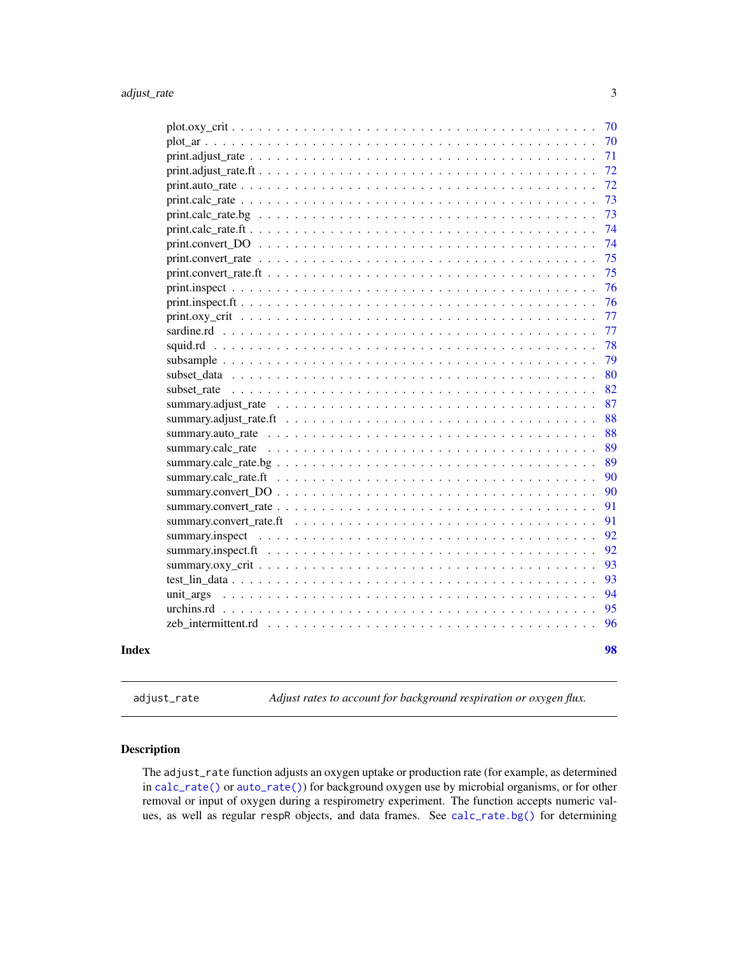<span id="page-2-0"></span>

| 70                                                                                                                  |    |
|---------------------------------------------------------------------------------------------------------------------|----|
|                                                                                                                     |    |
|                                                                                                                     | 71 |
|                                                                                                                     | 72 |
|                                                                                                                     | 72 |
|                                                                                                                     | 73 |
|                                                                                                                     | 73 |
|                                                                                                                     | 74 |
| print.convert $DO \dots \dots \dots \dots \dots \dots \dots \dots \dots \dots \dots \dots \dots \dots \dots$        | 74 |
|                                                                                                                     | 75 |
|                                                                                                                     | 75 |
|                                                                                                                     | 76 |
|                                                                                                                     | 76 |
|                                                                                                                     | 77 |
|                                                                                                                     | 77 |
|                                                                                                                     | 78 |
|                                                                                                                     | 79 |
|                                                                                                                     | 80 |
| subset rate                                                                                                         | 82 |
| summary.adjust rate $\ldots \ldots \ldots \ldots \ldots \ldots \ldots \ldots \ldots \ldots \ldots \ldots \ldots$    | 87 |
|                                                                                                                     | 88 |
|                                                                                                                     | 88 |
|                                                                                                                     | 89 |
|                                                                                                                     | 89 |
|                                                                                                                     | 90 |
| summary.convert $DO \dots \dots \dots \dots \dots \dots \dots \dots \dots \dots \dots \dots \dots \dots$            | 90 |
|                                                                                                                     | 91 |
|                                                                                                                     | 91 |
|                                                                                                                     | 92 |
|                                                                                                                     | 92 |
|                                                                                                                     | 93 |
|                                                                                                                     | 93 |
| unit args                                                                                                           | 94 |
|                                                                                                                     | 95 |
| $zeb_$ intermittent.rd $\ldots \ldots \ldots \ldots \ldots \ldots \ldots \ldots \ldots \ldots \ldots \ldots \ldots$ | 96 |
| Index                                                                                                               | 98 |

<span id="page-2-1"></span>adjust\_rate *Adjust rates to account for background respiration or oxygen flux.*

# Description

The adjust\_rate function adjusts an oxygen uptake or production rate (for example, as determined in [calc\\_rate\(\)](#page-17-1) or [auto\\_rate\(\)](#page-11-1)) for background oxygen use by microbial organisms, or for other removal or input of oxygen during a respirometry experiment. The function accepts numeric values, as well as regular respR objects, and data frames. See [calc\\_rate.bg\(\)](#page-19-1) for determining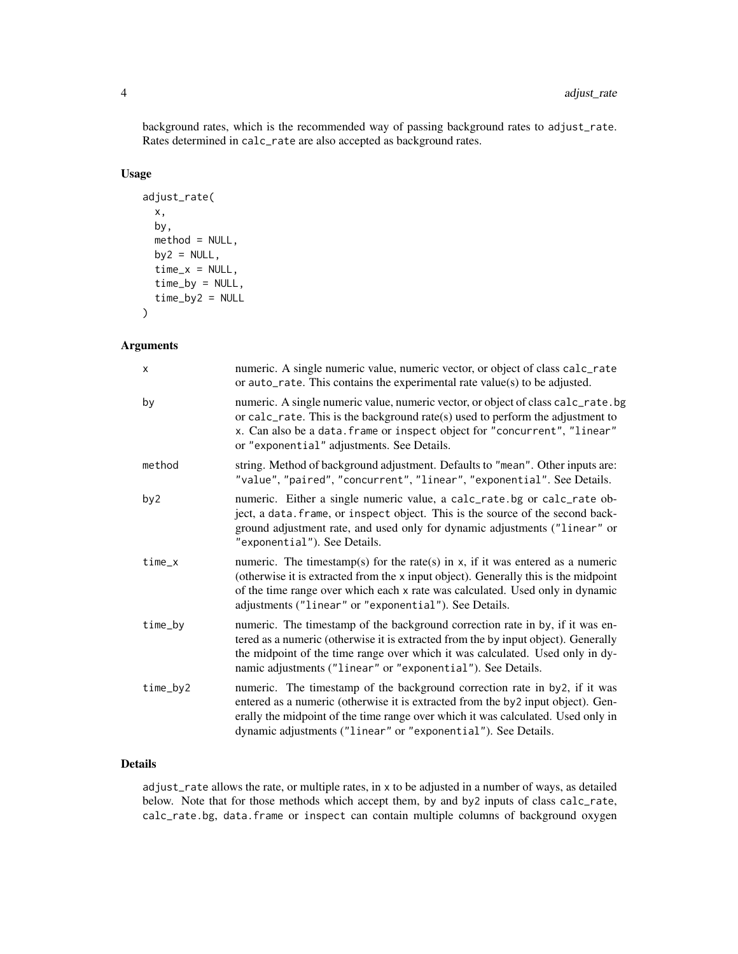background rates, which is the recommended way of passing background rates to adjust\_rate. Rates determined in calc\_rate are also accepted as background rates.

# Usage

```
adjust_rate(
 x,
 by,
 method = NULL,
 by2 = NULL,time_x = NULL,time_by = NULL,
  time_by2 = NULL\mathcal{E}
```
# Arguments

| $\times$ | numeric. A single numeric value, numeric vector, or object of class calc_rate<br>or $auto_rate$ . This contains the experimental rate value(s) to be adjusted.                                                                                                                                                       |
|----------|----------------------------------------------------------------------------------------------------------------------------------------------------------------------------------------------------------------------------------------------------------------------------------------------------------------------|
| by       | numeric. A single numeric value, numeric vector, or object of class calc_rate.bg<br>or calc_rate. This is the background rate(s) used to perform the adjustment to<br>x. Can also be a data. frame or inspect object for "concurrent", "linear"<br>or "exponential" adjustments. See Details.                        |
| method   | string. Method of background adjustment. Defaults to "mean". Other inputs are:<br>"value", "paired", "concurrent", "linear", "exponential". See Details.                                                                                                                                                             |
| by2      | numeric. Either a single numeric value, a calc_rate.bg or calc_rate ob-<br>ject, a data. frame, or inspect object. This is the source of the second back-<br>ground adjustment rate, and used only for dynamic adjustments ("linear" or<br>"exponential"). See Details.                                              |
| $time_x$ | numeric. The timestamp(s) for the rate(s) in $x$ , if it was entered as a numeric<br>(otherwise it is extracted from the x input object). Generally this is the midpoint<br>of the time range over which each x rate was calculated. Used only in dynamic<br>adjustments ("linear" or "exponential"). See Details.   |
| time_by  | numeric. The timestamp of the background correction rate in by, if it was en-<br>tered as a numeric (otherwise it is extracted from the by input object). Generally<br>the midpoint of the time range over which it was calculated. Used only in dy-<br>namic adjustments ("linear" or "exponential"). See Details.  |
| time_by2 | numeric. The timestamp of the background correction rate in by 2, if it was<br>entered as a numeric (otherwise it is extracted from the by2 input object). Gen-<br>erally the midpoint of the time range over which it was calculated. Used only in<br>dynamic adjustments ("linear" or "exponential"). See Details. |

# Details

adjust\_rate allows the rate, or multiple rates, in x to be adjusted in a number of ways, as detailed below. Note that for those methods which accept them, by and by2 inputs of class calc\_rate, calc\_rate.bg, data.frame or inspect can contain multiple columns of background oxygen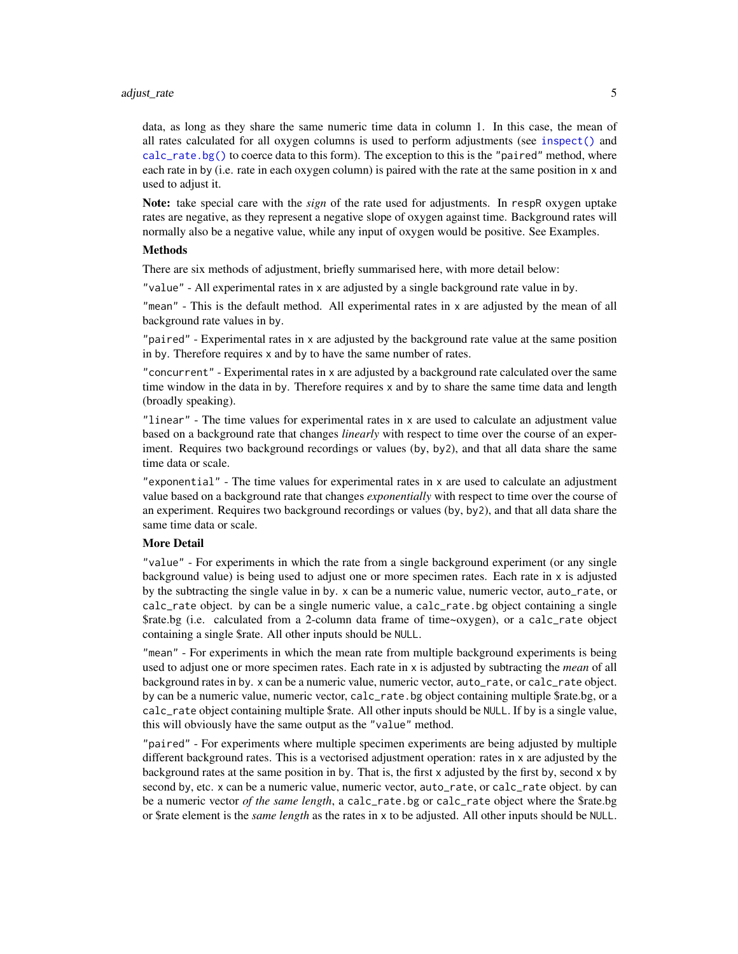#### adjust\_rate 5

data, as long as they share the same numeric time data in column 1. In this case, the mean of all rates calculated for all oxygen columns is used to perform adjustments (see [inspect\(\)](#page-42-1) and [calc\\_rate.bg\(\)](#page-19-1) to coerce data to this form). The exception to this is the "paired" method, where each rate in by (i.e. rate in each oxygen column) is paired with the rate at the same position in x and used to adjust it.

Note: take special care with the *sign* of the rate used for adjustments. In respR oxygen uptake rates are negative, as they represent a negative slope of oxygen against time. Background rates will normally also be a negative value, while any input of oxygen would be positive. See Examples.

# **Methods**

There are six methods of adjustment, briefly summarised here, with more detail below:

"value" - All experimental rates in x are adjusted by a single background rate value in by.

"mean" - This is the default method. All experimental rates in x are adjusted by the mean of all background rate values in by.

"paired" - Experimental rates in x are adjusted by the background rate value at the same position in by. Therefore requires x and by to have the same number of rates.

"concurrent" - Experimental rates in x are adjusted by a background rate calculated over the same time window in the data in by. Therefore requires x and by to share the same time data and length (broadly speaking).

"linear" - The time values for experimental rates in x are used to calculate an adjustment value based on a background rate that changes *linearly* with respect to time over the course of an experiment. Requires two background recordings or values (by, by2), and that all data share the same time data or scale.

"exponential" - The time values for experimental rates in x are used to calculate an adjustment value based on a background rate that changes *exponentially* with respect to time over the course of an experiment. Requires two background recordings or values (by, by2), and that all data share the same time data or scale.

# More Detail

"value" - For experiments in which the rate from a single background experiment (or any single background value) is being used to adjust one or more specimen rates. Each rate in x is adjusted by the subtracting the single value in by. x can be a numeric value, numeric vector, auto\_rate, or calc\_rate object. by can be a single numeric value, a calc\_rate.bg object containing a single \$rate.bg (i.e. calculated from a 2-column data frame of time~oxygen), or a calc\_rate object containing a single \$rate. All other inputs should be NULL.

"mean" - For experiments in which the mean rate from multiple background experiments is being used to adjust one or more specimen rates. Each rate in x is adjusted by subtracting the *mean* of all background rates in by. x can be a numeric value, numeric vector, auto\_rate, or calc\_rate object. by can be a numeric value, numeric vector, calc\_rate.bg object containing multiple \$rate.bg, or a calc\_rate object containing multiple \$rate. All other inputs should be NULL. If by is a single value, this will obviously have the same output as the "value" method.

"paired" - For experiments where multiple specimen experiments are being adjusted by multiple different background rates. This is a vectorised adjustment operation: rates in x are adjusted by the background rates at the same position in by. That is, the first x adjusted by the first by, second x by second by, etc. x can be a numeric value, numeric vector, auto\_rate, or calc\_rate object. by can be a numeric vector *of the same length*, a calc\_rate.bg or calc\_rate object where the \$rate.bg or \$rate element is the *same length* as the rates in x to be adjusted. All other inputs should be NULL.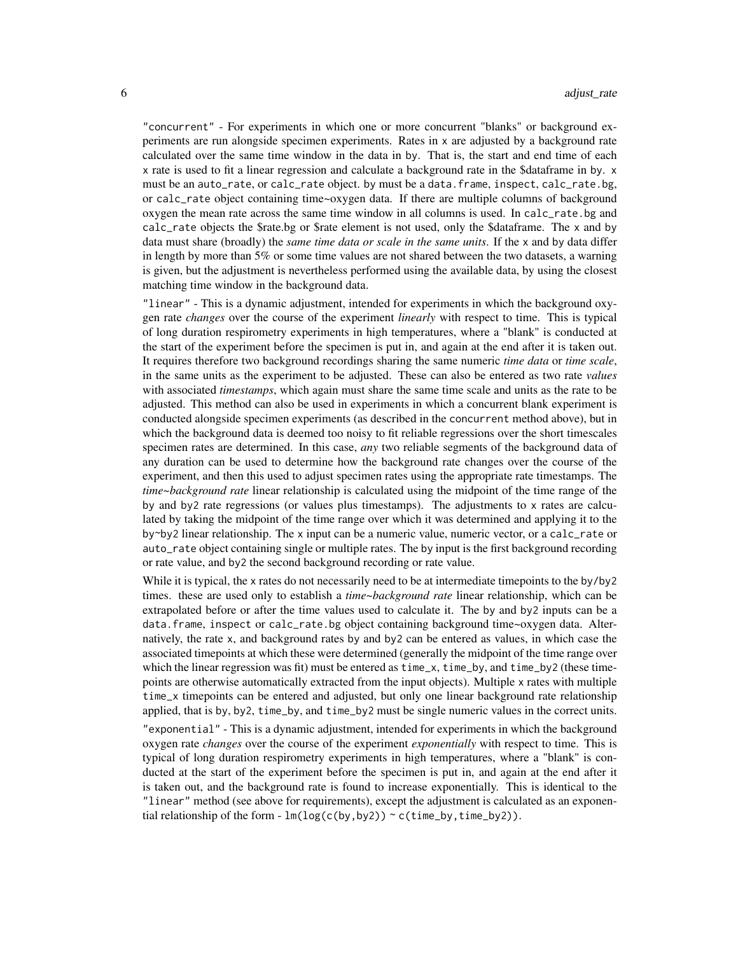"concurrent" - For experiments in which one or more concurrent "blanks" or background experiments are run alongside specimen experiments. Rates in x are adjusted by a background rate calculated over the same time window in the data in by. That is, the start and end time of each x rate is used to fit a linear regression and calculate a background rate in the \$dataframe in by. x must be an auto\_rate, or calc\_rate object. by must be a data.frame, inspect, calc\_rate.bg, or calc\_rate object containing time~oxygen data. If there are multiple columns of background oxygen the mean rate across the same time window in all columns is used. In calc\_rate.bg and calc\_rate objects the \$rate.bg or \$rate element is not used, only the \$dataframe. The x and by data must share (broadly) the *same time data or scale in the same units*. If the x and by data differ in length by more than 5% or some time values are not shared between the two datasets, a warning is given, but the adjustment is nevertheless performed using the available data, by using the closest matching time window in the background data.

"linear" - This is a dynamic adjustment, intended for experiments in which the background oxygen rate *changes* over the course of the experiment *linearly* with respect to time. This is typical of long duration respirometry experiments in high temperatures, where a "blank" is conducted at the start of the experiment before the specimen is put in, and again at the end after it is taken out. It requires therefore two background recordings sharing the same numeric *time data* or *time scale*, in the same units as the experiment to be adjusted. These can also be entered as two rate *values* with associated *timestamps*, which again must share the same time scale and units as the rate to be adjusted. This method can also be used in experiments in which a concurrent blank experiment is conducted alongside specimen experiments (as described in the concurrent method above), but in which the background data is deemed too noisy to fit reliable regressions over the short timescales specimen rates are determined. In this case, *any* two reliable segments of the background data of any duration can be used to determine how the background rate changes over the course of the experiment, and then this used to adjust specimen rates using the appropriate rate timestamps. The *time~background rate* linear relationship is calculated using the midpoint of the time range of the by and by2 rate regressions (or values plus timestamps). The adjustments to x rates are calculated by taking the midpoint of the time range over which it was determined and applying it to the by~by2 linear relationship. The x input can be a numeric value, numeric vector, or a calc\_rate or auto\_rate object containing single or multiple rates. The by input is the first background recording or rate value, and by2 the second background recording or rate value.

While it is typical, the x rates do not necessarily need to be at intermediate timepoints to the by/by2 times. these are used only to establish a *time~background rate* linear relationship, which can be extrapolated before or after the time values used to calculate it. The by and by2 inputs can be a data.frame, inspect or calc\_rate.bg object containing background time~oxygen data. Alternatively, the rate x, and background rates by and by2 can be entered as values, in which case the associated timepoints at which these were determined (generally the midpoint of the time range over which the linear regression was fit) must be entered as  $time_x$ ,  $time_by$ , and  $time_by$ ? (these timepoints are otherwise automatically extracted from the input objects). Multiple x rates with multiple time\_x timepoints can be entered and adjusted, but only one linear background rate relationship applied, that is by, by 2, time\_by, and time\_by2 must be single numeric values in the correct units.

"exponential" - This is a dynamic adjustment, intended for experiments in which the background oxygen rate *changes* over the course of the experiment *exponentially* with respect to time. This is typical of long duration respirometry experiments in high temperatures, where a "blank" is conducted at the start of the experiment before the specimen is put in, and again at the end after it is taken out, and the background rate is found to increase exponentially. This is identical to the "linear" method (see above for requirements), except the adjustment is calculated as an exponential relationship of the form -  $lm(log(c(by,by2)) \sim c(time_by,time_by2)).$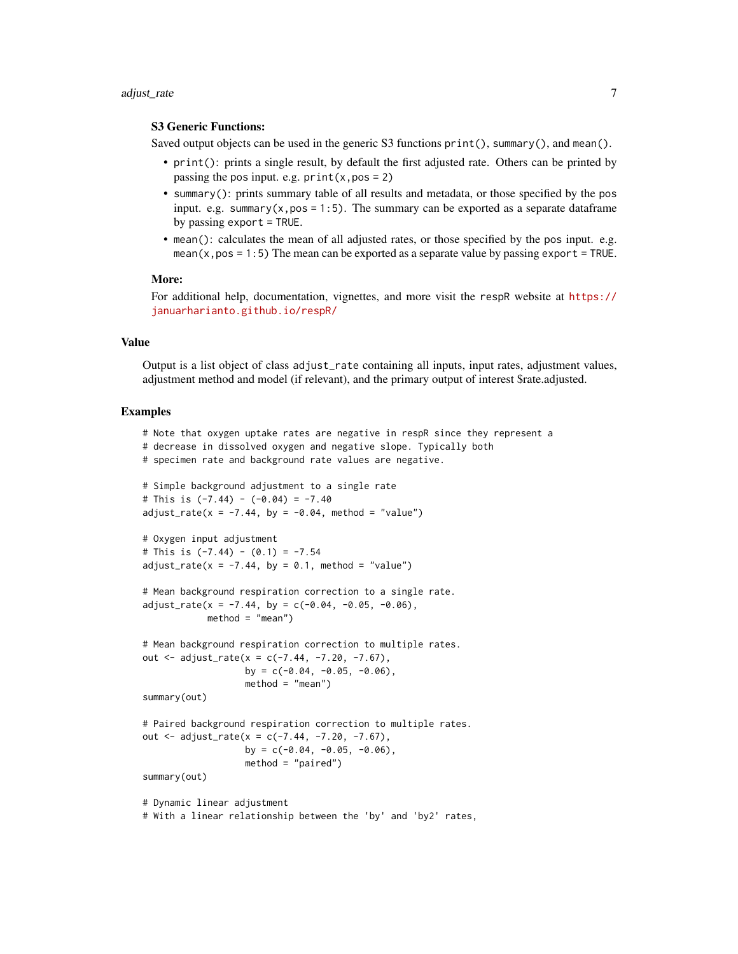#### adjust\_rate 7

# S3 Generic Functions:

Saved output objects can be used in the generic S3 functions print(), summary(), and mean().

- print(): prints a single result, by default the first adjusted rate. Others can be printed by passing the pos input. e.g.  $print(x, pos = 2)$
- summary(): prints summary table of all results and metadata, or those specified by the pos input. e.g. summary $(x, pos = 1:5)$ . The summary can be exported as a separate dataframe by passing export = TRUE.
- mean(): calculates the mean of all adjusted rates, or those specified by the pos input. e.g. mean(x,  $pos = 1:5$ ) The mean can be exported as a separate value by passing export = TRUE.

#### More:

For additional help, documentation, vignettes, and more visit the respR website at [https://](https://januarharianto.github.io/respR/) [januarharianto.github.io/respR/](https://januarharianto.github.io/respR/)

# Value

Output is a list object of class adjust\_rate containing all inputs, input rates, adjustment values, adjustment method and model (if relevant), and the primary output of interest \$rate.adjusted.

```
# Note that oxygen uptake rates are negative in respR since they represent a
# decrease in dissolved oxygen and negative slope. Typically both
# specimen rate and background rate values are negative.
# Simple background adjustment to a single rate
# This is (-7.44) - (-0.04) = -7.40adjust_rate(x = -7.44, by = -0.04, method = "value")# Oxygen input adjustment
# This is (-7.44) - (0.1) = -7.54adjust_rate(x = -7.44, by = 0.1, method = "value")# Mean background respiration correction to a single rate.
adjust_rate(x = -7.44, by = c(-0.04, -0.05, -0.06),method = "mean")
# Mean background respiration correction to multiple rates.
out \leq adjust_rate(x = c(-7.44, -7.20, -7.67),
                  by = c(-0.04, -0.05, -0.06),
                  method = "mean")summary(out)
# Paired background respiration correction to multiple rates.
out \leq adjust_rate(x = c(-7.44, -7.20, -7.67),
                  by = c(-0.04, -0.05, -0.06),
                  method = "paired")
summary(out)
# Dynamic linear adjustment
# With a linear relationship between the 'by' and 'by2' rates,
```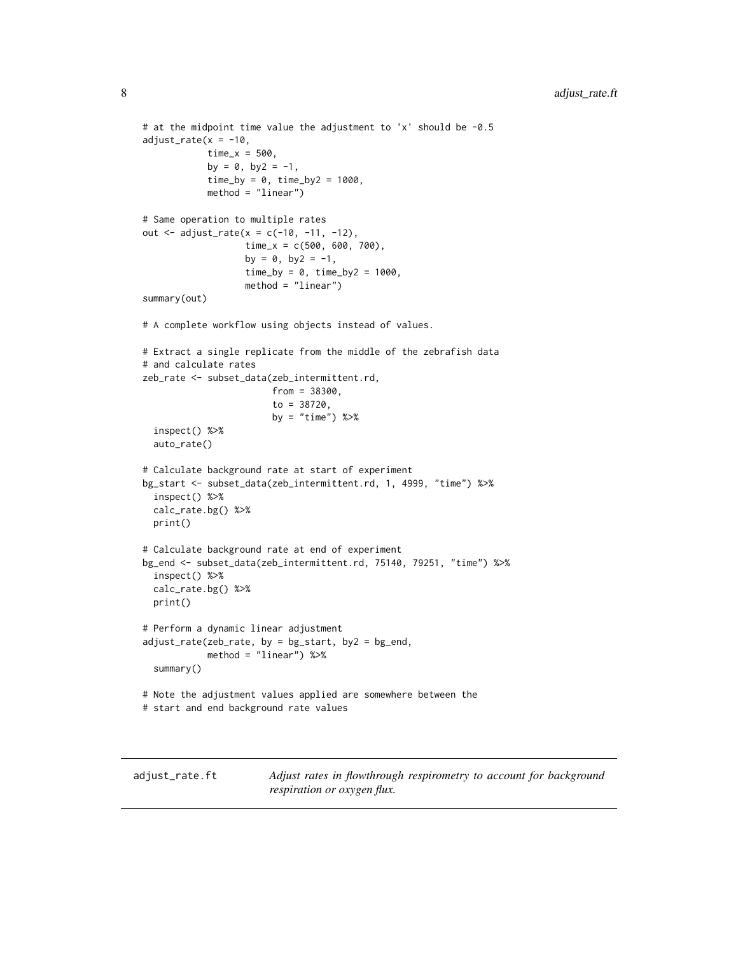```
# at the midpoint time value the adjustment to 'x' should be -0.5
adjust_rate(x = -10,time_x = 500,
            by = 0, by2 = -1,time_by = 0, time_by2 = 1000,
            method = "linear")
# Same operation to multiple rates
out \leq adjust_rate(x = c(-10, -11, -12),
                   time_x = c(500, 600, 700),
                   by = 0, by2 = -1,time_by = 0, time_by2 = 1000,
                   method = "linear")
summary(out)
# A complete workflow using objects instead of values.
# Extract a single replicate from the middle of the zebrafish data
# and calculate rates
zeb_rate <- subset_data(zeb_intermittent.rd,
                        from = 38300,to = 38720,
                        by = "time") %>%
 inspect() %>%
 auto_rate()
# Calculate background rate at start of experiment
bg_start <- subset_data(zeb_intermittent.rd, 1, 4999, "time") %>%
 inspect() %>%
 calc_rate.bg() %>%
 print()
# Calculate background rate at end of experiment
bg_end <- subset_data(zeb_intermittent.rd, 75140, 79251, "time") %>%
 inspect() %>%
 calc_rate.bg() %>%
 print()
# Perform a dynamic linear adjustment
adjust_rate(zeb_rate, by = bg-start, by2 = bg-end,method = "linear") %>%
 summary()
# Note the adjustment values applied are somewhere between the
# start and end background rate values
```
<span id="page-7-1"></span>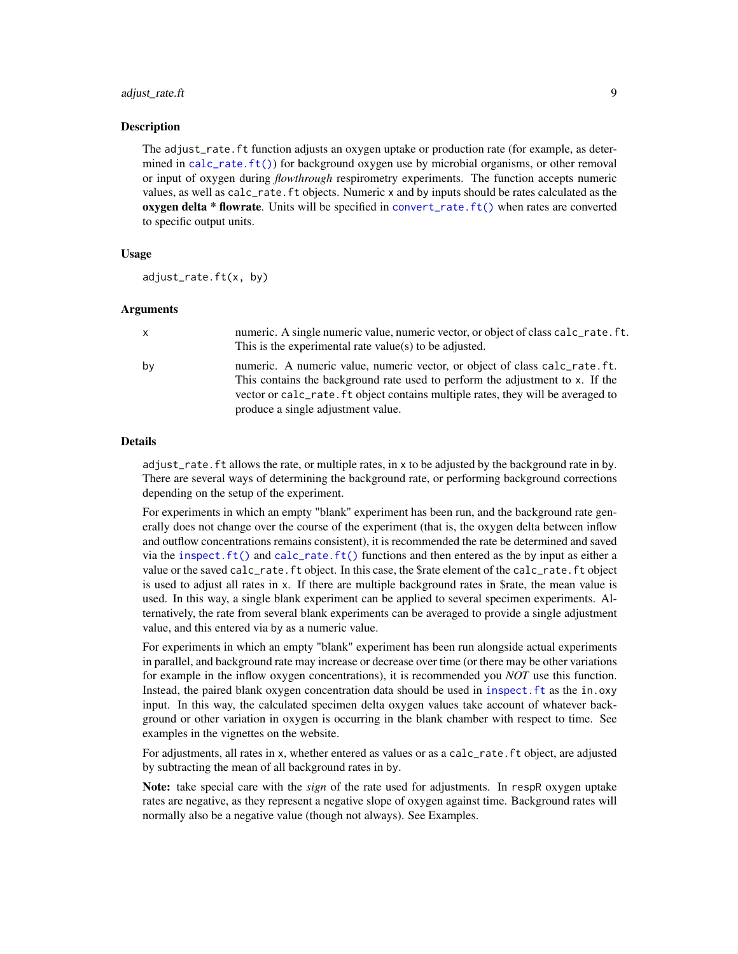# adjust\_rate.ft 9

#### Description

The adjust\_rate.ft function adjusts an oxygen uptake or production rate (for example, as determined in [calc\\_rate.ft\(\)](#page-21-1)) for background oxygen use by microbial organisms, or other removal or input of oxygen during *flowthrough* respirometry experiments. The function accepts numeric values, as well as calc\_rate.ft objects. Numeric x and by inputs should be rates calculated as the **oxygen delta \* flowrate.** Units will be specified in convert\_rate.  $ft()$  when rates are converted to specific output units.

#### Usage

adjust\_rate.ft(x, by)

# Arguments

| x  | numeric. A single numeric value, numeric vector, or object of class calc_rate. ft.<br>This is the experimental rate value(s) to be adjusted.                                                                                                                                          |
|----|---------------------------------------------------------------------------------------------------------------------------------------------------------------------------------------------------------------------------------------------------------------------------------------|
| by | numeric. A numeric value, numeric vector, or object of class calc_rate.ft.<br>This contains the background rate used to perform the adjustment to x. If the<br>vector or calc_rate. ft object contains multiple rates, they will be averaged to<br>produce a single adjustment value. |

## Details

adjust\_rate.ft allows the rate, or multiple rates, in x to be adjusted by the background rate in by. There are several ways of determining the background rate, or performing background corrections depending on the setup of the experiment.

For experiments in which an empty "blank" experiment has been run, and the background rate generally does not change over the course of the experiment (that is, the oxygen delta between inflow and outflow concentrations remains consistent), it is recommended the rate be determined and saved via the [inspect.ft\(\)](#page-46-1) and [calc\\_rate.ft\(\)](#page-21-1) functions and then entered as the by input as either a value or the saved calc\_rate.ft object. In this case, the \$rate element of the calc\_rate.ft object is used to adjust all rates in x. If there are multiple background rates in \$rate, the mean value is used. In this way, a single blank experiment can be applied to several specimen experiments. Alternatively, the rate from several blank experiments can be averaged to provide a single adjustment value, and this entered via by as a numeric value.

For experiments in which an empty "blank" experiment has been run alongside actual experiments in parallel, and background rate may increase or decrease over time (or there may be other variations for example in the inflow oxygen concentrations), it is recommended you *NOT* use this function. Instead, the paired blank oxygen concentration data should be used in [inspect.ft](#page-46-1) as the in.oxy input. In this way, the calculated specimen delta oxygen values take account of whatever background or other variation in oxygen is occurring in the blank chamber with respect to time. See examples in the vignettes on the website.

For adjustments, all rates in x, whether entered as values or as a calc\_rate.ft object, are adjusted by subtracting the mean of all background rates in by.

Note: take special care with the *sign* of the rate used for adjustments. In respR oxygen uptake rates are negative, as they represent a negative slope of oxygen against time. Background rates will normally also be a negative value (though not always). See Examples.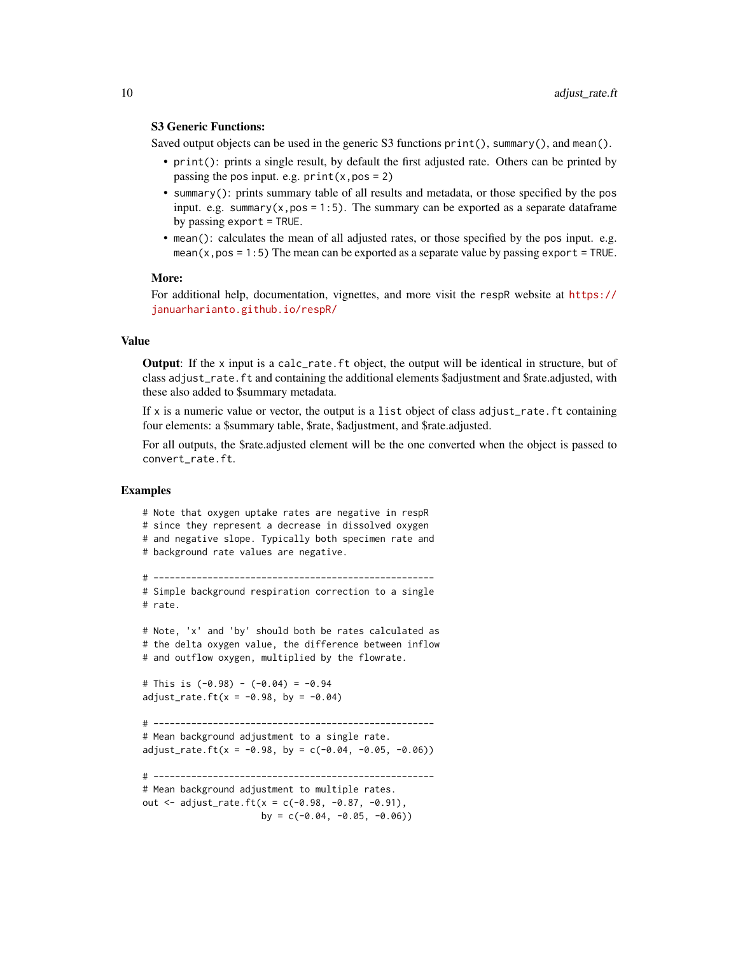# S3 Generic Functions:

Saved output objects can be used in the generic S3 functions print(), summary(), and mean().

- print(): prints a single result, by default the first adjusted rate. Others can be printed by passing the pos input. e.g.  $print(x, pos = 2)$
- summary(): prints summary table of all results and metadata, or those specified by the pos input. e.g. summary $(x, pos = 1:5)$ . The summary can be exported as a separate dataframe by passing export = TRUE.
- mean(): calculates the mean of all adjusted rates, or those specified by the pos input. e.g. mean( $x, pos = 1:5$ ) The mean can be exported as a separate value by passing export = TRUE.

#### More:

For additional help, documentation, vignettes, and more visit the respR website at [https://](https://januarharianto.github.io/respR/) [januarharianto.github.io/respR/](https://januarharianto.github.io/respR/)

# Value

Output: If the x input is a calc\_rate.ft object, the output will be identical in structure, but of class adjust\_rate.ft and containing the additional elements \$adjustment and \$rate.adjusted, with these also added to \$summary metadata.

If x is a numeric value or vector, the output is a list object of class adjust\_rate.ft containing four elements: a \$summary table, \$rate, \$adjustment, and \$rate.adjusted.

For all outputs, the \$rate.adjusted element will be the one converted when the object is passed to convert\_rate.ft.

#### Examples

# Note that oxygen uptake rates are negative in respR # since they represent a decrease in dissolved oxygen # and negative slope. Typically both specimen rate and # background rate values are negative. # ---------------------------------------------------- # Simple background respiration correction to a single # rate. # Note, 'x' and 'by' should both be rates calculated as # the delta oxygen value, the difference between inflow # and outflow oxygen, multiplied by the flowrate. # This is (-0.98) - (-0.04) = -0.94  $adjust_rate.ft(x = -0.98, by = -0.04)$ # ---------------------------------------------------- # Mean background adjustment to a single rate.  $adjust_rate.ft(x = -0.98, by = c(-0.04, -0.05, -0.06))$ # ---------------------------------------------------- # Mean background adjustment to multiple rates. out  $\le$  adjust\_rate.ft(x = c(-0.98, -0.87, -0.91), by =  $c(-0.04, -0.05, -0.06)$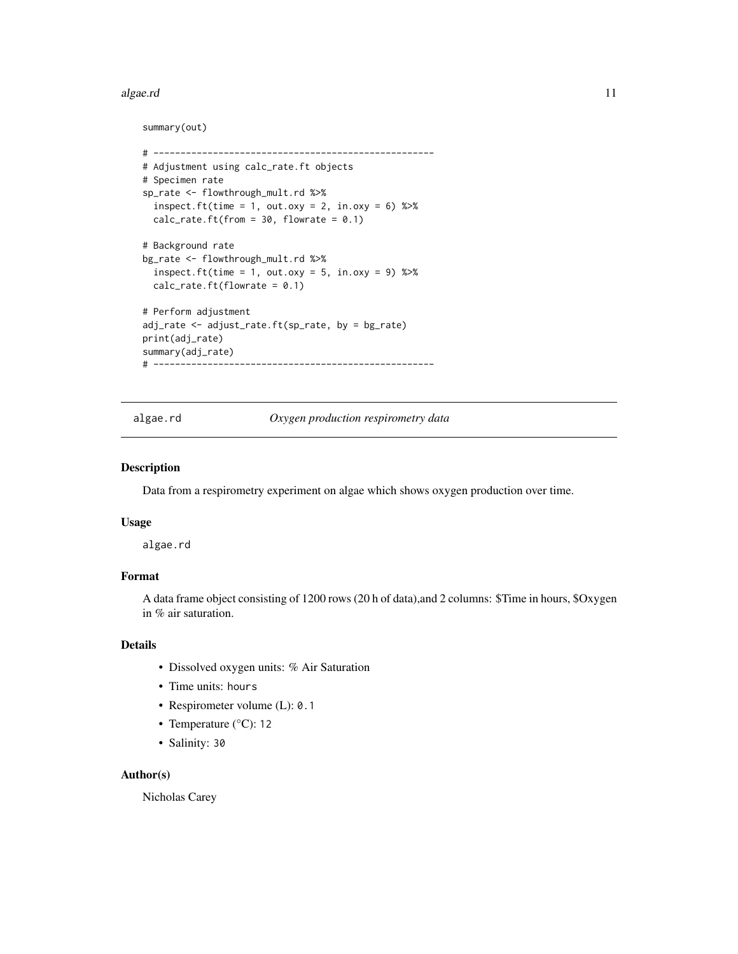#### <span id="page-10-0"></span>algae.rd 11

# summary(out)

```
# ----------------------------------------------------
# Adjustment using calc_rate.ft objects
# Specimen rate
sp_rate <- flowthrough_mult.rd %>%
 inspect.ft(time = 1, out.oxy = 2, in.oxy = 6) %>%
 calc_rate.ft(from = 30, flowrate = 0.1)
# Background rate
bg_rate <- flowthrough_mult.rd %>%
 inspect.ft(time = 1, out.oxy = 5, in.oxy = 9) %>%
 calc_rate.ft(flowrate = 0.1)# Perform adjustment
adj_rate <- adjust_rate.ft(sp_rate, by = bg_rate)
print(adj_rate)
summary(adj_rate)
# ----------------------------------------------------
```
algae.rd *Oxygen production respirometry data*

#### Description

Data from a respirometry experiment on algae which shows oxygen production over time.

### Usage

algae.rd

# Format

A data frame object consisting of 1200 rows (20 h of data),and 2 columns: \$Time in hours, \$Oxygen in % air saturation.

# Details

- Dissolved oxygen units: % Air Saturation
- Time units: hours
- Respirometer volume (L): 0.1
- Temperature (°C): 12
- Salinity: 30

#### Author(s)

Nicholas Carey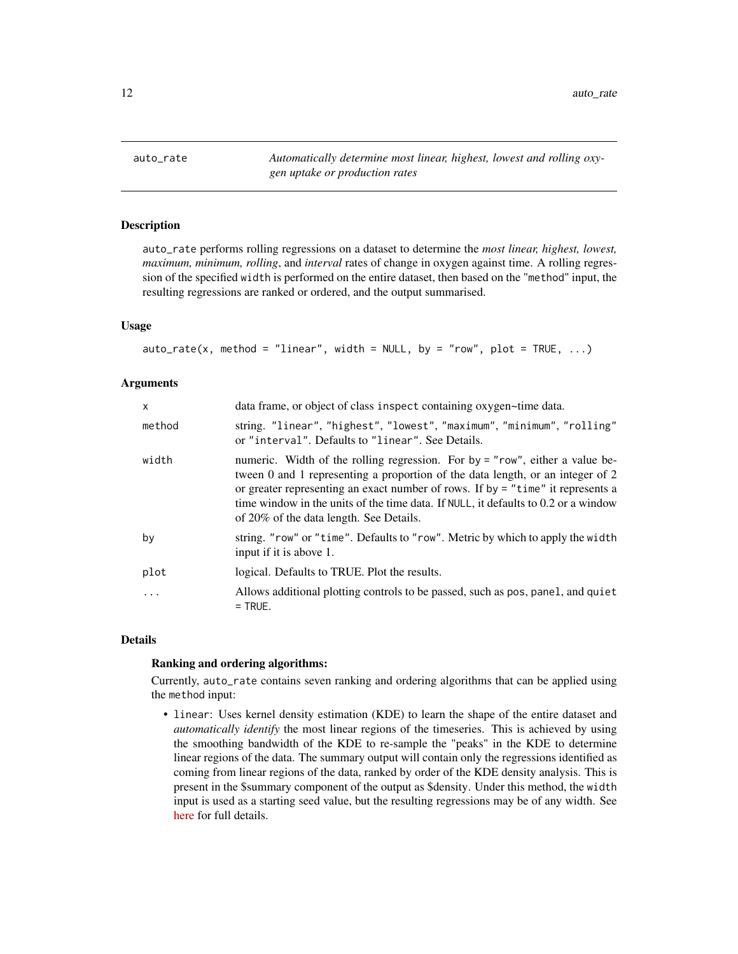<span id="page-11-1"></span><span id="page-11-0"></span>auto\_rate *Automatically determine most linear, highest, lowest and rolling oxygen uptake or production rates*

# Description

auto\_rate performs rolling regressions on a dataset to determine the *most linear, highest, lowest, maximum, minimum, rolling*, and *interval* rates of change in oxygen against time. A rolling regression of the specified width is performed on the entire dataset, then based on the "method" input, the resulting regressions are ranked or ordered, and the output summarised.

#### Usage

```
auto_rate(x, method = "linear", width = NULL, by = "row", plot = TRUE, ...)
```
#### Arguments

| $\mathsf{x}$ | data frame, or object of class inspect containing oxygen~time data.                                                                                                                                                                                                                                                                                                                  |
|--------------|--------------------------------------------------------------------------------------------------------------------------------------------------------------------------------------------------------------------------------------------------------------------------------------------------------------------------------------------------------------------------------------|
| method       | string. "linear", "highest", "lowest", "maximum", "minimum", "rolling"<br>or "interval". Defaults to "linear". See Details.                                                                                                                                                                                                                                                          |
| width        | numeric. Width of the rolling regression. For by = "row", either a value be-<br>tween 0 and 1 representing a proportion of the data length, or an integer of 2<br>or greater representing an exact number of rows. If by $=$ "time" it represents a<br>time window in the units of the time data. If NULL, it defaults to 0.2 or a window<br>of 20% of the data length. See Details. |
| by           | string. "row" or "time". Defaults to "row". Metric by which to apply the width<br>input if it is above 1.                                                                                                                                                                                                                                                                            |
| plot         | logical. Defaults to TRUE. Plot the results.                                                                                                                                                                                                                                                                                                                                         |
| .            | Allows additional plotting controls to be passed, such as pos, panel, and quiet<br>$=$ TRUE.                                                                                                                                                                                                                                                                                         |

#### Details

#### Ranking and ordering algorithms:

Currently, auto\_rate contains seven ranking and ordering algorithms that can be applied using the method input:

• linear: Uses kernel density estimation (KDE) to learn the shape of the entire dataset and *automatically identify* the most linear regions of the timeseries. This is achieved by using the smoothing bandwidth of the KDE to re-sample the "peaks" in the KDE to determine linear regions of the data. The summary output will contain only the regressions identified as coming from linear regions of the data, ranked by order of the KDE density analysis. This is present in the \$summary component of the output as \$density. Under this method, the width input is used as a starting seed value, but the resulting regressions may be of any width. See [here](https://januarharianto.github.io/respR/articles/auto_rate) for full details.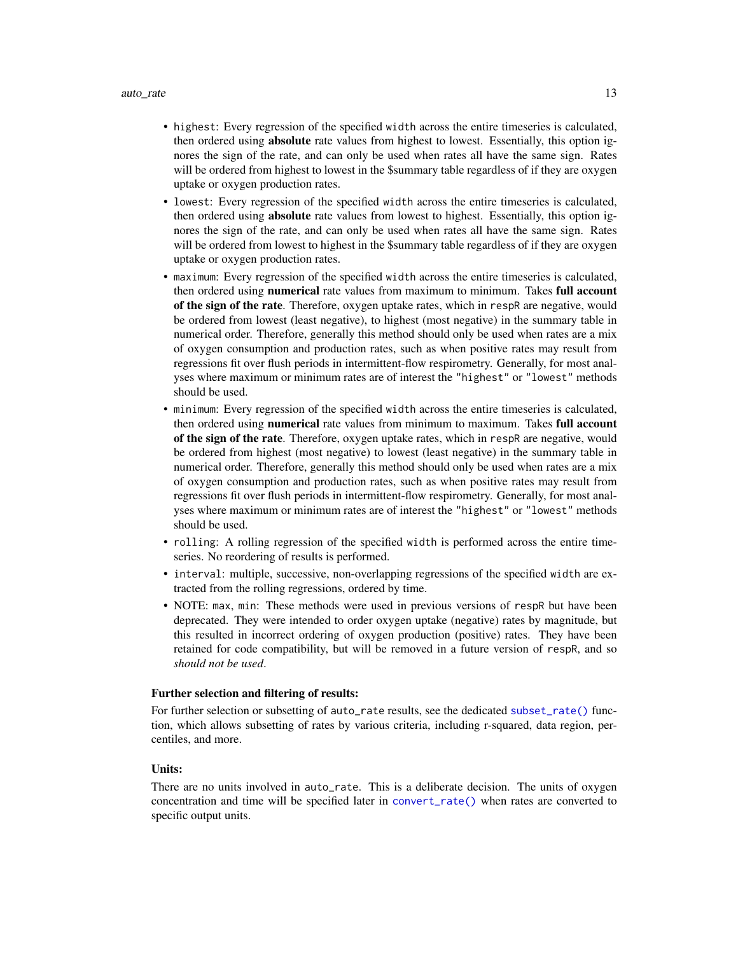- highest: Every regression of the specified width across the entire timeseries is calculated, then ordered using absolute rate values from highest to lowest. Essentially, this option ignores the sign of the rate, and can only be used when rates all have the same sign. Rates will be ordered from highest to lowest in the \$summary table regardless of if they are oxygen uptake or oxygen production rates.
- lowest: Every regression of the specified width across the entire timeseries is calculated, then ordered using absolute rate values from lowest to highest. Essentially, this option ignores the sign of the rate, and can only be used when rates all have the same sign. Rates will be ordered from lowest to highest in the \$summary table regardless of if they are oxygen uptake or oxygen production rates.
- maximum: Every regression of the specified width across the entire timeseries is calculated, then ordered using numerical rate values from maximum to minimum. Takes full account of the sign of the rate. Therefore, oxygen uptake rates, which in respR are negative, would be ordered from lowest (least negative), to highest (most negative) in the summary table in numerical order. Therefore, generally this method should only be used when rates are a mix of oxygen consumption and production rates, such as when positive rates may result from regressions fit over flush periods in intermittent-flow respirometry. Generally, for most analyses where maximum or minimum rates are of interest the "highest" or "lowest" methods should be used.
- minimum: Every regression of the specified width across the entire timeseries is calculated, then ordered using numerical rate values from minimum to maximum. Takes full account of the sign of the rate. Therefore, oxygen uptake rates, which in respR are negative, would be ordered from highest (most negative) to lowest (least negative) in the summary table in numerical order. Therefore, generally this method should only be used when rates are a mix of oxygen consumption and production rates, such as when positive rates may result from regressions fit over flush periods in intermittent-flow respirometry. Generally, for most analyses where maximum or minimum rates are of interest the "highest" or "lowest" methods should be used.
- rolling: A rolling regression of the specified width is performed across the entire timeseries. No reordering of results is performed.
- interval: multiple, successive, non-overlapping regressions of the specified width are extracted from the rolling regressions, ordered by time.
- NOTE: max, min: These methods were used in previous versions of respR but have been deprecated. They were intended to order oxygen uptake (negative) rates by magnitude, but this resulted in incorrect ordering of oxygen production (positive) rates. They have been retained for code compatibility, but will be removed in a future version of respR, and so *should not be used*.

#### Further selection and filtering of results:

For further selection or subsetting of auto\_rate results, see the dedicated [subset\\_rate\(\)](#page-81-1) function, which allows subsetting of rates by various criteria, including r-squared, data region, percentiles, and more.

# Units:

There are no units involved in auto\_rate. This is a deliberate decision. The units of oxygen concentration and time will be specified later in [convert\\_rate\(\)](#page-27-1) when rates are converted to specific output units.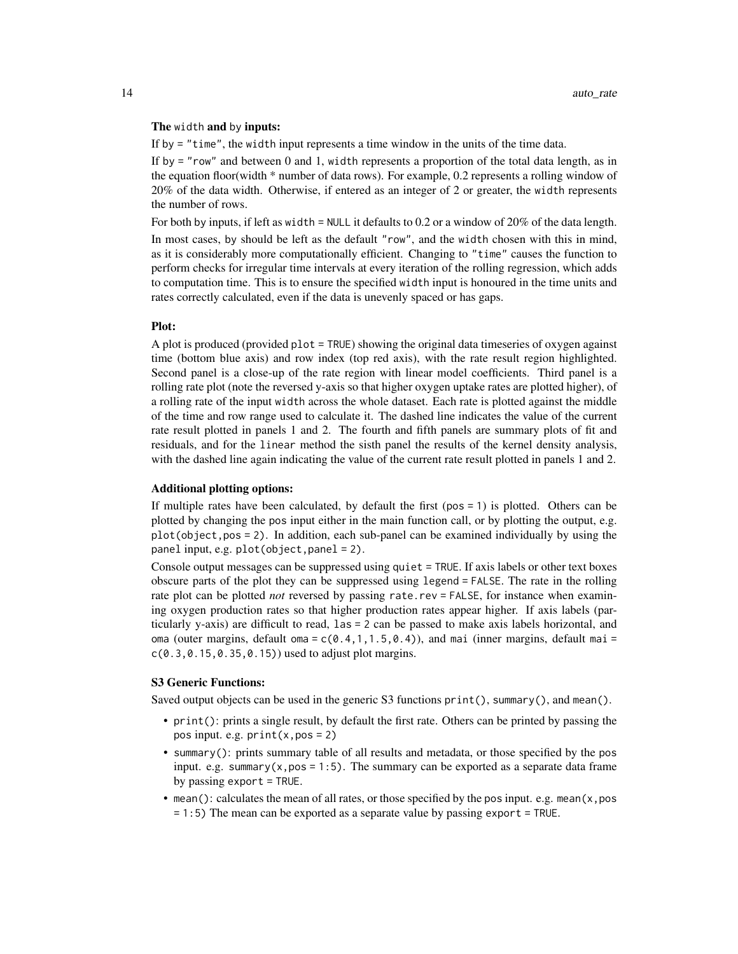#### The width and by inputs:

If by = "time", the width input represents a time window in the units of the time data.

If by = "row" and between 0 and 1, width represents a proportion of the total data length, as in the equation floor(width \* number of data rows). For example, 0.2 represents a rolling window of 20% of the data width. Otherwise, if entered as an integer of 2 or greater, the width represents the number of rows.

For both by inputs, if left as width = NULL it defaults to 0.2 or a window of 20% of the data length. In most cases, by should be left as the default "row", and the width chosen with this in mind, as it is considerably more computationally efficient. Changing to "time" causes the function to perform checks for irregular time intervals at every iteration of the rolling regression, which adds to computation time. This is to ensure the specified width input is honoured in the time units and rates correctly calculated, even if the data is unevenly spaced or has gaps.

#### Plot:

A plot is produced (provided plot = TRUE) showing the original data timeseries of oxygen against time (bottom blue axis) and row index (top red axis), with the rate result region highlighted. Second panel is a close-up of the rate region with linear model coefficients. Third panel is a rolling rate plot (note the reversed y-axis so that higher oxygen uptake rates are plotted higher), of a rolling rate of the input width across the whole dataset. Each rate is plotted against the middle of the time and row range used to calculate it. The dashed line indicates the value of the current rate result plotted in panels 1 and 2. The fourth and fifth panels are summary plots of fit and residuals, and for the linear method the sisth panel the results of the kernel density analysis, with the dashed line again indicating the value of the current rate result plotted in panels 1 and 2.

# Additional plotting options:

If multiple rates have been calculated, by default the first  $(pos = 1)$  is plotted. Others can be plotted by changing the pos input either in the main function call, or by plotting the output, e.g. plot(object,pos = 2). In addition, each sub-panel can be examined individually by using the panel input, e.g. plot(object,panel = 2).

Console output messages can be suppressed using quiet = TRUE. If axis labels or other text boxes obscure parts of the plot they can be suppressed using legend = FALSE. The rate in the rolling rate plot can be plotted *not* reversed by passing rate.rev = FALSE, for instance when examining oxygen production rates so that higher production rates appear higher. If axis labels (particularly y-axis) are difficult to read, las = 2 can be passed to make axis labels horizontal, and oma (outer margins, default oma =  $c(0.4,1,1.5,0.4)$ ), and mai (inner margins, default mai =  $c(0.3, 0.15, 0.35, 0.15)$  used to adjust plot margins.

# S3 Generic Functions:

Saved output objects can be used in the generic S3 functions print(), summary(), and mean().

- print(): prints a single result, by default the first rate. Others can be printed by passing the pos input. e.g. print(x,pos = 2)
- summary(): prints summary table of all results and metadata, or those specified by the pos input. e.g. summary $(x, pos = 1:5)$ . The summary can be exported as a separate data frame by passing export = TRUE.
- mean(): calculates the mean of all rates, or those specified by the pos input. e.g. mean( $x, pos$ = 1:5) The mean can be exported as a separate value by passing export = TRUE.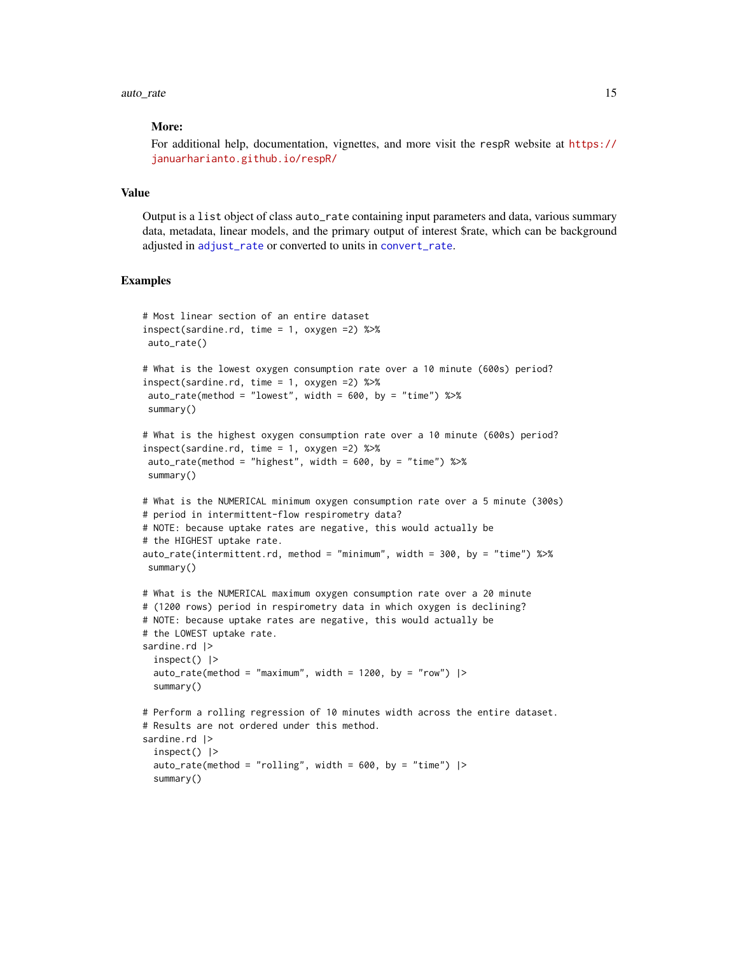# More:

For additional help, documentation, vignettes, and more visit the respR website at [https://](https://januarharianto.github.io/respR/) [januarharianto.github.io/respR/](https://januarharianto.github.io/respR/)

# Value

Output is a list object of class auto\_rate containing input parameters and data, various summary data, metadata, linear models, and the primary output of interest \$rate, which can be background adjusted in [adjust\\_rate](#page-2-1) or converted to units in [convert\\_rate](#page-27-1).

```
# Most linear section of an entire dataset
inspect(sardine.rd, time = 1, oxygen =2) %>%
auto_rate()
# What is the lowest oxygen consumption rate over a 10 minute (600s) period?
inspect(sardine.rd, time = 1, oxygen =2) %>%
auto_rate(method = "lowest", width = 600, by = "time") %>%
summary()
# What is the highest oxygen consumption rate over a 10 minute (600s) period?
inspect(sardine.rd, time = 1, oxygen =2) %>%
auto_rate(method = "highest", width = 600, by = "time") %>%
summary()
# What is the NUMERICAL minimum oxygen consumption rate over a 5 minute (300s)
# period in intermittent-flow respirometry data?
# NOTE: because uptake rates are negative, this would actually be
# the HIGHEST uptake rate.
auto_rate(intermittent.rd, method = "minimum", width = 300, by = "time") %>%
summary()
# What is the NUMERICAL maximum oxygen consumption rate over a 20 minute
# (1200 rows) period in respirometry data in which oxygen is declining?
# NOTE: because uptake rates are negative, this would actually be
# the LOWEST uptake rate.
sardine.rd |>inspect() |>
 auto_rate(method = "maximum", width = 1200, by = "row") |>
 summary()
# Perform a rolling regression of 10 minutes width across the entire dataset.
# Results are not ordered under this method.
sardine.rd |>
 inspect() |>
 auto_rate(method = "rolling", width = 600, by = "time") |>
 summary()
```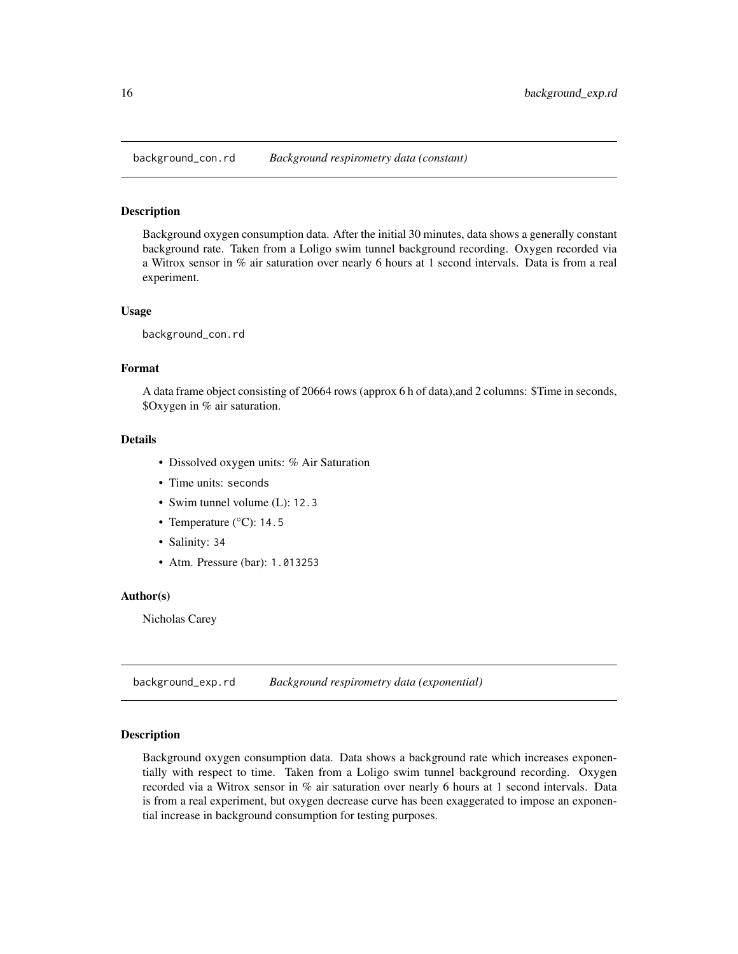<span id="page-15-0"></span>

# Description

Background oxygen consumption data. After the initial 30 minutes, data shows a generally constant background rate. Taken from a Loligo swim tunnel background recording. Oxygen recorded via a Witrox sensor in % air saturation over nearly 6 hours at 1 second intervals. Data is from a real experiment.

#### Usage

background\_con.rd

#### Format

A data frame object consisting of 20664 rows (approx 6 h of data),and 2 columns: \$Time in seconds, \$Oxygen in % air saturation.

# Details

- Dissolved oxygen units: % Air Saturation
- Time units: seconds
- Swim tunnel volume (L): 12.3
- Temperature (°C): 14.5
- Salinity: 34
- Atm. Pressure (bar): 1.013253

# Author(s)

Nicholas Carey

background\_exp.rd *Background respirometry data (exponential)*

# Description

Background oxygen consumption data. Data shows a background rate which increases exponentially with respect to time. Taken from a Loligo swim tunnel background recording. Oxygen recorded via a Witrox sensor in % air saturation over nearly 6 hours at 1 second intervals. Data is from a real experiment, but oxygen decrease curve has been exaggerated to impose an exponential increase in background consumption for testing purposes.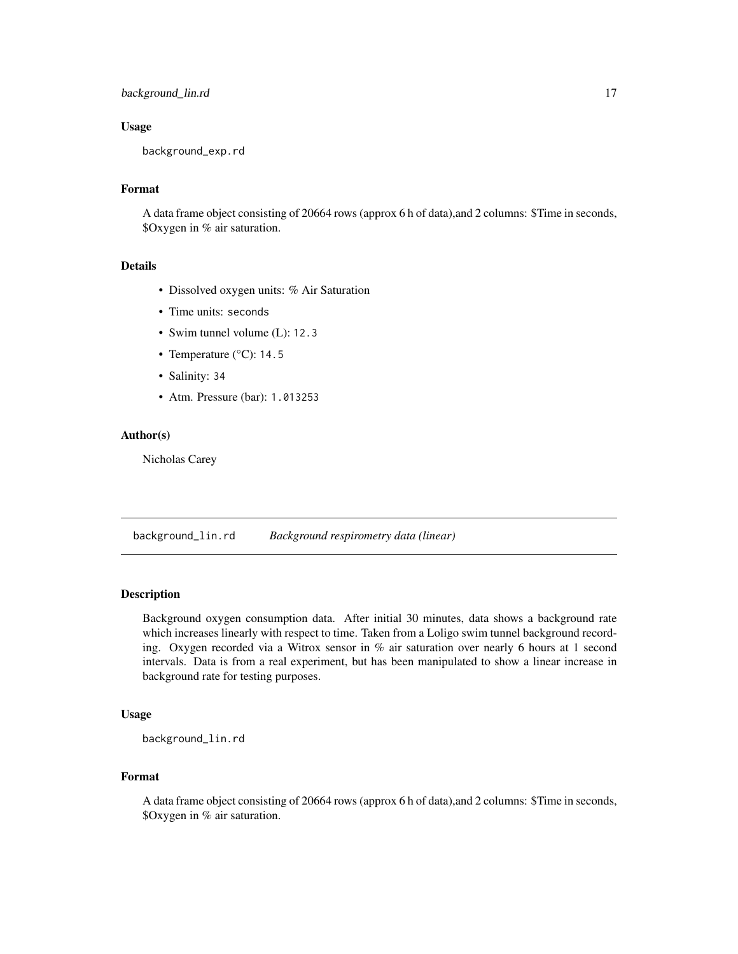# <span id="page-16-0"></span>background\_lin.rd 17

# Usage

background\_exp.rd

# Format

A data frame object consisting of 20664 rows (approx 6 h of data),and 2 columns: \$Time in seconds, \$Oxygen in % air saturation.

# Details

- Dissolved oxygen units: % Air Saturation
- Time units: seconds
- Swim tunnel volume (L): 12.3
- Temperature (°C): 14.5
- Salinity: 34
- Atm. Pressure (bar): 1.013253

# Author(s)

Nicholas Carey

background\_lin.rd *Background respirometry data (linear)*

# Description

Background oxygen consumption data. After initial 30 minutes, data shows a background rate which increases linearly with respect to time. Taken from a Loligo swim tunnel background recording. Oxygen recorded via a Witrox sensor in % air saturation over nearly 6 hours at 1 second intervals. Data is from a real experiment, but has been manipulated to show a linear increase in background rate for testing purposes.

# Usage

background\_lin.rd

# Format

A data frame object consisting of 20664 rows (approx 6 h of data),and 2 columns: \$Time in seconds, \$Oxygen in % air saturation.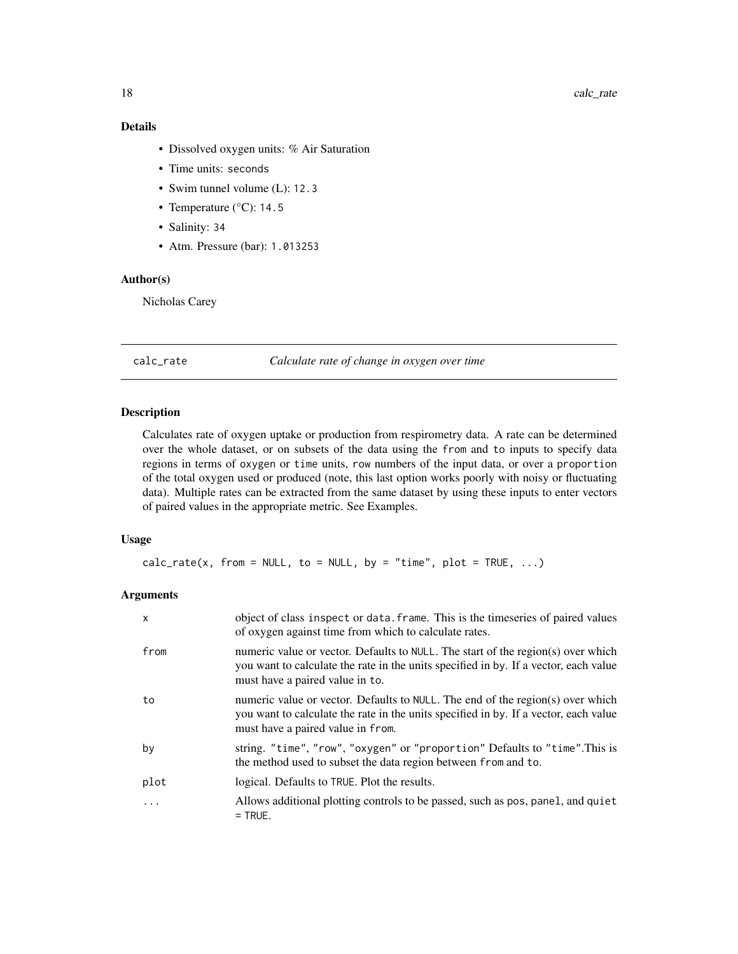# <span id="page-17-0"></span>Details

- Dissolved oxygen units: % Air Saturation
- Time units: seconds
- Swim tunnel volume (L): 12.3
- Temperature (°C): 14.5
- Salinity: 34
- Atm. Pressure (bar): 1.013253

# Author(s)

Nicholas Carey

<span id="page-17-1"></span>calc\_rate *Calculate rate of change in oxygen over time*

# Description

Calculates rate of oxygen uptake or production from respirometry data. A rate can be determined over the whole dataset, or on subsets of the data using the from and to inputs to specify data regions in terms of oxygen or time units, row numbers of the input data, or over a proportion of the total oxygen used or produced (note, this last option works poorly with noisy or fluctuating data). Multiple rates can be extracted from the same dataset by using these inputs to enter vectors of paired values in the appropriate metric. See Examples.

## Usage

 $calc_rate(x, from = NULL, to = NULL, by = "time", plot = TRUE, ...)$ 

# Arguments

| $\mathsf{x}$ | object of class inspect or data. frame. This is the timeseries of paired values<br>of oxygen against time from which to calculate rates.                                                                    |
|--------------|-------------------------------------------------------------------------------------------------------------------------------------------------------------------------------------------------------------|
| from         | numeric value or vector. Defaults to NULL. The start of the region(s) over which<br>you want to calculate the rate in the units specified in by. If a vector, each value<br>must have a paired value in to. |
| to           | numeric value or vector. Defaults to NULL. The end of the region(s) over which<br>you want to calculate the rate in the units specified in by. If a vector, each value<br>must have a paired value in from. |
| by           | string. "time", "row", "oxygen" or "proportion" Defaults to "time". This is<br>the method used to subset the data region between from and to.                                                               |
| plot         | logical. Defaults to TRUE. Plot the results.                                                                                                                                                                |
| .            | Allows additional plotting controls to be passed, such as pos, panel, and quiet<br>$=$ TRUE.                                                                                                                |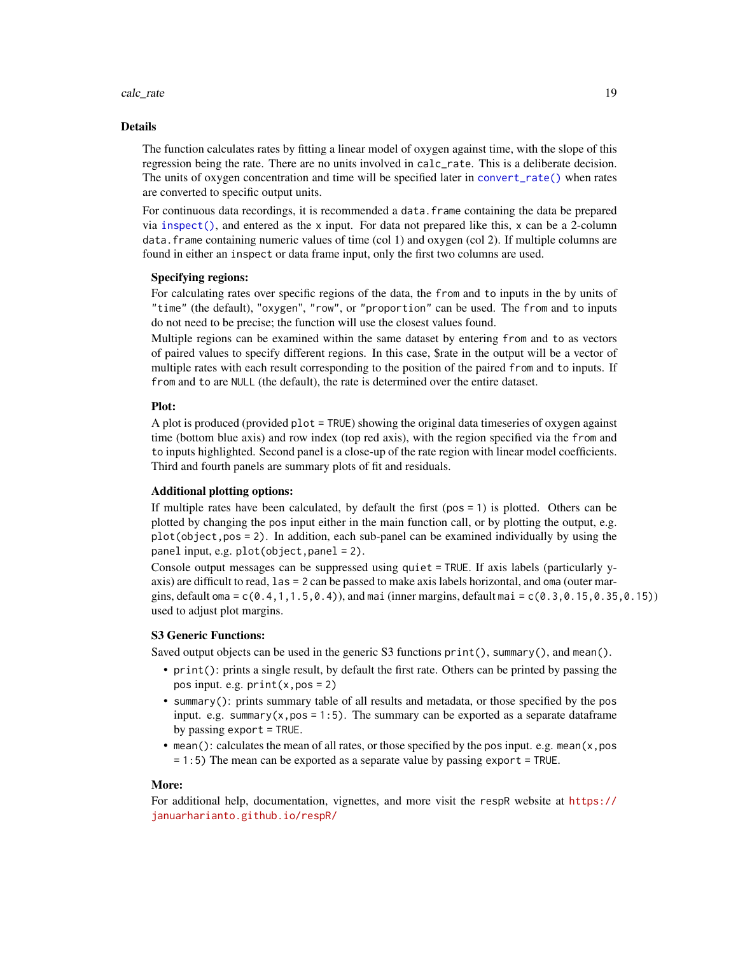#### calc\_rate 19

#### Details

The function calculates rates by fitting a linear model of oxygen against time, with the slope of this regression being the rate. There are no units involved in calc\_rate. This is a deliberate decision. The units of oxygen concentration and time will be specified later in [convert\\_rate\(\)](#page-27-1) when rates are converted to specific output units.

For continuous data recordings, it is recommended a data.frame containing the data be prepared via [inspect\(\)](#page-42-1), and entered as the x input. For data not prepared like this,  $x$  can be a 2-column data.frame containing numeric values of time (col 1) and oxygen (col 2). If multiple columns are found in either an inspect or data frame input, only the first two columns are used.

### Specifying regions:

For calculating rates over specific regions of the data, the from and to inputs in the by units of "time" (the default), "oxygen", "row", or "proportion" can be used. The from and to inputs do not need to be precise; the function will use the closest values found.

Multiple regions can be examined within the same dataset by entering from and to as vectors of paired values to specify different regions. In this case, \$rate in the output will be a vector of multiple rates with each result corresponding to the position of the paired from and to inputs. If from and to are NULL (the default), the rate is determined over the entire dataset.

#### Plot:

A plot is produced (provided plot = TRUE) showing the original data timeseries of oxygen against time (bottom blue axis) and row index (top red axis), with the region specified via the from and to inputs highlighted. Second panel is a close-up of the rate region with linear model coefficients. Third and fourth panels are summary plots of fit and residuals.

# Additional plotting options:

If multiple rates have been calculated, by default the first (pos = 1) is plotted. Others can be plotted by changing the pos input either in the main function call, or by plotting the output, e.g. plot(object,pos = 2). In addition, each sub-panel can be examined individually by using the panel input, e.g. plot(object,panel = 2).

Console output messages can be suppressed using quiet = TRUE. If axis labels (particularly yaxis) are difficult to read, las = 2 can be passed to make axis labels horizontal, and oma (outer margins, default oma =  $c(0.4, 1, 1.5, 0.4)$ , and mai (inner margins, default mai =  $c(0.3, 0.15, 0.35, 0.15)$ ) used to adjust plot margins.

# S3 Generic Functions:

Saved output objects can be used in the generic S3 functions print(), summary(), and mean().

- print(): prints a single result, by default the first rate. Others can be printed by passing the pos input. e.g.  $print(x, pos = 2)$
- summary(): prints summary table of all results and metadata, or those specified by the pos input. e.g. summary $(x, pos = 1:5)$ . The summary can be exported as a separate dataframe by passing export = TRUE.
- mean(): calculates the mean of all rates, or those specified by the pos input. e.g. mean(x,pos = 1:5) The mean can be exported as a separate value by passing export = TRUE.

#### More:

For additional help, documentation, vignettes, and more visit the respR website at [https://](https://januarharianto.github.io/respR/) [januarharianto.github.io/respR/](https://januarharianto.github.io/respR/)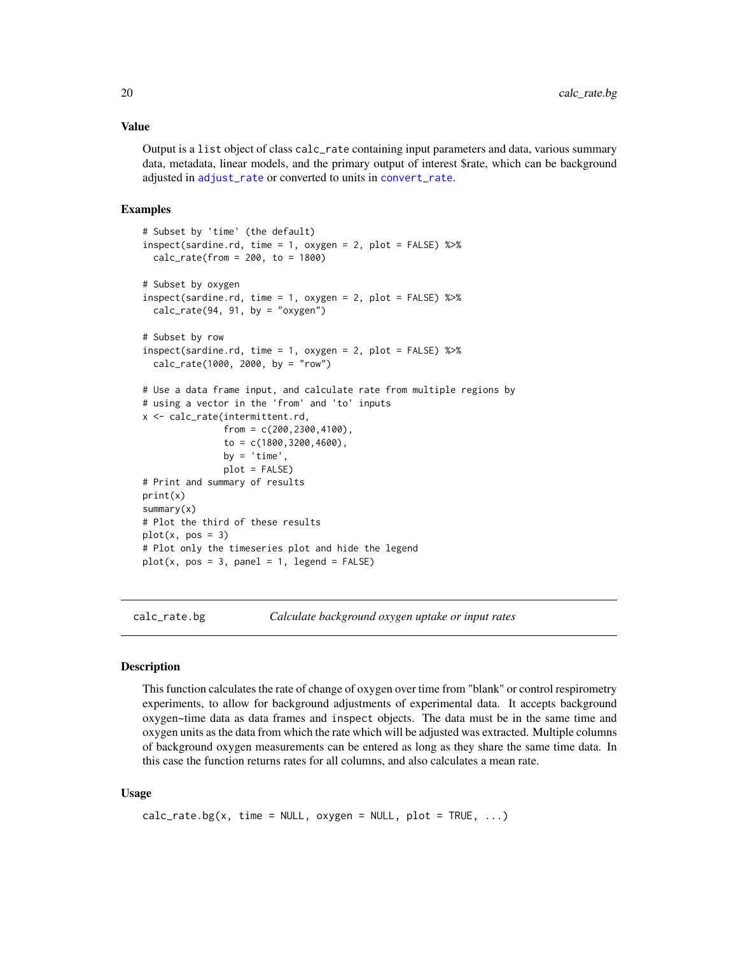#### <span id="page-19-0"></span>Value

Output is a list object of class calc\_rate containing input parameters and data, various summary data, metadata, linear models, and the primary output of interest \$rate, which can be background adjusted in [adjust\\_rate](#page-2-1) or converted to units in [convert\\_rate](#page-27-1).

### Examples

```
# Subset by 'time' (the default)
inspect(sardine.rd, time = 1, oxygen = 2, plot = FALSE) %>%
 calc_rate(from = 200, to = 1800)# Subset by oxygen
inspect(sardine.rd, time = 1, oxygen = 2, plot = FALSE) %>%
 calc_rate(94, 91, by = "oxygen")# Subset by row
inspect(sardine.rd, time = 1, oxygen = 2, plot = FALSE) %>%
 calc_rate(1000, 2000, by = "row")
# Use a data frame input, and calculate rate from multiple regions by
# using a vector in the 'from' and 'to' inputs
x <- calc_rate(intermittent.rd,
               from = c(200, 2300, 4100),
               to = c(1800,3200,4600),
              by = 'time',
              plot = FALSE)
# Print and summary of results
print(x)
summary(x)
# Plot the third of these results
plot(x, pos = 3)# Plot only the timeseries plot and hide the legend
plot(x, pos = 3, panel = 1, legend = FALSE)
```
<span id="page-19-1"></span>calc\_rate.bg *Calculate background oxygen uptake or input rates*

#### Description

This function calculates the rate of change of oxygen over time from "blank" or control respirometry experiments, to allow for background adjustments of experimental data. It accepts background oxygen~time data as data frames and inspect objects. The data must be in the same time and oxygen units as the data from which the rate which will be adjusted was extracted. Multiple columns of background oxygen measurements can be entered as long as they share the same time data. In this case the function returns rates for all columns, and also calculates a mean rate.

#### Usage

```
calc_rate.bg(x, time = NULL, oxygen = NULL, plot = TRUE, ...)
```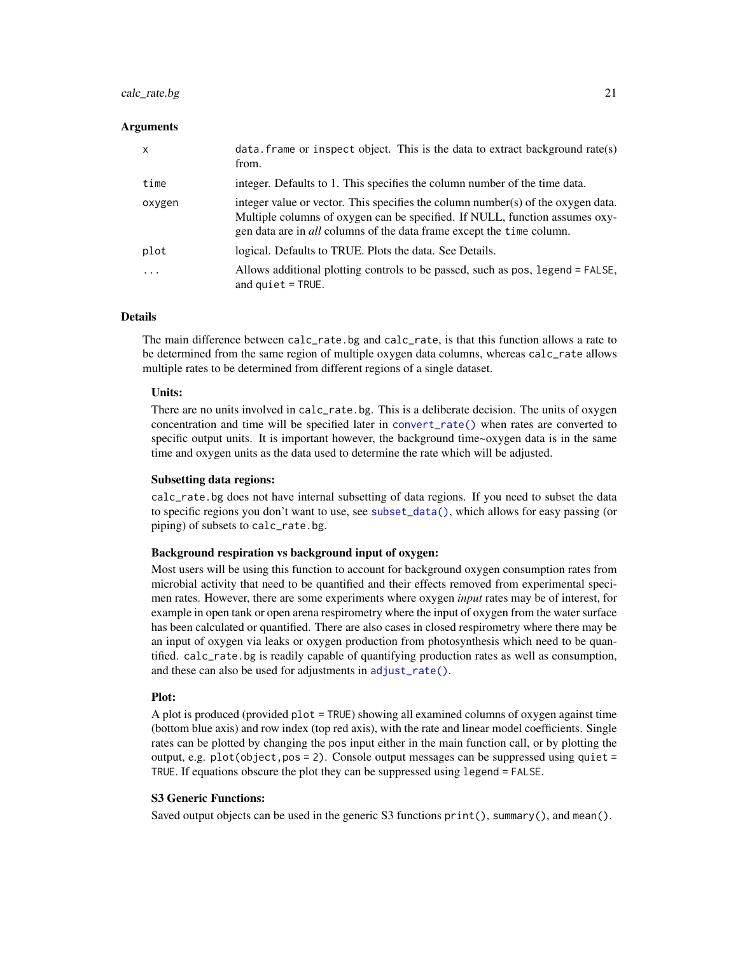# calc\_rate.bg 21

# **Arguments**

| $\times$ | $data$ . frame or inspect object. This is the data to extract background rate(s)<br>from.                                                                                                                                                       |
|----------|-------------------------------------------------------------------------------------------------------------------------------------------------------------------------------------------------------------------------------------------------|
| time     | integer. Defaults to 1. This specifies the column number of the time data.                                                                                                                                                                      |
| oxygen   | integer value or vector. This specifies the column number(s) of the oxygen data.<br>Multiple columns of oxygen can be specified. If NULL, function assumes oxy-<br>gen data are in <i>all</i> columns of the data frame except the time column. |
| plot     | logical. Defaults to TRUE. Plots the data. See Details.                                                                                                                                                                                         |
| .        | Allows additional plotting controls to be passed, such as pos, legend = FALSE,<br>and $quiet = TRUE$ .                                                                                                                                          |

# Details

The main difference between calc\_rate.bg and calc\_rate, is that this function allows a rate to be determined from the same region of multiple oxygen data columns, whereas calc\_rate allows multiple rates to be determined from different regions of a single dataset.

# Units:

There are no units involved in calc\_rate.bg. This is a deliberate decision. The units of oxygen concentration and time will be specified later in [convert\\_rate\(\)](#page-27-1) when rates are converted to specific output units. It is important however, the background time~oxygen data is in the same time and oxygen units as the data used to determine the rate which will be adjusted.

# Subsetting data regions:

calc\_rate.bg does not have internal subsetting of data regions. If you need to subset the data to specific regions you don't want to use, see [subset\\_data\(\)](#page-79-1), which allows for easy passing (or piping) of subsets to calc\_rate.bg.

# Background respiration vs background input of oxygen:

Most users will be using this function to account for background oxygen consumption rates from microbial activity that need to be quantified and their effects removed from experimental specimen rates. However, there are some experiments where oxygen *input* rates may be of interest, for example in open tank or open arena respirometry where the input of oxygen from the water surface has been calculated or quantified. There are also cases in closed respirometry where there may be an input of oxygen via leaks or oxygen production from photosynthesis which need to be quantified. calc\_rate.bg is readily capable of quantifying production rates as well as consumption, and these can also be used for adjustments in [adjust\\_rate\(\)](#page-2-1).

# Plot:

A plot is produced (provided plot = TRUE) showing all examined columns of oxygen against time (bottom blue axis) and row index (top red axis), with the rate and linear model coefficients. Single rates can be plotted by changing the pos input either in the main function call, or by plotting the output, e.g.  $plot(objject, pos = 2)$ . Console output messages can be suppressed using quiet = TRUE. If equations obscure the plot they can be suppressed using legend = FALSE.

# S3 Generic Functions:

Saved output objects can be used in the generic S3 functions print(), summary(), and mean().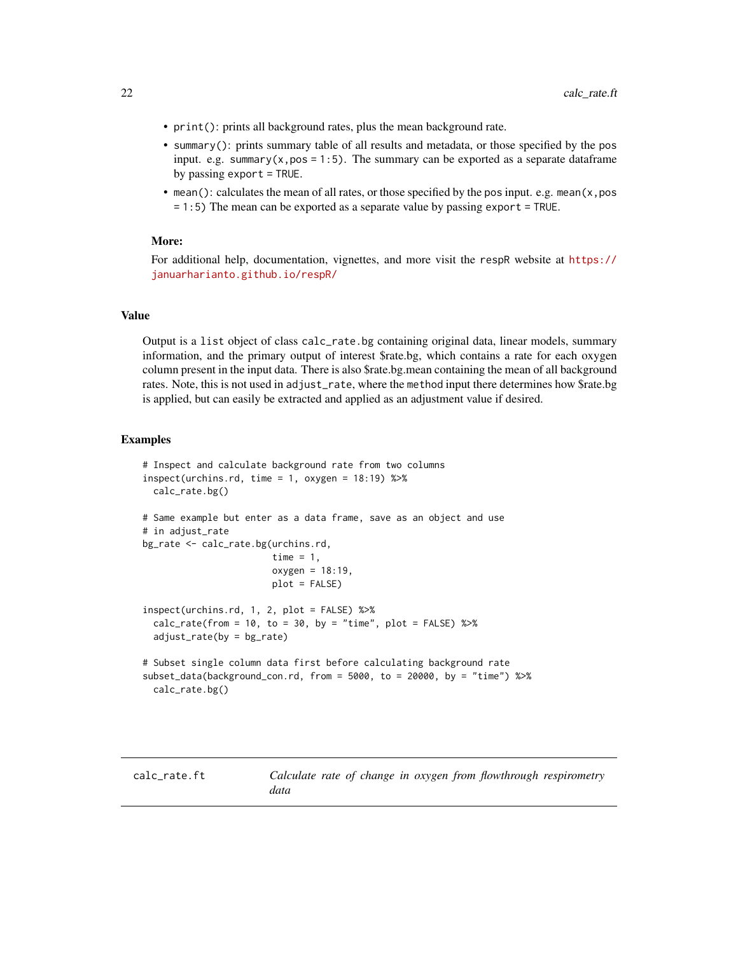- <span id="page-21-0"></span>• print(): prints all background rates, plus the mean background rate.
- summary(): prints summary table of all results and metadata, or those specified by the pos input. e.g. summary $(x, pos = 1:5)$ . The summary can be exported as a separate dataframe by passing export = TRUE.
- mean(): calculates the mean of all rates, or those specified by the pos input. e.g. mean(x,pos = 1:5) The mean can be exported as a separate value by passing export = TRUE.

# More:

For additional help, documentation, vignettes, and more visit the respR website at [https://](https://januarharianto.github.io/respR/) [januarharianto.github.io/respR/](https://januarharianto.github.io/respR/)

# Value

Output is a list object of class calc\_rate.bg containing original data, linear models, summary information, and the primary output of interest \$rate.bg, which contains a rate for each oxygen column present in the input data. There is also \$rate.bg.mean containing the mean of all background rates. Note, this is not used in adjust\_rate, where the method input there determines how \$rate.bg is applied, but can easily be extracted and applied as an adjustment value if desired.

```
# Inspect and calculate background rate from two columns
inspect(urchins.rd, time = 1, oxygen = 18:19) %>%
 calc_rate.bg()
# Same example but enter as a data frame, save as an object and use
# in adjust_rate
bg_rate <- calc_rate.bg(urchins.rd,
                       time = 1,
                       oxygen = 18:19,
                       plot = FALSE)
inspect(urchins.rd, 1, 2, plot = FALSE) %>%
 calc_rate(from = 10, to = 30, by = "time", plot = FALSE) %adjust_rate(by = bg_rate)
# Subset single column data first before calculating background rate
subset_data(background_con.rd, from = 5000, to = 20000, by = "time") %>%
 calc_rate.bg()
```
<span id="page-21-1"></span>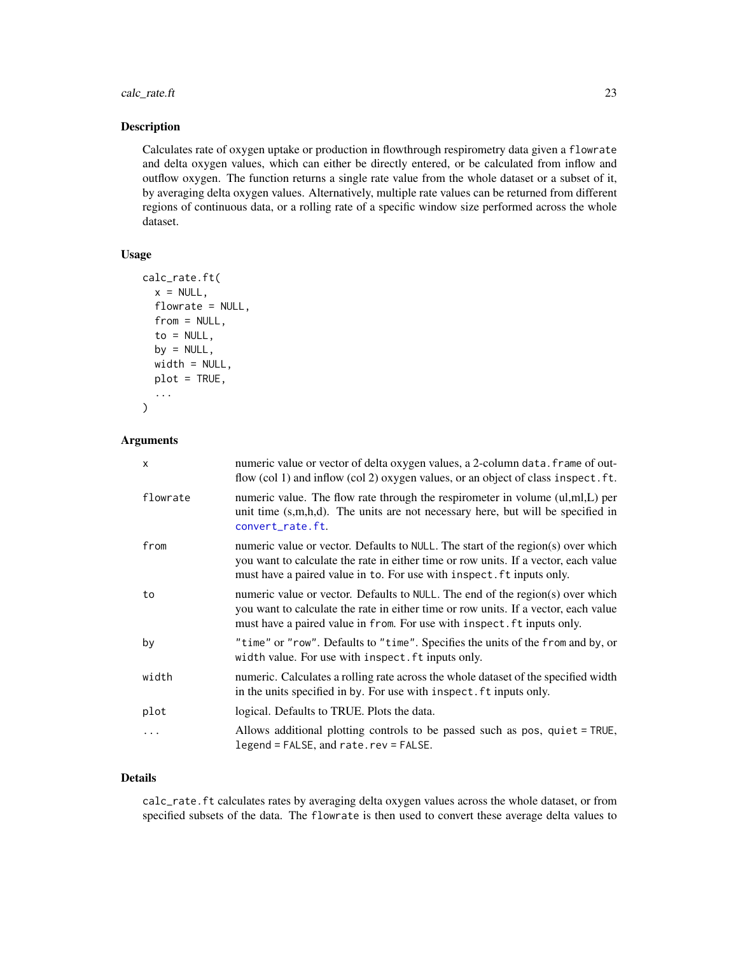calc\_rate.ft 23

#### Description

Calculates rate of oxygen uptake or production in flowthrough respirometry data given a flowrate and delta oxygen values, which can either be directly entered, or be calculated from inflow and outflow oxygen. The function returns a single rate value from the whole dataset or a subset of it, by averaging delta oxygen values. Alternatively, multiple rate values can be returned from different regions of continuous data, or a rolling rate of a specific window size performed across the whole dataset.

### Usage

```
calc_rate.ft(
  x = NULL,flowrate = NULL,
  from = NULL,to = NULL,
  by = NULL,
 width = NULL,
 plot = TRUE,
  ...
)
```
#### Arguments

| X        | numeric value or vector of delta oxygen values, a 2-column data. frame of out-<br>flow (col 1) and inflow (col 2) oxygen values, or an object of class inspect. ft.                                                                              |
|----------|--------------------------------------------------------------------------------------------------------------------------------------------------------------------------------------------------------------------------------------------------|
| flowrate | numeric value. The flow rate through the respirometer in volume (ul,ml,L) per<br>unit time $(s,m,h,d)$ . The units are not necessary here, but will be specified in<br>convert_rate.ft.                                                          |
| from     | numeric value or vector. Defaults to NULL. The start of the region(s) over which<br>you want to calculate the rate in either time or row units. If a vector, each value<br>must have a paired value in to. For use with inspect. ft inputs only. |
| to       | numeric value or vector. Defaults to NULL. The end of the region(s) over which<br>you want to calculate the rate in either time or row units. If a vector, each value<br>must have a paired value in from. For use with inspect. ft inputs only. |
| by       | "time" or "row". Defaults to "time". Specifies the units of the from and by, or<br>width value. For use with inspect. ft inputs only.                                                                                                            |
| width    | numeric. Calculates a rolling rate across the whole dataset of the specified width<br>in the units specified in by. For use with inspect. ft inputs only.                                                                                        |
| plot     | logical. Defaults to TRUE. Plots the data.                                                                                                                                                                                                       |
| $\cdots$ | Allows additional plotting controls to be passed such as pos, quiet = TRUE,<br>legend = FALSE, and rate.rev = FALSE.                                                                                                                             |

# Details

calc\_rate.ft calculates rates by averaging delta oxygen values across the whole dataset, or from specified subsets of the data. The flowrate is then used to convert these average delta values to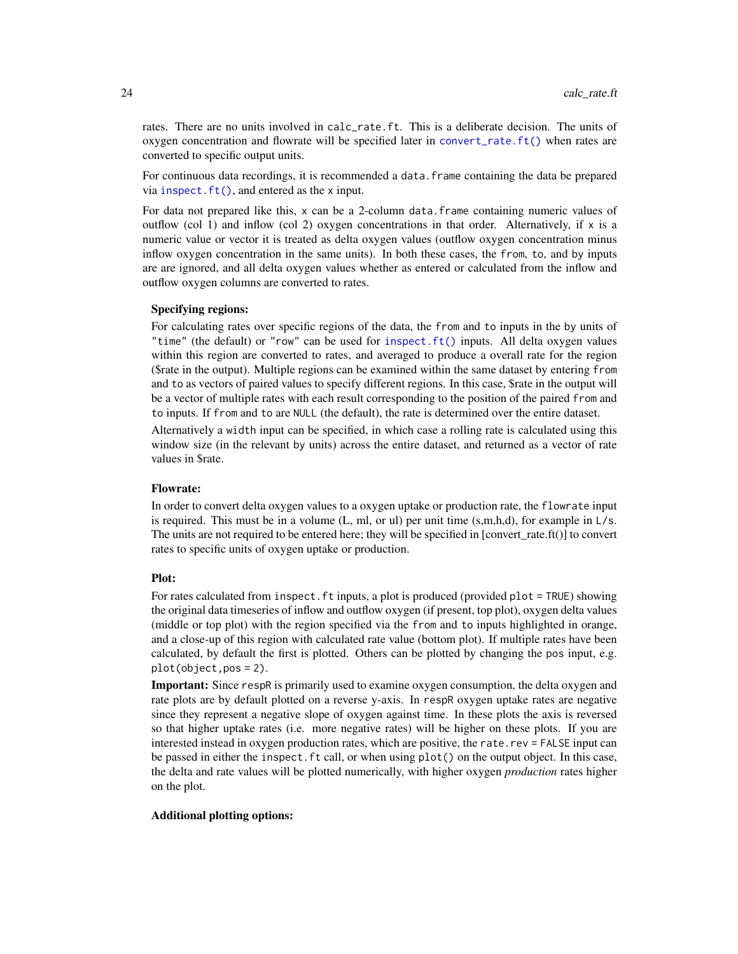rates. There are no units involved in calc\_rate.ft. This is a deliberate decision. The units of oxygen concentration and flowrate will be specified later in [convert\\_rate.ft\(\)](#page-30-1) when rates are converted to specific output units.

For continuous data recordings, it is recommended a data.frame containing the data be prepared via  $\text{insect.ft}()$ , and entered as the x input.

For data not prepared like this,  $x$  can be a 2-column data. frame containing numeric values of outflow (col 1) and inflow (col 2) oxygen concentrations in that order. Alternatively, if  $x$  is a numeric value or vector it is treated as delta oxygen values (outflow oxygen concentration minus inflow oxygen concentration in the same units). In both these cases, the from, to, and by inputs are are ignored, and all delta oxygen values whether as entered or calculated from the inflow and outflow oxygen columns are converted to rates.

# Specifying regions:

For calculating rates over specific regions of the data, the from and to inputs in the by units of "time" (the default) or "row" can be used for [inspect.ft\(\)](#page-46-1) inputs. All delta oxygen values within this region are converted to rates, and averaged to produce a overall rate for the region (\$rate in the output). Multiple regions can be examined within the same dataset by entering from and to as vectors of paired values to specify different regions. In this case, \$rate in the output will be a vector of multiple rates with each result corresponding to the position of the paired from and to inputs. If from and to are NULL (the default), the rate is determined over the entire dataset.

Alternatively a width input can be specified, in which case a rolling rate is calculated using this window size (in the relevant by units) across the entire dataset, and returned as a vector of rate values in \$rate.

# Flowrate:

In order to convert delta oxygen values to a oxygen uptake or production rate, the flowrate input is required. This must be in a volume  $(L, ml, or ul)$  per unit time  $(s,m,h,d)$ , for example in  $L/s$ . The units are not required to be entered here; they will be specified in [convert\_rate.ft()] to convert rates to specific units of oxygen uptake or production.

#### Plot:

For rates calculated from inspect. ft inputs, a plot is produced (provided plot = TRUE) showing the original data timeseries of inflow and outflow oxygen (if present, top plot), oxygen delta values (middle or top plot) with the region specified via the from and to inputs highlighted in orange, and a close-up of this region with calculated rate value (bottom plot). If multiple rates have been calculated, by default the first is plotted. Others can be plotted by changing the pos input, e.g. plot(object,pos = 2).

Important: Since respR is primarily used to examine oxygen consumption, the delta oxygen and rate plots are by default plotted on a reverse y-axis. In respR oxygen uptake rates are negative since they represent a negative slope of oxygen against time. In these plots the axis is reversed so that higher uptake rates (i.e. more negative rates) will be higher on these plots. If you are interested instead in oxygen production rates, which are positive, the rate.rev = FALSE input can be passed in either the inspect.ft call, or when using plot() on the output object. In this case, the delta and rate values will be plotted numerically, with higher oxygen *production* rates higher on the plot.

#### Additional plotting options: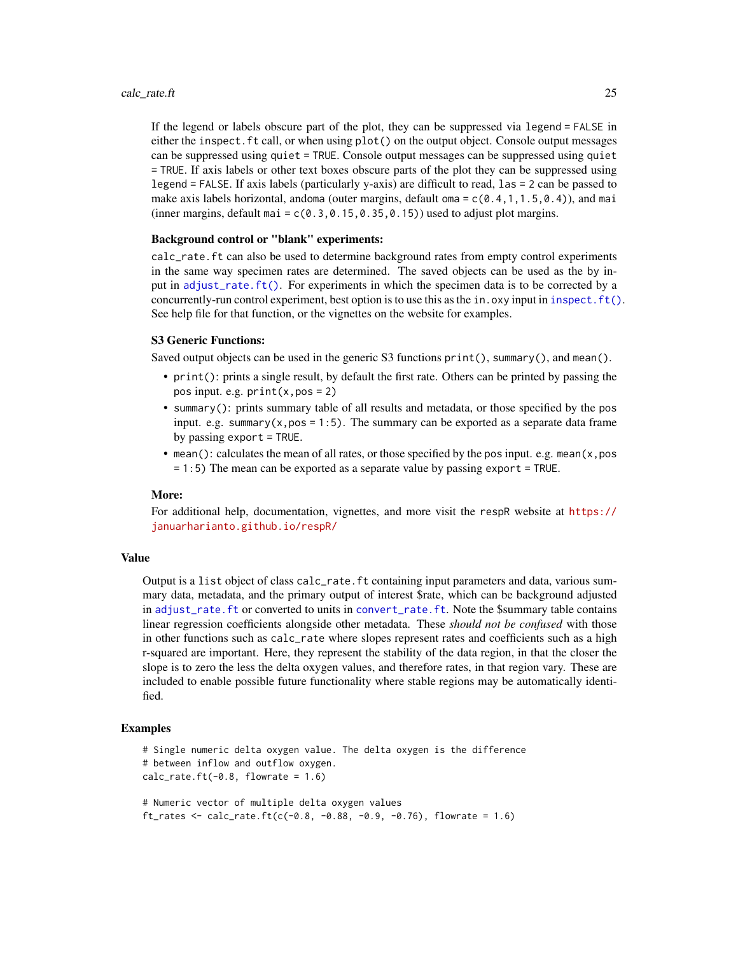If the legend or labels obscure part of the plot, they can be suppressed via legend = FALSE in either the inspect.ft call, or when using plot() on the output object. Console output messages can be suppressed using quiet = TRUE. Console output messages can be suppressed using quiet = TRUE. If axis labels or other text boxes obscure parts of the plot they can be suppressed using legend = FALSE. If axis labels (particularly y-axis) are difficult to read, las = 2 can be passed to make axis labels horizontal, andoma (outer margins, default oma =  $c(0.4,1,1.5,0.4)$ ), and mai (inner margins, default mai =  $c(0.3, 0.15, 0.35, 0.15)$ ) used to adjust plot margins.

# Background control or "blank" experiments:

calc\_rate.ft can also be used to determine background rates from empty control experiments in the same way specimen rates are determined. The saved objects can be used as the by input in [adjust\\_rate.ft\(\)](#page-7-1). For experiments in which the specimen data is to be corrected by a concurrently-run control experiment, best option is to use this as the in.  $oxy$  input in inspect.  $ft()$ . See help file for that function, or the vignettes on the website for examples.

#### S3 Generic Functions:

Saved output objects can be used in the generic S3 functions print(), summary(), and mean().

- print(): prints a single result, by default the first rate. Others can be printed by passing the pos input. e.g.  $print(x, pos = 2)$
- summary(): prints summary table of all results and metadata, or those specified by the pos input. e.g. summary( $x, pos = 1:5$ ). The summary can be exported as a separate data frame by passing export = TRUE.
- mean(): calculates the mean of all rates, or those specified by the pos input. e.g. mean( $x, pos$ = 1:5) The mean can be exported as a separate value by passing export = TRUE.

# More:

For additional help, documentation, vignettes, and more visit the respR website at [https://](https://januarharianto.github.io/respR/) [januarharianto.github.io/respR/](https://januarharianto.github.io/respR/)

# Value

Output is a list object of class calc\_rate.ft containing input parameters and data, various summary data, metadata, and the primary output of interest \$rate, which can be background adjusted in [adjust\\_rate.ft](#page-7-1) or converted to units in [convert\\_rate.ft](#page-30-1). Note the \$summary table contains linear regression coefficients alongside other metadata. These *should not be confused* with those in other functions such as calc\_rate where slopes represent rates and coefficients such as a high r-squared are important. Here, they represent the stability of the data region, in that the closer the slope is to zero the less the delta oxygen values, and therefore rates, in that region vary. These are included to enable possible future functionality where stable regions may be automatically identified.

```
# Single numeric delta oxygen value. The delta oxygen is the difference
# between inflow and outflow oxygen.
calc_rate.ft(-0.8, flowrate = 1.6)# Numeric vector of multiple delta oxygen values
ft_rates <- calc_rate.ft(c(-0.8, -0.88, -0.9, -0.76), flowrate = 1.6)
```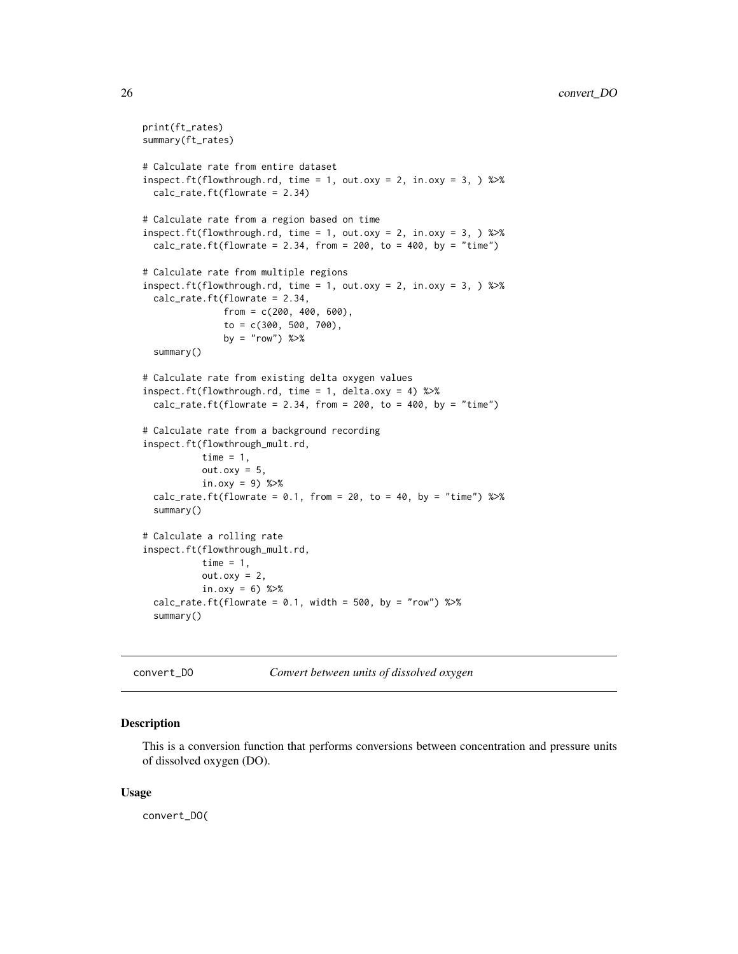```
print(ft_rates)
summary(ft_rates)
# Calculate rate from entire dataset
inspect.ft(flowthrough.rd, time = 1, out.oxy = 2, in.oxy = 3, \gg\calc_rate.ft(flowrate = 2.34)
# Calculate rate from a region based on time
inspect.ft(flowthrough.rd, time = 1, out.oxy = 2, in.oxy = 3, \gg%
 calc_rate.ft(flowrate = 2.34, from = 200, to = 400, by = "time")
# Calculate rate from multiple regions
inspect.ft(flowthrough.rd, time = 1, out.oxy = 2, in.oxy = 3, \gg\calc_rate.ft(flowrate = 2.34,
               from = c(200, 400, 600),
               to = c(300, 500, 700),
              by = "row") %>%
 summary()
# Calculate rate from existing delta oxygen values
inspect.ft(flowthrough.rd, time = 1, delta.oxy = 4) %>%
 calc_rate.ft(flowrate = 2.34, from = 200, to = 400, by = "time")
# Calculate rate from a background recording
inspect.ft(flowthrough_mult.rd,
           time = 1,
           out.oxy = 5,
           in.oxy = 9) %>%
 calc_rate.ft(flowrate = 0.1, from = 20, to = 40, by = "time") %>%
 summary()
# Calculate a rolling rate
inspect.ft(flowthrough_mult.rd,
           time = 1,
           out.oxy = 2,
           in.oxy = 6) %>%
 calc_rate.ft(flowrate = 0.1, width = 500, by = "row") %>%
 summary()
```
<span id="page-25-1"></span>

convert\_DO *Convert between units of dissolved oxygen*

#### Description

This is a conversion function that performs conversions between concentration and pressure units of dissolved oxygen (DO).

## Usage

convert\_DO(

<span id="page-25-0"></span>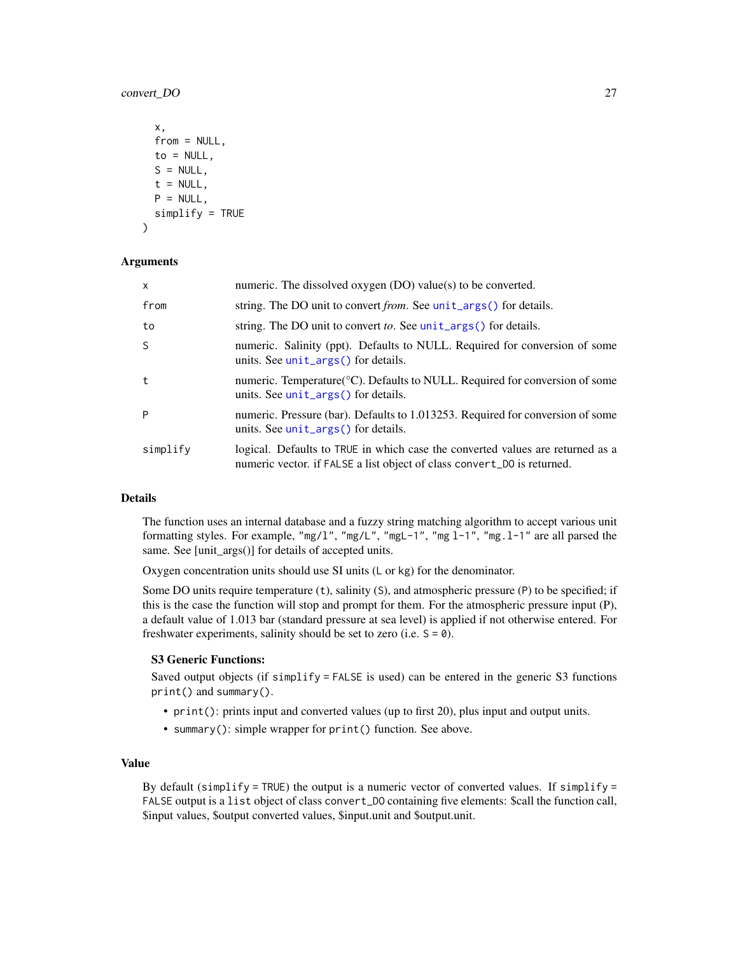# convert\_DO 27

```
x,
  from = NULL,to = NULL,
 S = NULL,t = NULL,P = NULL,simplify = TRUE
\lambda
```
### Arguments

| $\mathsf{x}$ | numeric. The dissolved oxygen (DO) value(s) to be converted.                                                                                              |
|--------------|-----------------------------------------------------------------------------------------------------------------------------------------------------------|
| from         | string. The DO unit to convert from. See unit_args() for details.                                                                                         |
| to           | string. The DO unit to convert to. See unit_args() for details.                                                                                           |
| S            | numeric. Salinity (ppt). Defaults to NULL. Required for conversion of some<br>units. See unit_args() for details.                                         |
| t            | numeric. Temperature(°C). Defaults to NULL. Required for conversion of some<br>units. See unit_args() for details.                                        |
| P            | numeric. Pressure (bar). Defaults to 1.013253. Required for conversion of some<br>units. See $unit_{args}()$ for details.                                 |
| simplify     | logical. Defaults to TRUE in which case the converted values are returned as a<br>numeric vector. if FALSE a list object of class convert_DO is returned. |

#### Details

The function uses an internal database and a fuzzy string matching algorithm to accept various unit formatting styles. For example, "mg/l", "mg/L", "mgL-1", "mg l-1", "mg.l-1" are all parsed the same. See [unit\_args()] for details of accepted units.

Oxygen concentration units should use SI units (L or kg) for the denominator.

Some DO units require temperature (t), salinity (S), and atmospheric pressure (P) to be specified; if this is the case the function will stop and prompt for them. For the atmospheric pressure input (P), a default value of 1.013 bar (standard pressure at sea level) is applied if not otherwise entered. For freshwater experiments, salinity should be set to zero (i.e.  $S = \emptyset$ ).

#### S3 Generic Functions:

Saved output objects (if  $simplify = FALSE$  is used) can be entered in the generic S3 functions print() and summary().

- print(): prints input and converted values (up to first 20), plus input and output units.
- summary(): simple wrapper for print() function. See above.

# Value

By default (simplify = TRUE) the output is a numeric vector of converted values. If simplify = FALSE output is a list object of class convert\_DO containing five elements: \$call the function call, \$input values, \$output converted values, \$input.unit and \$output.unit.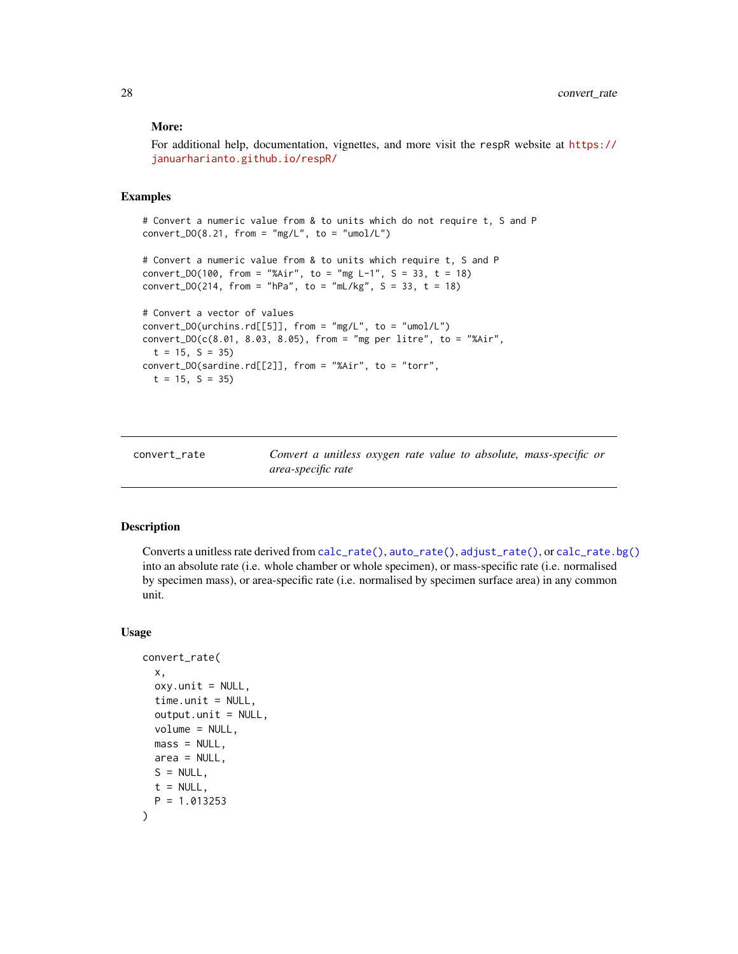# <span id="page-27-0"></span>More:

For additional help, documentation, vignettes, and more visit the respR website at [https://](https://januarharianto.github.io/respR/) [januarharianto.github.io/respR/](https://januarharianto.github.io/respR/)

# Examples

# Convert a numeric value from & to units which do not require t, S and P  $convert\_DO(8.21, from = "mg/L", to = "umol/L")$ 

```
# Convert a numeric value from & to units which require t, S and P
convert_DO(100, from = "%Air", to = "mg L-1", S = 33, t = 18)
convert_DO(214, from = "hPa", to = "mL/kg", S = 33, t = 18)
```

```
# Convert a vector of values
convert\_DO(urchins.rd[[5]], from = "mg/L", to = "umol/L")convert\_DO(c(8.01, 8.03, 8.05), from = "mg per litre", to = "%Air",t = 15, S = 35convert_DO(sardine.rd[[2]], from = "%Air", to = "torr",
  t = 15, S = 35
```
<span id="page-27-1"></span>convert\_rate *Convert a unitless oxygen rate value to absolute, mass-specific or area-specific rate*

#### Description

Converts a unitless rate derived from [calc\\_rate\(\)](#page-17-1), [auto\\_rate\(\)](#page-11-1), [adjust\\_rate\(\)](#page-2-1), or [calc\\_rate.bg\(\)](#page-19-1) into an absolute rate (i.e. whole chamber or whole specimen), or mass-specific rate (i.e. normalised by specimen mass), or area-specific rate (i.e. normalised by specimen surface area) in any common unit.

#### Usage

```
convert_rate(
  x,
  oxy.unit = NULL,
  time.unit = NULL,
  output.unit = NULL,
  volume = NULL,
  mass = NULL,
  area = NULL,
  S = NULL,
  t = NULL,P = 1.013253)
```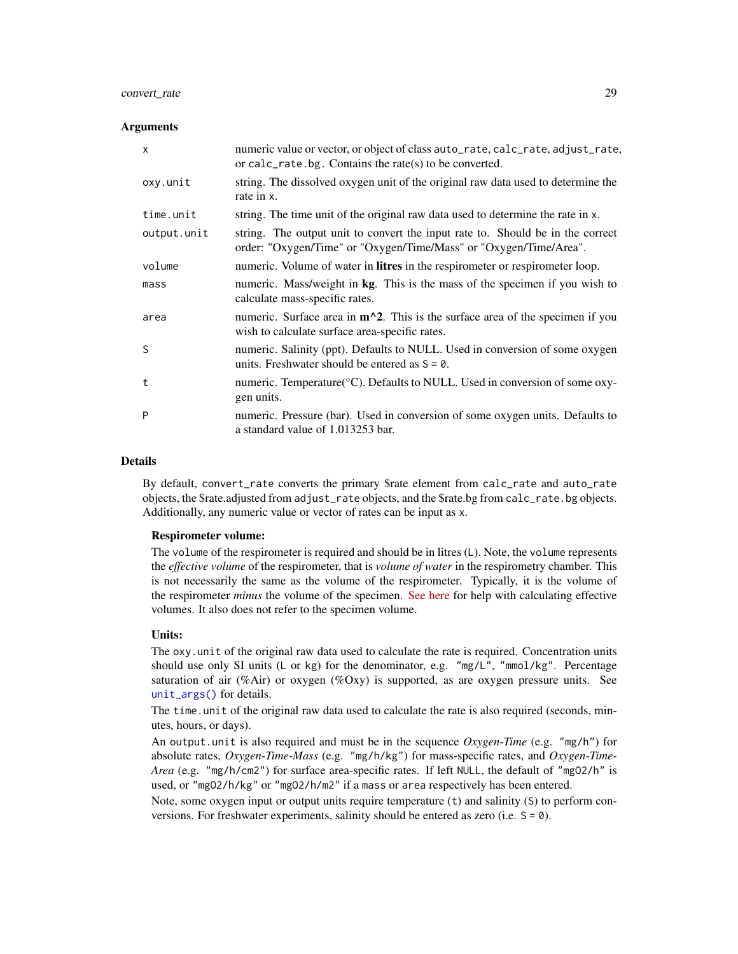# convert\_rate 29

# **Arguments**

| $\mathsf{x}$ | numeric value or vector, or object of class auto_rate, calc_rate, adjust_rate,<br>or calc $_{\text{rate}}$ ate bg. Contains the rate(s) to be converted. |
|--------------|----------------------------------------------------------------------------------------------------------------------------------------------------------|
| oxy.unit     | string. The dissolved oxygen unit of the original raw data used to determine the<br>rate in x.                                                           |
| time.unit    | string. The time unit of the original raw data used to determine the rate in x.                                                                          |
| output.unit  | string. The output unit to convert the input rate to. Should be in the correct<br>order: "Oxygen/Time" or "Oxygen/Time/Mass" or "Oxygen/Time/Area".      |
| volume       | numeric. Volume of water in <b>litres</b> in the respirometer or respirometer loop.                                                                      |
| mass         | numeric. Mass/weight in kg. This is the mass of the specimen if you wish to<br>calculate mass-specific rates.                                            |
| area         | numeric. Surface area in $m^2$ . This is the surface area of the specimen if you<br>wish to calculate surface area-specific rates.                       |
| <sub>S</sub> | numeric. Salinity (ppt). Defaults to NULL. Used in conversion of some oxygen<br>units. Freshwater should be entered as $S = \emptyset$ .                 |
| t            | numeric. Temperature(°C). Defaults to NULL. Used in conversion of some oxy-<br>gen units.                                                                |
| P            | numeric. Pressure (bar). Used in conversion of some oxygen units. Defaults to<br>a standard value of 1.013253 bar.                                       |

#### Details

By default, convert\_rate converts the primary \$rate element from calc\_rate and auto\_rate objects, the \$rate.adjusted from adjust\_rate objects, and the \$rate.bg from calc\_rate.bg objects. Additionally, any numeric value or vector of rates can be input as x.

# Respirometer volume:

The volume of the respirometer is required and should be in litres (L). Note, the volume represents the *effective volume* of the respirometer, that is *volume of water* in the respirometry chamber. This is not necessarily the same as the volume of the respirometer. Typically, it is the volume of the respirometer *minus* the volume of the specimen. [See here](https://github.com/nicholascarey/respfun#eff_vol) for help with calculating effective volumes. It also does not refer to the specimen volume.

#### Units:

The oxy.unit of the original raw data used to calculate the rate is required. Concentration units should use only SI units (L or kg) for the denominator, e.g. "mg/L", "mmol/kg". Percentage saturation of air (%Air) or oxygen (%Oxy) is supported, as are oxygen pressure units. See [unit\\_args\(\)](#page-93-1) for details.

The time.unit of the original raw data used to calculate the rate is also required (seconds, minutes, hours, or days).

An output.unit is also required and must be in the sequence *Oxygen-Time* (e.g. "mg/h") for absolute rates, *Oxygen-Time-Mass* (e.g. "mg/h/kg") for mass-specific rates, and *Oxygen-Time-Area* (e.g. "mg/h/cm2") for surface area-specific rates. If left NULL, the default of "mgO2/h" is used, or "mgO2/h/kg" or "mgO2/h/m2" if a mass or area respectively has been entered.

Note, some oxygen input or output units require temperature (t) and salinity (S) to perform conversions. For freshwater experiments, salinity should be entered as zero (i.e. S = 0).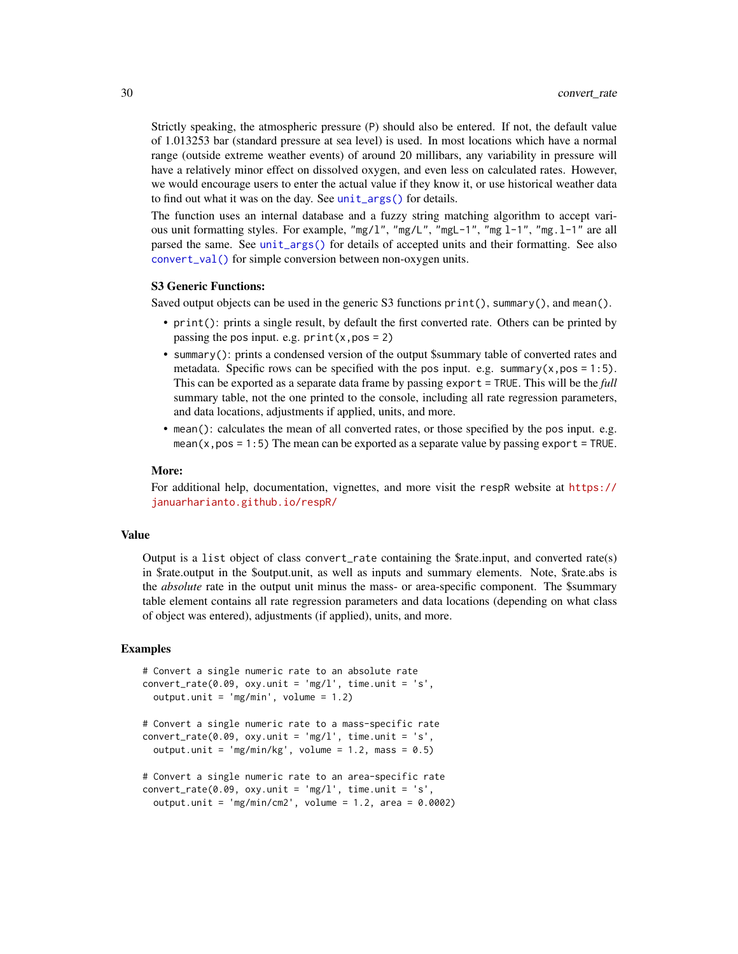Strictly speaking, the atmospheric pressure (P) should also be entered. If not, the default value of 1.013253 bar (standard pressure at sea level) is used. In most locations which have a normal range (outside extreme weather events) of around 20 millibars, any variability in pressure will have a relatively minor effect on dissolved oxygen, and even less on calculated rates. However, we would encourage users to enter the actual value if they know it, or use historical weather data to find out what it was on the day. See [unit\\_args\(\)](#page-93-1) for details.

The function uses an internal database and a fuzzy string matching algorithm to accept various unit formatting styles. For example, "mg/l", "mg/L", "mgL-1", "mg l-1", "mg.l-1" are all parsed the same. See [unit\\_args\(\)](#page-93-1) for details of accepted units and their formatting. See also [convert\\_val\(\)](#page-33-1) for simple conversion between non-oxygen units.

# S3 Generic Functions:

Saved output objects can be used in the generic S3 functions print(), summary(), and mean().

- print(): prints a single result, by default the first converted rate. Others can be printed by passing the pos input. e.g.  $print(x, pos = 2)$
- summary(): prints a condensed version of the output \$summary table of converted rates and metadata. Specific rows can be specified with the pos input. e.g. summary( $x, pos = 1:5$ ). This can be exported as a separate data frame by passing export = TRUE. This will be the *full* summary table, not the one printed to the console, including all rate regression parameters, and data locations, adjustments if applied, units, and more.
- mean(): calculates the mean of all converted rates, or those specified by the pos input. e.g. mean( $x, pos = 1:5$ ) The mean can be exported as a separate value by passing export = TRUE.

#### More:

For additional help, documentation, vignettes, and more visit the respR website at [https://](https://januarharianto.github.io/respR/) [januarharianto.github.io/respR/](https://januarharianto.github.io/respR/)

# Value

Output is a list object of class convert\_rate containing the \$rate.input, and converted rate(s) in \$rate.output in the \$output.unit, as well as inputs and summary elements. Note, \$rate.abs is the *absolute* rate in the output unit minus the mass- or area-specific component. The \$summary table element contains all rate regression parameters and data locations (depending on what class of object was entered), adjustments (if applied), units, and more.

```
# Convert a single numeric rate to an absolute rate
convert\_rate(0.09, oxy.unit = 'mg/l', time.unit = 's',output.unit = 'mg/min', volume = 1.2)
```

```
# Convert a single numeric rate to a mass-specific rate
convert\_rate(0.09, oxy.unit = 'mg/l', time.unit = 's',output.unit = 'mg/min/kg', volume = 1.2, mass = 0.5)
```

```
# Convert a single numeric rate to an area-specific rate
convert\_rate(0.09, oxy.unit = 'mg/l', time.unit = 's',output.unit = 'mg/min/cm2', volume = 1.2, area = 0.0002)
```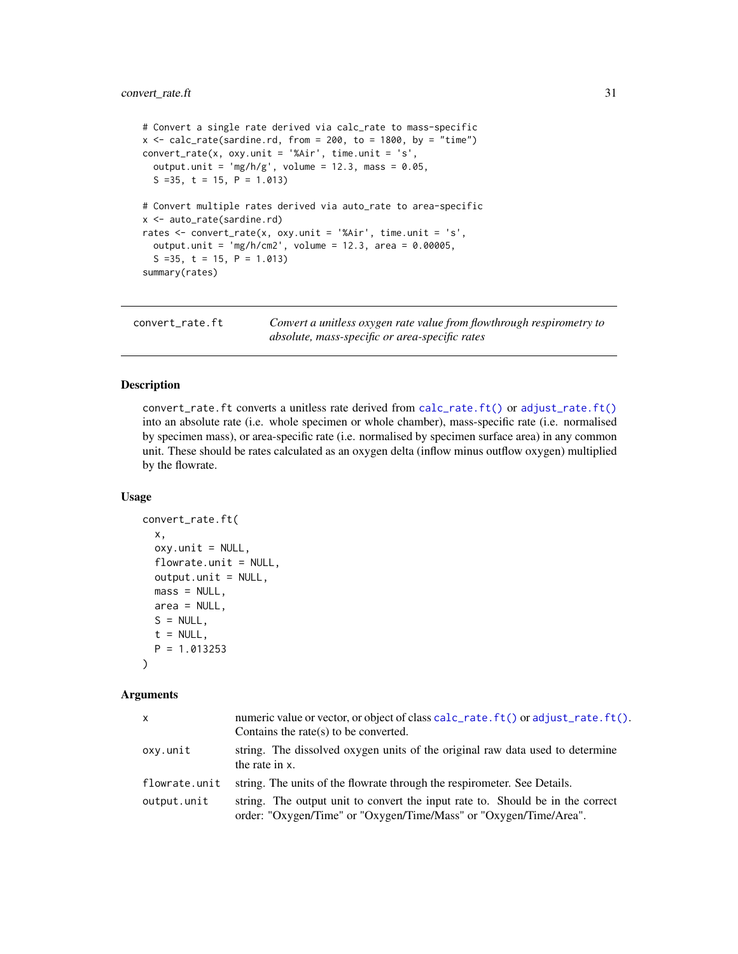```
# Convert a single rate derived via calc_rate to mass-specific
x \leq - \text{calc_rate}(\text{sardine}.\text{rd}, \text{from} = 200, \text{to} = 1800, \text{by} = \text{"time"})convert\_rate(x, oxy.unit = '%air', time.unit = 's',output.unit = 'mg/h/g', volume = 12.3, mass = 0.05,
  S = 35, t = 15, P = 1.013)
# Convert multiple rates derived via auto_rate to area-specific
x <- auto_rate(sardine.rd)
rates <- convert_rate(x, oxy.unit = '%Air', time.unit = 's',
  output.unit = 'mg/h/cm2', volume = 12.3, area = 0.00005,S = 35, t = 15, P = 1.013)
summary(rates)
```
<span id="page-30-1"></span>convert\_rate.ft *Convert a unitless oxygen rate value from flowthrough respirometry to absolute, mass-specific or area-specific rates*

# Description

convert\_rate.ft converts a unitless rate derived from [calc\\_rate.ft\(\)](#page-21-1) or [adjust\\_rate.ft\(\)](#page-7-1) into an absolute rate (i.e. whole specimen or whole chamber), mass-specific rate (i.e. normalised by specimen mass), or area-specific rate (i.e. normalised by specimen surface area) in any common unit. These should be rates calculated as an oxygen delta (inflow minus outflow oxygen) multiplied by the flowrate.

# Usage

```
convert_rate.ft(
  x,
  oxy.unit = NULL,
  flowrate.unit = NULL,
  output.unit = NULL,
  mass = NULL,
  area = NULL,
  S = NULL,t = NULL,P = 1.013253
)
```
# Arguments

| X             | numeric value or vector, or object of class calc_rate.ft() or adjust_rate.ft().<br>Contains the rate(s) to be converted.                            |
|---------------|-----------------------------------------------------------------------------------------------------------------------------------------------------|
| oxy.unit      | string. The dissolved oxygen units of the original raw data used to determine<br>the rate in x.                                                     |
| flowrate.unit | string. The units of the flowrate through the respirometer. See Details.                                                                            |
| output.unit   | string. The output unit to convert the input rate to. Should be in the correct<br>order: "Oxygen/Time" or "Oxygen/Time/Mass" or "Oxygen/Time/Area". |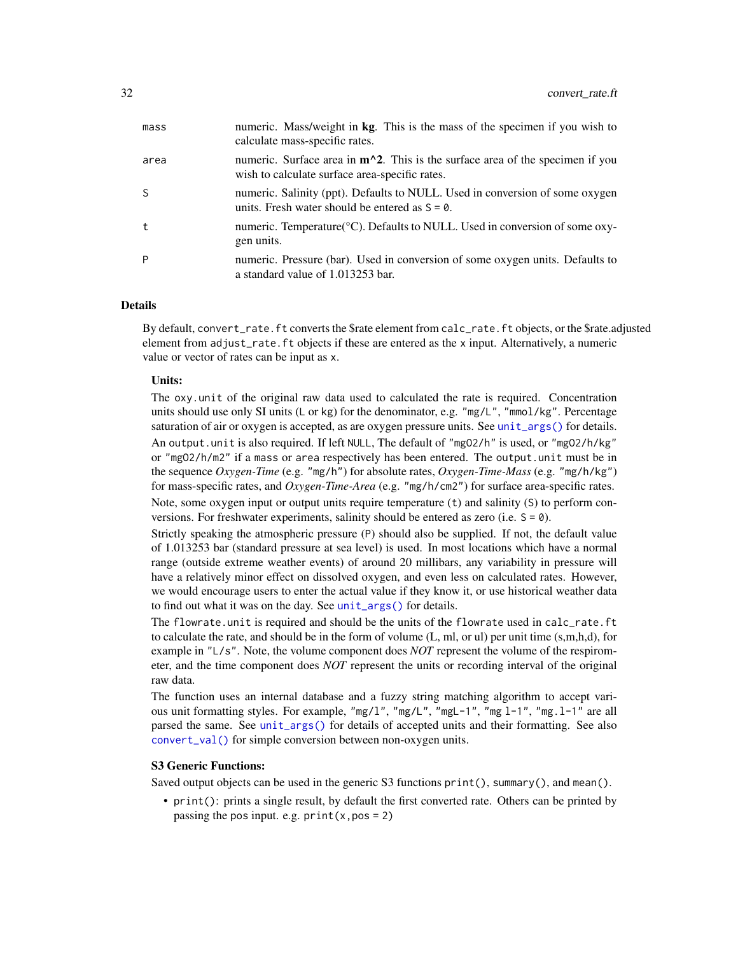| mass <sub>S</sub> | numeric. Mass/weight in kg. This is the mass of the specimen if you wish to<br>calculate mass-specific rates.                             |
|-------------------|-------------------------------------------------------------------------------------------------------------------------------------------|
| area              | numeric. Surface area in $m^2$ . This is the surface area of the specimen if you<br>wish to calculate surface area-specific rates.        |
| S                 | numeric. Salinity (ppt). Defaults to NULL. Used in conversion of some oxygen<br>units. Fresh water should be entered as $S = \emptyset$ . |
| t                 | numeric. Temperature $\mathcal{C}$ . Defaults to NULL. Used in conversion of some oxy-<br>gen units.                                      |
| P                 | numeric. Pressure (bar). Used in conversion of some oxygen units. Defaults to<br>a standard value of 1.013253 bar.                        |

# Details

By default, convert\_rate.ft converts the \$rate element from calc\_rate.ft objects, or the \$rate.adjusted element from adjust\_rate.ft objects if these are entered as the x input. Alternatively, a numeric value or vector of rates can be input as x.

#### Units:

The oxy.unit of the original raw data used to calculated the rate is required. Concentration units should use only SI units (L or kg) for the denominator, e.g. "mg/L", "mmol/kg". Percentage saturation of air or oxygen is accepted, as are oxygen pressure units. See [unit\\_args\(\)](#page-93-1) for details. An output.unit is also required. If left NULL, The default of "mgO2/h" is used, or "mgO2/h/kg" or "mgO2/h/m2" if a mass or area respectively has been entered. The output.unit must be in the sequence *Oxygen-Time* (e.g. "mg/h") for absolute rates, *Oxygen-Time-Mass* (e.g. "mg/h/kg") for mass-specific rates, and *Oxygen-Time-Area* (e.g. "mg/h/cm2") for surface area-specific rates.

Note, some oxygen input or output units require temperature (t) and salinity (S) to perform conversions. For freshwater experiments, salinity should be entered as zero (i.e.  $S = 0$ ).

Strictly speaking the atmospheric pressure (P) should also be supplied. If not, the default value of 1.013253 bar (standard pressure at sea level) is used. In most locations which have a normal range (outside extreme weather events) of around 20 millibars, any variability in pressure will have a relatively minor effect on dissolved oxygen, and even less on calculated rates. However, we would encourage users to enter the actual value if they know it, or use historical weather data to find out what it was on the day. See [unit\\_args\(\)](#page-93-1) for details.

The flowrate.unit is required and should be the units of the flowrate used in calc\_rate.ft to calculate the rate, and should be in the form of volume (L, ml, or ul) per unit time (s,m,h,d), for example in "L/s". Note, the volume component does *NOT* represent the volume of the respirometer, and the time component does *NOT* represent the units or recording interval of the original raw data.

The function uses an internal database and a fuzzy string matching algorithm to accept various unit formatting styles. For example, "mg/l", "mg/L", "mgL-1", "mg l-1", "mg.l-1" are all parsed the same. See [unit\\_args\(\)](#page-93-1) for details of accepted units and their formatting. See also [convert\\_val\(\)](#page-33-1) for simple conversion between non-oxygen units.

#### S3 Generic Functions:

Saved output objects can be used in the generic S3 functions print(), summary(), and mean().

• print(): prints a single result, by default the first converted rate. Others can be printed by passing the pos input. e.g.  $print(x, pos = 2)$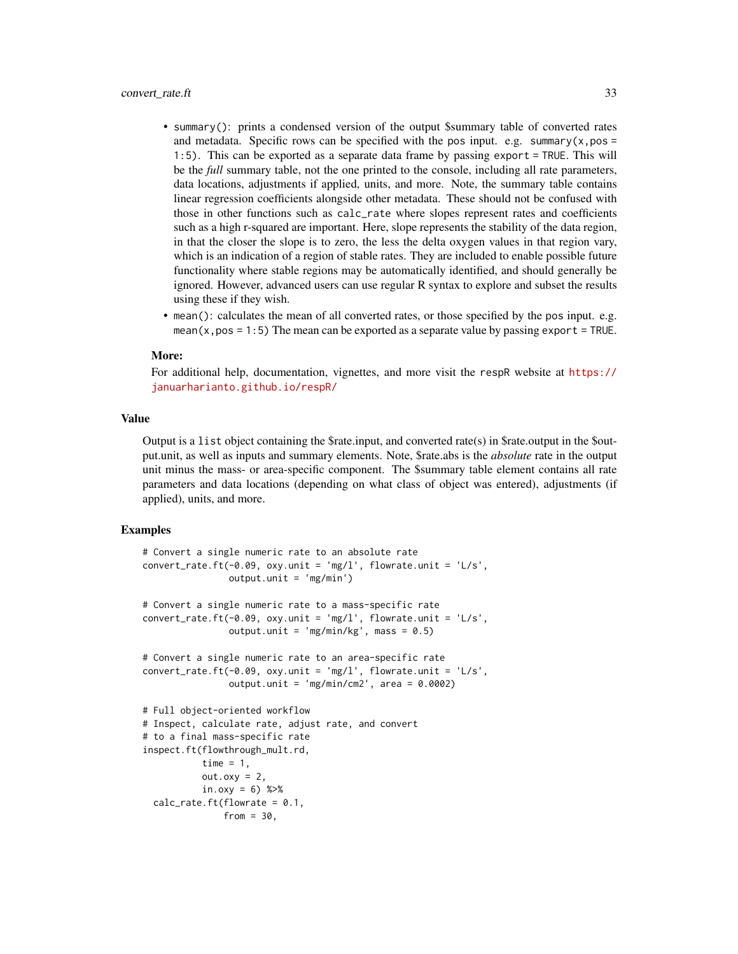- summary(): prints a condensed version of the output \$summary table of converted rates and metadata. Specific rows can be specified with the pos input. e.g. summary( $x, pos =$ 1:5). This can be exported as a separate data frame by passing export = TRUE. This will be the *full* summary table, not the one printed to the console, including all rate parameters, data locations, adjustments if applied, units, and more. Note, the summary table contains linear regression coefficients alongside other metadata. These should not be confused with those in other functions such as calc\_rate where slopes represent rates and coefficients such as a high r-squared are important. Here, slope represents the stability of the data region, in that the closer the slope is to zero, the less the delta oxygen values in that region vary, which is an indication of a region of stable rates. They are included to enable possible future functionality where stable regions may be automatically identified, and should generally be ignored. However, advanced users can use regular R syntax to explore and subset the results using these if they wish.
- mean(): calculates the mean of all converted rates, or those specified by the pos input. e.g. mean( $x, pos = 1:5$ ) The mean can be exported as a separate value by passing export = TRUE.

#### More:

For additional help, documentation, vignettes, and more visit the respR website at [https://](https://januarharianto.github.io/respR/) [januarharianto.github.io/respR/](https://januarharianto.github.io/respR/)

# Value

Output is a list object containing the \$rate.input, and converted rate(s) in \$rate.output in the \$output.unit, as well as inputs and summary elements. Note, \$rate.abs is the *absolute* rate in the output unit minus the mass- or area-specific component. The \$summary table element contains all rate parameters and data locations (depending on what class of object was entered), adjustments (if applied), units, and more.

```
# Convert a single numeric rate to an absolute rate
convert_rate.ft(-0.09, oxy.unit = 'mg/l', flowrate.unit = 'L/s',
                output.unit = 'mg/min')
# Convert a single numeric rate to a mass-specific rate
convert_rate.fit(-0.09, oxy.unit = 'mg/l', flowrate.unit = 'L/s',output.unit = mg/min/kg', mass = 0.5)
# Convert a single numeric rate to an area-specific rate
convert_rate.fit(-0.09, oxy.unit = 'mg/l', flowrate.unit = 'L/s',output.unit = \mu<sup>2</sup> mg/min/cm2', area = 0.0002)
# Full object-oriented workflow
# Inspect, calculate rate, adjust rate, and convert
# to a final mass-specific rate
inspect.ft(flowthrough_mult.rd,
           time = 1,
           out.oxy = 2,
           in.oxy = 6) %>%
 calc_rate.ft(flowrate = 0.1,from = 30,
```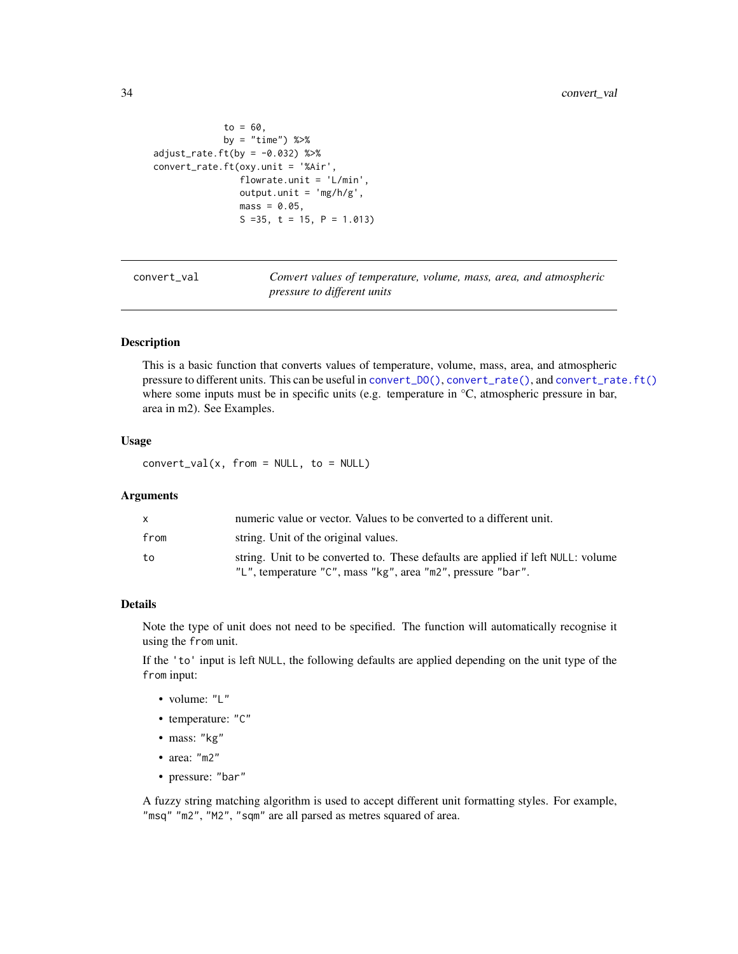```
to = 60,by = "time") %>%
adjust_rate.ft(by = -0.032) %>%
convert_rate.ft(oxy.unit = '%Air',
                flowrate.unit = 'L/min',
                output.unit = 'mg/h/g',
                mass = 0.05,S = 35, t = 15, P = 1.013)
```
<span id="page-33-1"></span>convert\_val *Convert values of temperature, volume, mass, area, and atmospheric pressure to different units*

# Description

This is a basic function that converts values of temperature, volume, mass, area, and atmospheric pressure to different units. This can be useful in [convert\\_DO\(\)](#page-25-1), [convert\\_rate\(\)](#page-27-1), and [convert\\_rate.ft\(\)](#page-30-1) where some inputs must be in specific units (e.g. temperature in  $\rm{°C}$ , atmospheric pressure in bar, area in m2). See Examples.

# Usage

 $convert\_val(x, from = NULL, to = NULL)$ 

# Arguments

| X    | numeric value or vector. Values to be converted to a different unit.             |
|------|----------------------------------------------------------------------------------|
| from | string. Unit of the original values.                                             |
| to   | string. Unit to be converted to. These defaults are applied if left NULL: volume |
|      | "L", temperature "C", mass "kg", area "m2", pressure "bar".                      |

#### Details

Note the type of unit does not need to be specified. The function will automatically recognise it using the from unit.

If the 'to' input is left NULL, the following defaults are applied depending on the unit type of the from input:

- volume: "L"
- temperature: "C"
- mass: "kg"
- area: "m2"
- pressure: "bar"

A fuzzy string matching algorithm is used to accept different unit formatting styles. For example, "msq" "m2", "M2", "sqm" are all parsed as metres squared of area.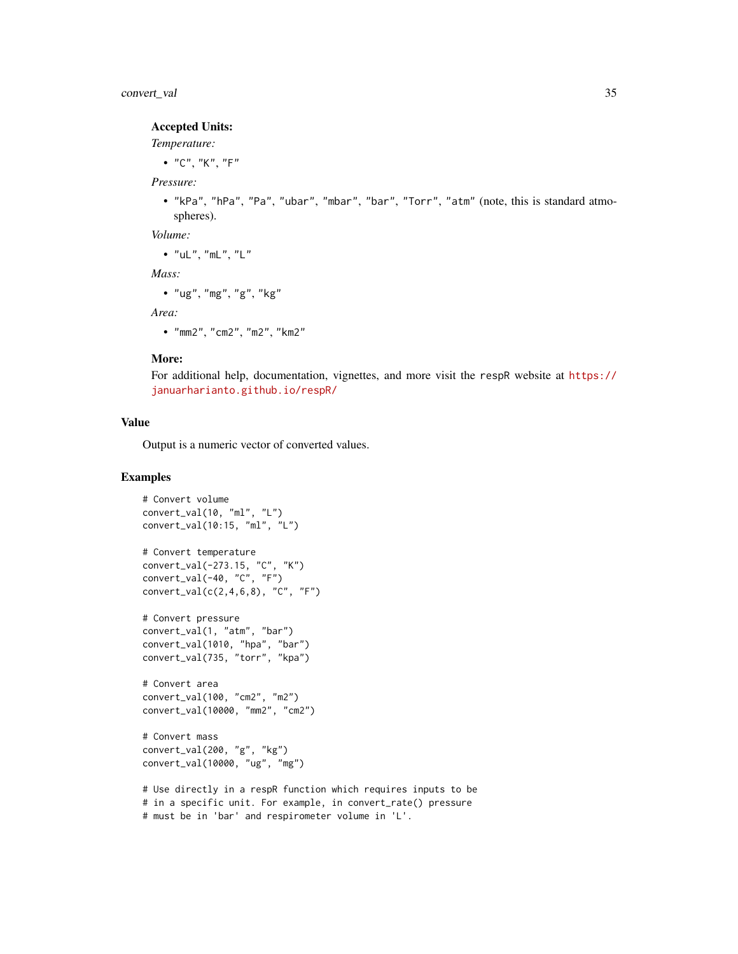# convert\_val 35

# Accepted Units:

#### *Temperature:*

 $\bullet$  "C", "K", "F"

# *Pressure:*

• "kPa", "hPa", "Pa", "ubar", "mbar", "bar", "Torr", "atm" (note, this is standard atmospheres).

*Volume:*

•  $"uL", "mL", "L"$ 

*Mass:*

```
• "ug", "mg", "g", "kg"
```
*Area:*

• "mm2", "cm2", "m2", "km2"

# More:

For additional help, documentation, vignettes, and more visit the respR website at [https://](https://januarharianto.github.io/respR/) [januarharianto.github.io/respR/](https://januarharianto.github.io/respR/)

# Value

Output is a numeric vector of converted values.

```
# Convert volume
convert_val(10, "ml", "L")
convert_val(10:15, "ml", "L")
# Convert temperature
convert_val(-273.15, "C", "K")
convert_val(-40, "C", "F")
convert_val(c(2,4,6,8), "C", "F")
# Convert pressure
convert_val(1, "atm", "bar")
convert_val(1010, "hpa", "bar")
convert_val(735, "torr", "kpa")
# Convert area
convert_val(100, "cm2", "m2")
convert_val(10000, "mm2", "cm2")
# Convert mass
convert_val(200, "g", "kg")
convert_val(10000, "ug", "mg")
# Use directly in a respR function which requires inputs to be
# in a specific unit. For example, in convert_rate() pressure
```
<sup>#</sup> must be in 'bar' and respirometer volume in 'L'.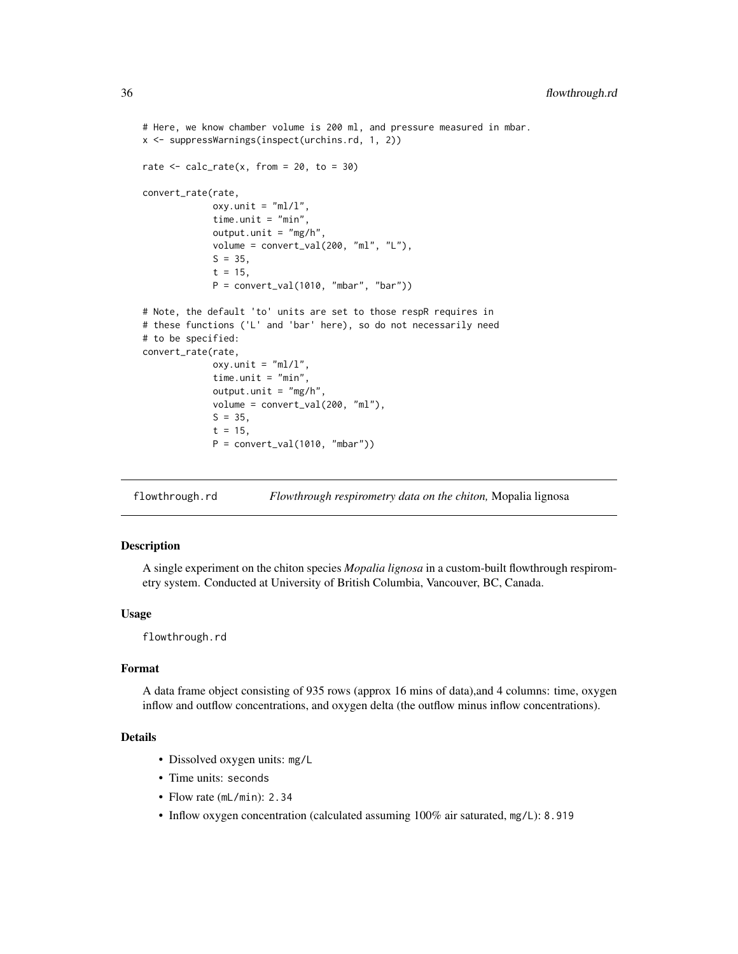```
# Here, we know chamber volume is 200 ml, and pressure measured in mbar.
x <- suppressWarnings(inspect(urchins.rd, 1, 2))
rate \le calc_rate(x, from = 20, to = 30)
convert_rate(rate,
             oxy.unit = "ml/l",
             time.unit = "min",
             output.outinit = "mg/h",volume = convert_val(200, "ml", "L"),
             S = 35,t = 15,
             P = convert_val(1010, "mbar", "bar")# Note, the default 'to' units are set to those respR requires in
# these functions ('L' and 'bar' here), so do not necessarily need
# to be specified:
convert_rate(rate,
             oxy.unit = m/l'',
             time.unit = "min",
             output.outinit = "mg/h",volume = convert_val(200, "ml"),
             S = 35,
             t = 15,
             P = convert_val(1010, "mbar"))
```
flowthrough.rd *Flowthrough respirometry data on the chiton,* Mopalia lignosa

# Description

A single experiment on the chiton species *Mopalia lignosa* in a custom-built flowthrough respirometry system. Conducted at University of British Columbia, Vancouver, BC, Canada.

## Usage

flowthrough.rd

# Format

A data frame object consisting of 935 rows (approx 16 mins of data),and 4 columns: time, oxygen inflow and outflow concentrations, and oxygen delta (the outflow minus inflow concentrations).

#### Details

- Dissolved oxygen units: mg/L
- Time units: seconds
- Flow rate (mL/min): 2.34
- Inflow oxygen concentration (calculated assuming 100% air saturated, mg/L): 8.919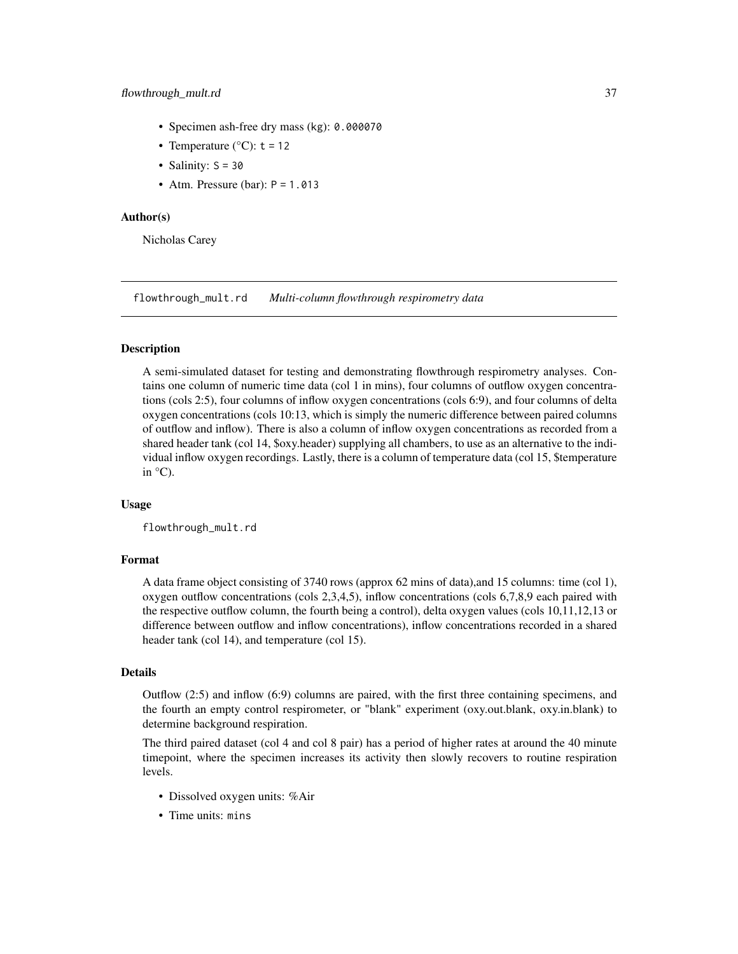- Specimen ash-free dry mass (kg): 0.000070
- Temperature ( $^{\circ}$ C): t = 12
- Salinity:  $S = 30$
- Atm. Pressure (bar):  $P = 1.013$

### Author(s)

Nicholas Carey

flowthrough\_mult.rd *Multi-column flowthrough respirometry data*

# Description

A semi-simulated dataset for testing and demonstrating flowthrough respirometry analyses. Contains one column of numeric time data (col 1 in mins), four columns of outflow oxygen concentrations (cols 2:5), four columns of inflow oxygen concentrations (cols 6:9), and four columns of delta oxygen concentrations (cols 10:13, which is simply the numeric difference between paired columns of outflow and inflow). There is also a column of inflow oxygen concentrations as recorded from a shared header tank (col 14, \$oxy.header) supplying all chambers, to use as an alternative to the individual inflow oxygen recordings. Lastly, there is a column of temperature data (col 15, \$temperature in °C).

# Usage

flowthrough\_mult.rd

### Format

A data frame object consisting of 3740 rows (approx 62 mins of data),and 15 columns: time (col 1), oxygen outflow concentrations (cols 2,3,4,5), inflow concentrations (cols 6,7,8,9 each paired with the respective outflow column, the fourth being a control), delta oxygen values (cols 10,11,12,13 or difference between outflow and inflow concentrations), inflow concentrations recorded in a shared header tank (col 14), and temperature (col 15).

## Details

Outflow (2:5) and inflow (6:9) columns are paired, with the first three containing specimens, and the fourth an empty control respirometer, or "blank" experiment (oxy.out.blank, oxy.in.blank) to determine background respiration.

The third paired dataset (col 4 and col 8 pair) has a period of higher rates at around the 40 minute timepoint, where the specimen increases its activity then slowly recovers to routine respiration levels.

- Dissolved oxygen units: %Air
- Time units: mins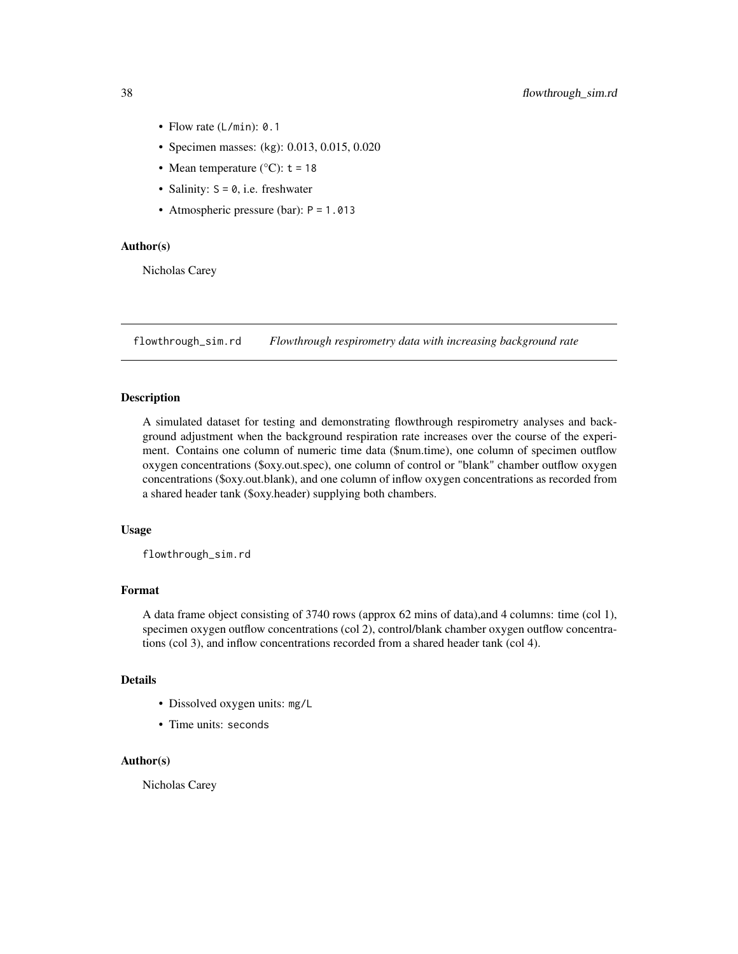- Flow rate (L/min): 0.1
- Specimen masses: (kg): 0.013, 0.015, 0.020
- Mean temperature ( $^{\circ}$ C): t = 18
- Salinity:  $S = 0$ , i.e. freshwater
- Atmospheric pressure (bar): P = 1.013

# Author(s)

Nicholas Carey

flowthrough\_sim.rd *Flowthrough respirometry data with increasing background rate*

# Description

A simulated dataset for testing and demonstrating flowthrough respirometry analyses and background adjustment when the background respiration rate increases over the course of the experiment. Contains one column of numeric time data (\$num.time), one column of specimen outflow oxygen concentrations (\$oxy.out.spec), one column of control or "blank" chamber outflow oxygen concentrations (\$oxy.out.blank), and one column of inflow oxygen concentrations as recorded from a shared header tank (\$oxy.header) supplying both chambers.

### Usage

flowthrough\_sim.rd

## Format

A data frame object consisting of 3740 rows (approx 62 mins of data),and 4 columns: time (col 1), specimen oxygen outflow concentrations (col 2), control/blank chamber oxygen outflow concentrations (col 3), and inflow concentrations recorded from a shared header tank (col 4).

## Details

- Dissolved oxygen units: mg/L
- Time units: seconds

## Author(s)

Nicholas Carey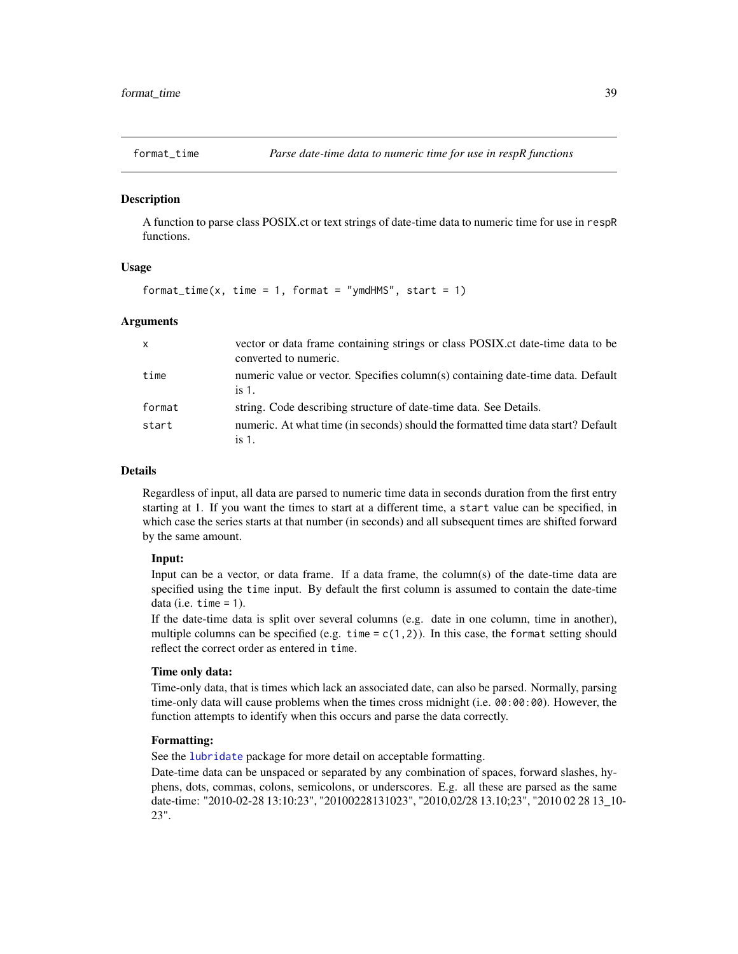### Description

A function to parse class POSIX.ct or text strings of date-time data to numeric time for use in respR functions.

### Usage

format\_time(x, time = 1, format = "ymdHMS", start = 1)

### Arguments

| $\mathsf{X}$ | vector or data frame containing strings or class POSIX.ct date-time data to be<br>converted to numeric. |
|--------------|---------------------------------------------------------------------------------------------------------|
| time         | numeric value or vector. Specifies column(s) containing date-time data. Default<br>is $1$ .             |
| format       | string. Code describing structure of date-time data. See Details.                                       |
| start        | numeric. At what time (in seconds) should the formatted time data start? Default<br>is $1$ .            |

### Details

Regardless of input, all data are parsed to numeric time data in seconds duration from the first entry starting at 1. If you want the times to start at a different time, a start value can be specified, in which case the series starts at that number (in seconds) and all subsequent times are shifted forward by the same amount.

#### Input:

Input can be a vector, or data frame. If a data frame, the column(s) of the date-time data are specified using the time input. By default the first column is assumed to contain the date-time data (i.e.  $time = 1$ ).

If the date-time data is split over several columns (e.g. date in one column, time in another), multiple columns can be specified (e.g. time =  $c(1,2)$ ). In this case, the format setting should reflect the correct order as entered in time.

#### Time only data:

Time-only data, that is times which lack an associated date, can also be parsed. Normally, parsing time-only data will cause problems when the times cross midnight (i.e. 00:00:00). However, the function attempts to identify when this occurs and parse the data correctly.

#### Formatting:

See the [lubridate](#page-0-0) package for more detail on acceptable formatting.

Date-time data can be unspaced or separated by any combination of spaces, forward slashes, hyphens, dots, commas, colons, semicolons, or underscores. E.g. all these are parsed as the same date-time: "2010-02-28 13:10:23", "20100228131023", "2010,02/28 13.10;23", "2010 02 28 13\_10- 23".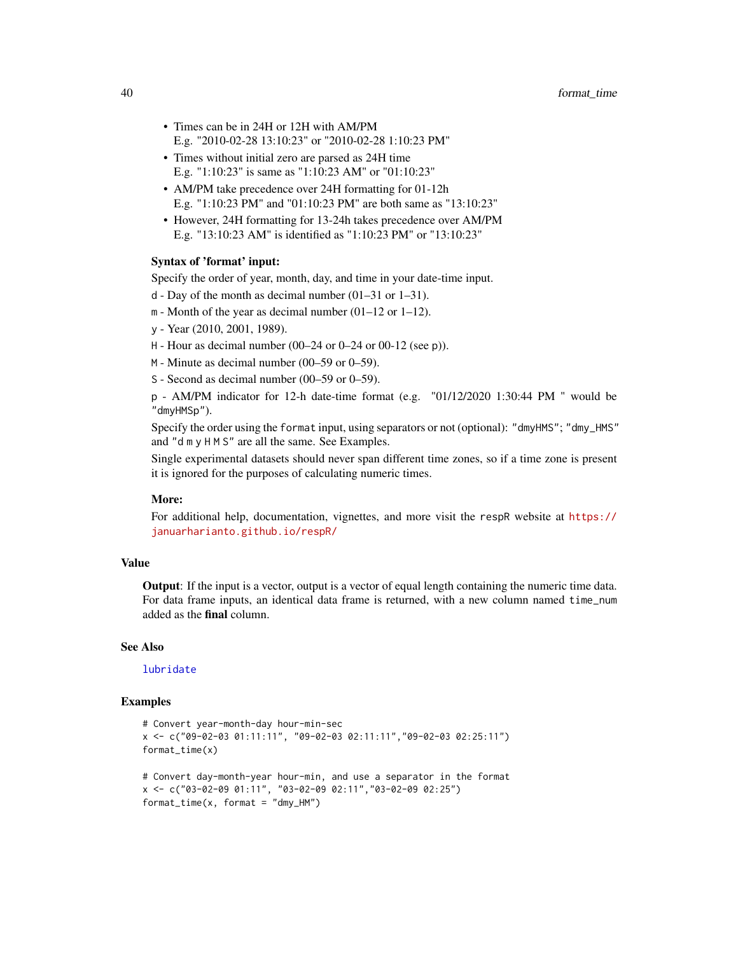- Times can be in 24H or 12H with AM/PM E.g. "2010-02-28 13:10:23" or "2010-02-28 1:10:23 PM"
- Times without initial zero are parsed as 24H time E.g. "1:10:23" is same as "1:10:23 AM" or "01:10:23"
- AM/PM take precedence over 24H formatting for 01-12h E.g. "1:10:23 PM" and "01:10:23 PM" are both same as "13:10:23"
- However, 24H formatting for 13-24h takes precedence over AM/PM E.g. "13:10:23 AM" is identified as "1:10:23 PM" or "13:10:23"

#### Syntax of 'format' input:

Specify the order of year, month, day, and time in your date-time input.

- d Day of the month as decimal number (01–31 or 1–31).
- m Month of the year as decimal number (01–12 or 1–12).
- y Year (2010, 2001, 1989).
- H Hour as decimal number (00–24 or 0–24 or 00-12 (see p)).
- M Minute as decimal number (00–59 or 0–59).
- S Second as decimal number (00–59 or 0–59).

p - AM/PM indicator for 12-h date-time format (e.g. "01/12/2020 1:30:44 PM " would be "dmyHMSp").

Specify the order using the format input, using separators or not (optional): "dmyHMS"; "dmy\_HMS" and "d m y H M S" are all the same. See Examples.

Single experimental datasets should never span different time zones, so if a time zone is present it is ignored for the purposes of calculating numeric times.

### More:

For additional help, documentation, vignettes, and more visit the respR website at [https://](https://januarharianto.github.io/respR/) [januarharianto.github.io/respR/](https://januarharianto.github.io/respR/)

## Value

Output: If the input is a vector, output is a vector of equal length containing the numeric time data. For data frame inputs, an identical data frame is returned, with a new column named time\_num added as the **final** column.

#### See Also

[lubridate](#page-0-0)

### Examples

```
# Convert year-month-day hour-min-sec
x <- c("09-02-03 01:11:11", "09-02-03 02:11:11","09-02-03 02:25:11")
format_time(x)
# Convert day-month-year hour-min, and use a separator in the format
x <- c("03-02-09 01:11", "03-02-09 02:11","03-02-09 02:25")
format_time(x, format = "dmy_HM")
```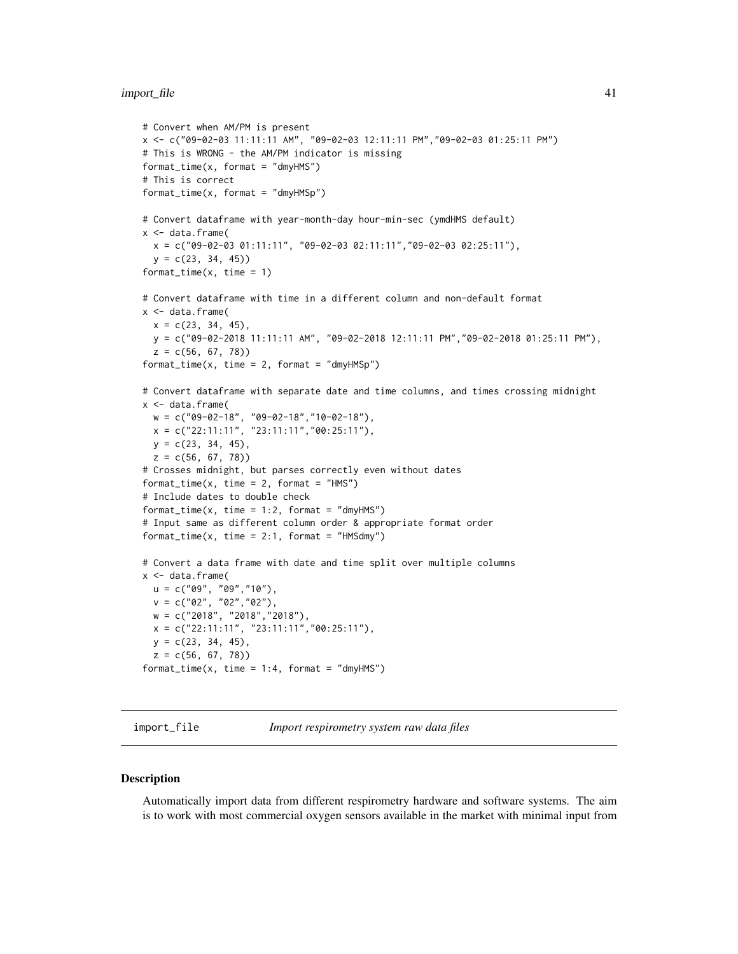#### import\_file 41

```
# Convert when AM/PM is present
x <- c("09-02-03 11:11:11 AM", "09-02-03 12:11:11 PM","09-02-03 01:25:11 PM")
# This is WRONG - the AM/PM indicator is missing
format_time(x, format = "dmyHMS")
# This is correct
format_time(x, format = "dmyHMSp")# Convert dataframe with year-month-day hour-min-sec (ymdHMS default)
x < - data.frame(
  x = c("09-02-03 01:11:11", "09-02-03 02:11:11", "09-02-03 02:25:11"),y = c(23, 34, 45)format_time(x, time = 1)# Convert dataframe with time in a different column and non-default format
x <- data.frame(
  x = c(23, 34, 45),
  y = c("09-02-2018 11:11:11 AM", "09-02-2018 12:11:11 PM","09-02-2018 01:25:11 PM"),
  z = c(56, 67, 78)format_time(x, time = 2, format = "dmyHMSp")# Convert dataframe with separate date and time columns, and times crossing midnight
x <- data.frame(
  w = c("09-02-18", "09-02-18","10-02-18"),
  x = c("22:11:11", "23:11:11", "00:25:11"),y = c(23, 34, 45),
  z = c(56, 67, 78)# Crosses midnight, but parses correctly even without dates
format_time(x, time = 2, format = "HMS")# Include dates to double check
format_time(x, time = 1:2, format = "dmyHMS")
# Input same as different column order & appropriate format order
format_time(x, time = 2:1, format = "HMSdmy")# Convert a data frame with date and time split over multiple columns
x < - data.frame(
 u = c("09", "09", "10"),
  v = c("02", "02", "02"),w = c("2018", "2018","2018"),
  x = c("22:11:11", "23:11:11", "00:25:11"),y = c(23, 34, 45),
  z = c(56, 67, 78)format_time(x, time = 1:4, format = "dmyHMS")
```
import\_file *Import respirometry system raw data files*

#### **Description**

Automatically import data from different respirometry hardware and software systems. The aim is to work with most commercial oxygen sensors available in the market with minimal input from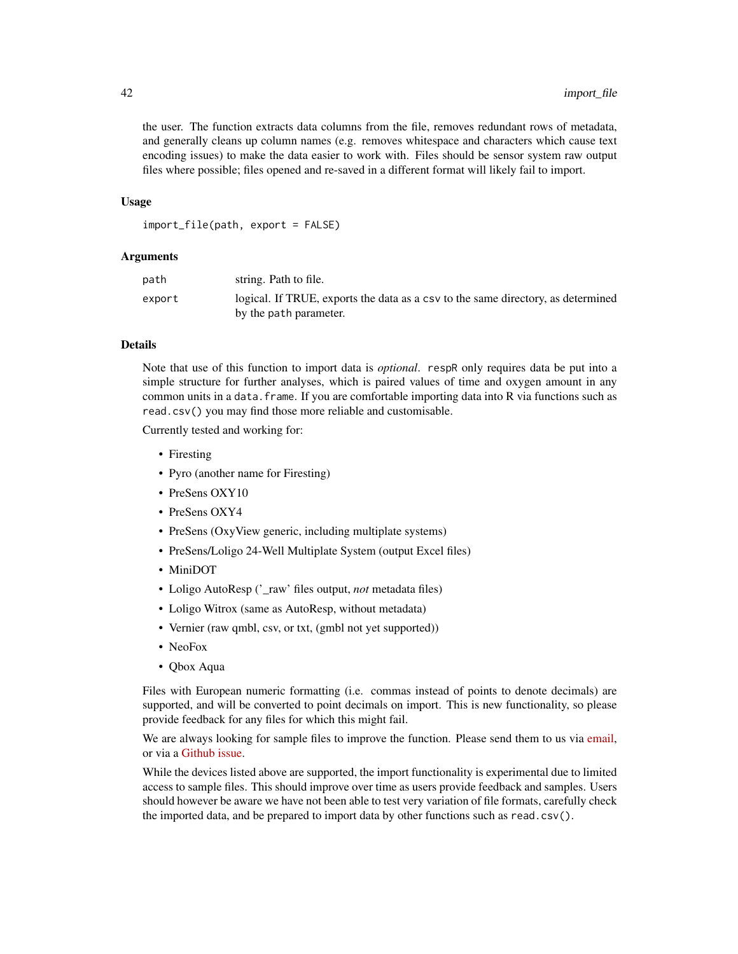the user. The function extracts data columns from the file, removes redundant rows of metadata, and generally cleans up column names (e.g. removes whitespace and characters which cause text encoding issues) to make the data easier to work with. Files should be sensor system raw output files where possible; files opened and re-saved in a different format will likely fail to import.

#### Usage

import\_file(path, export = FALSE)

#### Arguments

| path   | string. Path to file.                                                            |
|--------|----------------------------------------------------------------------------------|
| export | logical. If TRUE, exports the data as a csy to the same directory, as determined |
|        | by the path parameter.                                                           |

# Details

Note that use of this function to import data is *optional*. respR only requires data be put into a simple structure for further analyses, which is paired values of time and oxygen amount in any common units in a data. frame. If you are comfortable importing data into R via functions such as read.csv() you may find those more reliable and customisable.

Currently tested and working for:

- Firesting
- Pyro (another name for Firesting)
- PreSens OXY10
- PreSens OXY4
- PreSens (OxyView generic, including multiplate systems)
- PreSens/Loligo 24-Well Multiplate System (output Excel files)
- MiniDOT
- Loligo AutoResp ('\_raw' files output, *not* metadata files)
- Loligo Witrox (same as AutoResp, without metadata)
- Vernier (raw qmbl, csv, or txt, (gmbl not yet supported))
- NeoFox
- Qbox Aqua

Files with European numeric formatting (i.e. commas instead of points to denote decimals) are supported, and will be converted to point decimals on import. This is new functionality, so please provide feedback for any files for which this might fail.

We are always looking for sample files to improve the function. Please send them to us via [email,](mailto:nicholascarey@gmail.com) or via a [Github issue.](https://github.com/januarharianto/respR/issues)

While the devices listed above are supported, the import functionality is experimental due to limited access to sample files. This should improve over time as users provide feedback and samples. Users should however be aware we have not been able to test very variation of file formats, carefully check the imported data, and be prepared to import data by other functions such as read.csv().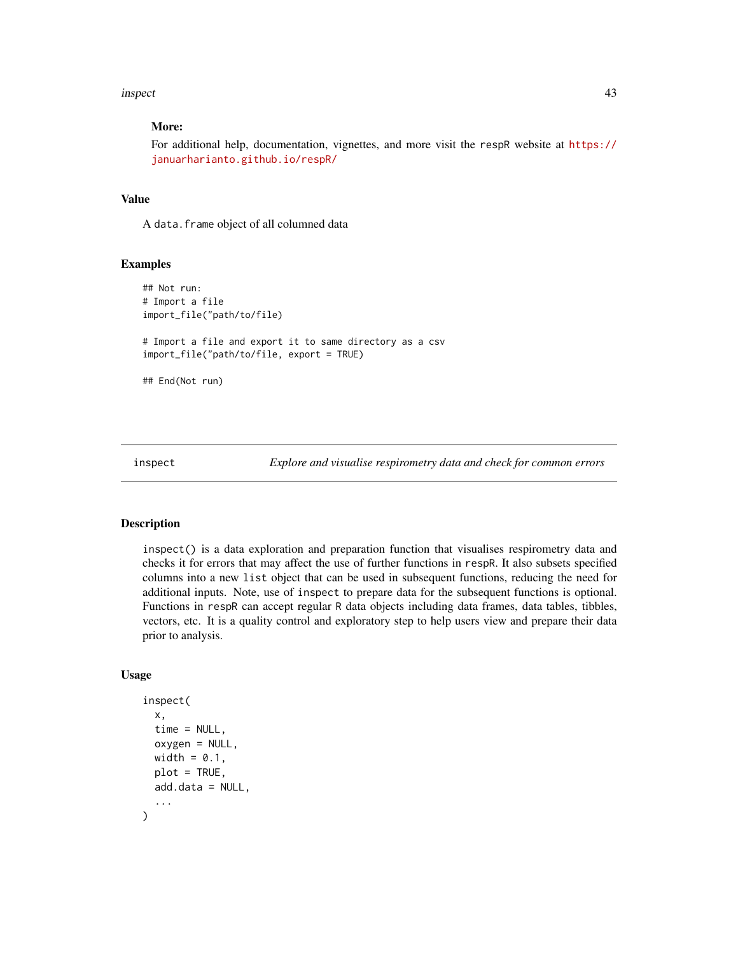#### inspect 43

## More:

For additional help, documentation, vignettes, and more visit the respR website at [https://](https://januarharianto.github.io/respR/) [januarharianto.github.io/respR/](https://januarharianto.github.io/respR/)

## Value

A data.frame object of all columned data

## Examples

```
## Not run:
# Import a file
import_file("path/to/file)
# Import a file and export it to same directory as a csv
import_file("path/to/file, export = TRUE)
## End(Not run)
```
inspect *Explore and visualise respirometry data and check for common errors*

#### Description

inspect() is a data exploration and preparation function that visualises respirometry data and checks it for errors that may affect the use of further functions in respR. It also subsets specified columns into a new list object that can be used in subsequent functions, reducing the need for additional inputs. Note, use of inspect to prepare data for the subsequent functions is optional. Functions in respR can accept regular R data objects including data frames, data tables, tibbles, vectors, etc. It is a quality control and exploratory step to help users view and prepare their data prior to analysis.

### Usage

```
inspect(
  x,
  time = NULL,
  oxygen = NULL,
 width = 0.1,
 plot = TRUE,
 add.data = NULL,...
)
```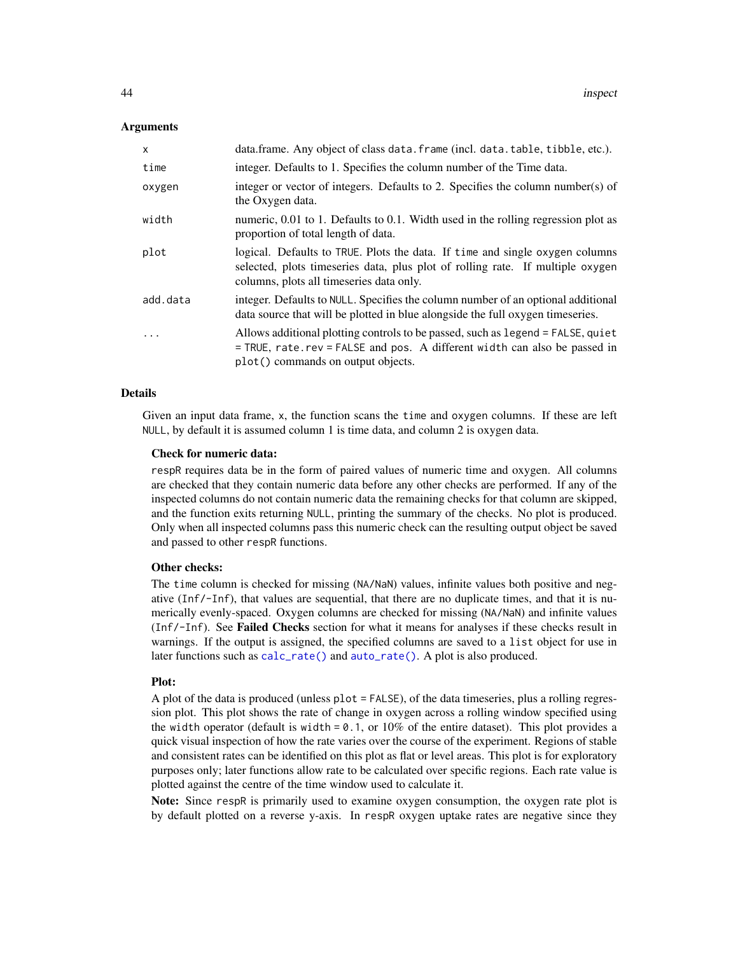### Arguments

| $\mathsf{x}$ | data.frame. Any object of class data.frame (incl. data.table, tibble, etc.).                                                                                                                               |
|--------------|------------------------------------------------------------------------------------------------------------------------------------------------------------------------------------------------------------|
| time         | integer. Defaults to 1. Specifies the column number of the Time data.                                                                                                                                      |
| oxygen       | integer or vector of integers. Defaults to 2. Specifies the column number(s) of<br>the Oxygen data.                                                                                                        |
| width        | numeric, 0.01 to 1. Defaults to 0.1. Width used in the rolling regression plot as<br>proportion of total length of data.                                                                                   |
| plot         | logical. Defaults to TRUE. Plots the data. If time and single oxygen columns<br>selected, plots timeseries data, plus plot of rolling rate. If multiple oxygen<br>columns, plots all timeseries data only. |
| add.data     | integer. Defaults to NULL. Specifies the column number of an optional additional<br>data source that will be plotted in blue alongside the full oxygen timeseries.                                         |
|              | Allows additional plotting controls to be passed, such as legend = FALSE, quiet<br>$=$ TRUE, rate. rev = FALSE and pos. A different width can also be passed in<br>plot() commands on output objects.      |

### Details

Given an input data frame, x, the function scans the time and oxygen columns. If these are left NULL, by default it is assumed column 1 is time data, and column 2 is oxygen data.

#### Check for numeric data:

respR requires data be in the form of paired values of numeric time and oxygen. All columns are checked that they contain numeric data before any other checks are performed. If any of the inspected columns do not contain numeric data the remaining checks for that column are skipped, and the function exits returning NULL, printing the summary of the checks. No plot is produced. Only when all inspected columns pass this numeric check can the resulting output object be saved and passed to other respR functions.

#### Other checks:

The time column is checked for missing (NA/NaN) values, infinite values both positive and negative (Inf/-Inf), that values are sequential, that there are no duplicate times, and that it is numerically evenly-spaced. Oxygen columns are checked for missing (NA/NaN) and infinite values (Inf/-Inf). See Failed Checks section for what it means for analyses if these checks result in warnings. If the output is assigned, the specified columns are saved to a list object for use in later functions such as [calc\\_rate\(\)](#page-17-0) and [auto\\_rate\(\)](#page-11-0). A plot is also produced.

#### Plot:

A plot of the data is produced (unless plot = FALSE), of the data timeseries, plus a rolling regression plot. This plot shows the rate of change in oxygen across a rolling window specified using the width operator (default is width =  $0.1$ , or  $10\%$  of the entire dataset). This plot provides a quick visual inspection of how the rate varies over the course of the experiment. Regions of stable and consistent rates can be identified on this plot as flat or level areas. This plot is for exploratory purposes only; later functions allow rate to be calculated over specific regions. Each rate value is plotted against the centre of the time window used to calculate it.

Note: Since respR is primarily used to examine oxygen consumption, the oxygen rate plot is by default plotted on a reverse y-axis. In respR oxygen uptake rates are negative since they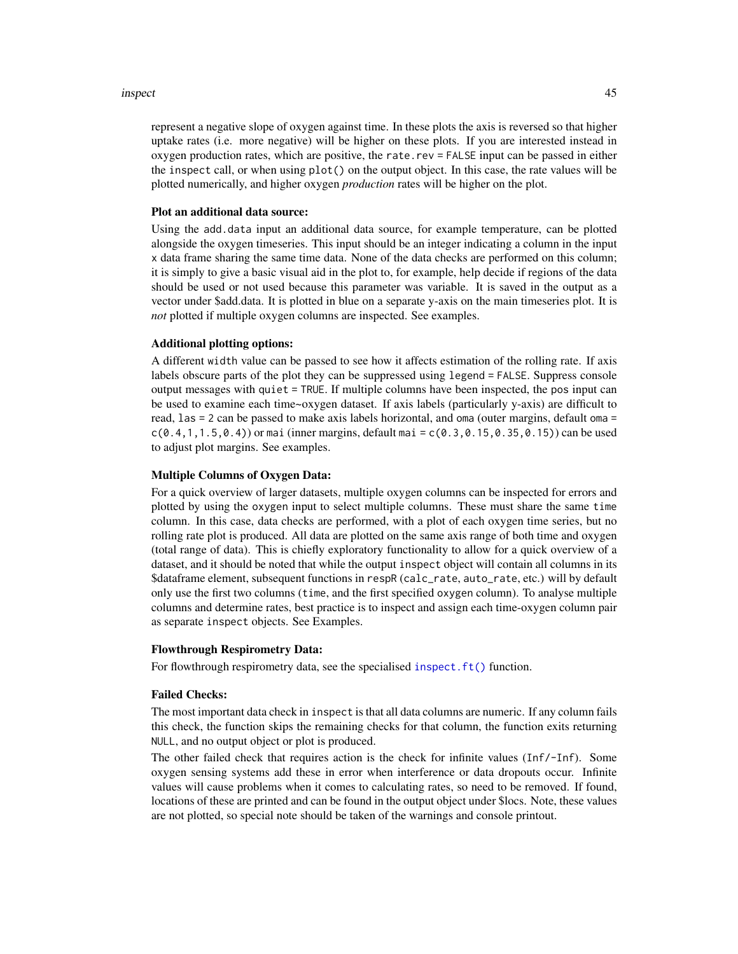#### inspect 45

represent a negative slope of oxygen against time. In these plots the axis is reversed so that higher uptake rates (i.e. more negative) will be higher on these plots. If you are interested instead in oxygen production rates, which are positive, the rate.rev = FALSE input can be passed in either the inspect call, or when using plot() on the output object. In this case, the rate values will be plotted numerically, and higher oxygen *production* rates will be higher on the plot.

#### Plot an additional data source:

Using the add.data input an additional data source, for example temperature, can be plotted alongside the oxygen timeseries. This input should be an integer indicating a column in the input x data frame sharing the same time data. None of the data checks are performed on this column; it is simply to give a basic visual aid in the plot to, for example, help decide if regions of the data should be used or not used because this parameter was variable. It is saved in the output as a vector under \$add.data. It is plotted in blue on a separate y-axis on the main timeseries plot. It is *not* plotted if multiple oxygen columns are inspected. See examples.

# Additional plotting options:

A different width value can be passed to see how it affects estimation of the rolling rate. If axis labels obscure parts of the plot they can be suppressed using legend = FALSE. Suppress console output messages with quiet = TRUE. If multiple columns have been inspected, the pos input can be used to examine each time~oxygen dataset. If axis labels (particularly y-axis) are difficult to read, las = 2 can be passed to make axis labels horizontal, and oma (outer margins, default oma =  $c(0.4, 1, 1.5, 0.4)$  or mai (inner margins, default mai =  $c(0.3, 0.15, 0.35, 0.15)$ ) can be used to adjust plot margins. See examples.

### Multiple Columns of Oxygen Data:

For a quick overview of larger datasets, multiple oxygen columns can be inspected for errors and plotted by using the oxygen input to select multiple columns. These must share the same time column. In this case, data checks are performed, with a plot of each oxygen time series, but no rolling rate plot is produced. All data are plotted on the same axis range of both time and oxygen (total range of data). This is chiefly exploratory functionality to allow for a quick overview of a dataset, and it should be noted that while the output inspect object will contain all columns in its \$dataframe element, subsequent functions in respR (calc\_rate, auto\_rate, etc.) will by default only use the first two columns (time, and the first specified oxygen column). To analyse multiple columns and determine rates, best practice is to inspect and assign each time-oxygen column pair as separate inspect objects. See Examples.

#### Flowthrough Respirometry Data:

For flowthrough respirometry data, see the specialised [inspect.ft\(\)](#page-46-0) function.

## Failed Checks:

The most important data check in inspect is that all data columns are numeric. If any column fails this check, the function skips the remaining checks for that column, the function exits returning NULL, and no output object or plot is produced.

The other failed check that requires action is the check for infinite values (Inf/-Inf). Some oxygen sensing systems add these in error when interference or data dropouts occur. Infinite values will cause problems when it comes to calculating rates, so need to be removed. If found, locations of these are printed and can be found in the output object under \$locs. Note, these values are not plotted, so special note should be taken of the warnings and console printout.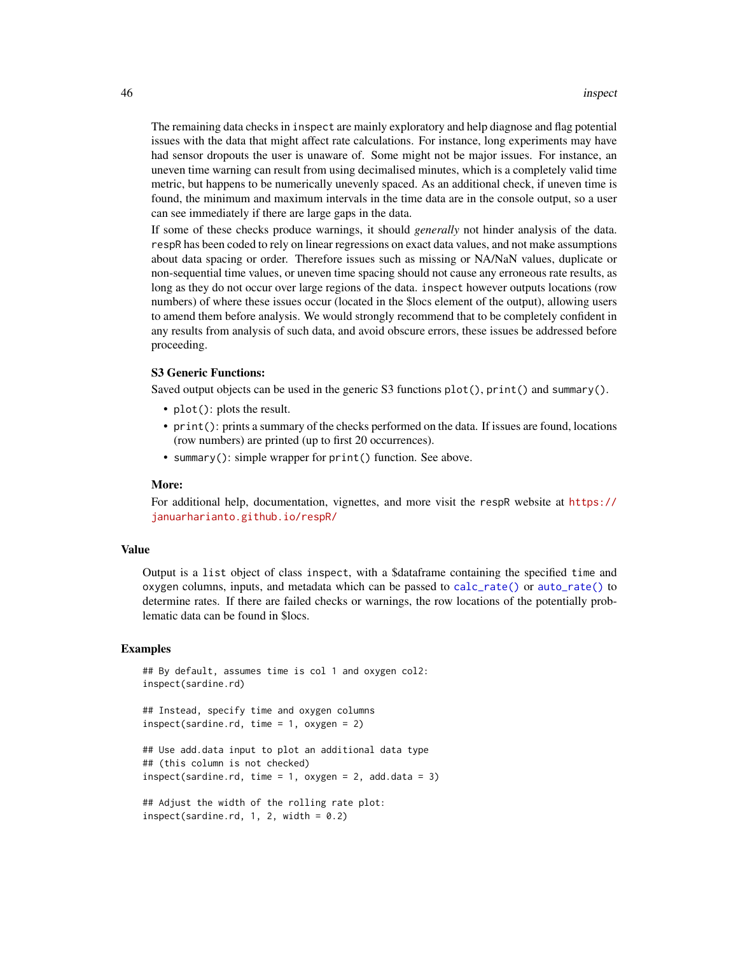The remaining data checks in inspect are mainly exploratory and help diagnose and flag potential issues with the data that might affect rate calculations. For instance, long experiments may have had sensor dropouts the user is unaware of. Some might not be major issues. For instance, an uneven time warning can result from using decimalised minutes, which is a completely valid time metric, but happens to be numerically unevenly spaced. As an additional check, if uneven time is found, the minimum and maximum intervals in the time data are in the console output, so a user can see immediately if there are large gaps in the data.

If some of these checks produce warnings, it should *generally* not hinder analysis of the data. respR has been coded to rely on linear regressions on exact data values, and not make assumptions about data spacing or order. Therefore issues such as missing or NA/NaN values, duplicate or non-sequential time values, or uneven time spacing should not cause any erroneous rate results, as long as they do not occur over large regions of the data. inspect however outputs locations (row numbers) of where these issues occur (located in the \$locs element of the output), allowing users to amend them before analysis. We would strongly recommend that to be completely confident in any results from analysis of such data, and avoid obscure errors, these issues be addressed before proceeding.

### S3 Generic Functions:

Saved output objects can be used in the generic S3 functions plot(), print() and summary().

- plot(): plots the result.
- print(): prints a summary of the checks performed on the data. If issues are found, locations (row numbers) are printed (up to first 20 occurrences).
- summary(): simple wrapper for print() function. See above.

### More:

For additional help, documentation, vignettes, and more visit the respR website at [https://](https://januarharianto.github.io/respR/) [januarharianto.github.io/respR/](https://januarharianto.github.io/respR/)

#### Value

Output is a list object of class inspect, with a \$dataframe containing the specified time and oxygen columns, inputs, and metadata which can be passed to [calc\\_rate\(\)](#page-17-0) or [auto\\_rate\(\)](#page-11-0) to determine rates. If there are failed checks or warnings, the row locations of the potentially problematic data can be found in \$locs.

#### Examples

```
## By default, assumes time is col 1 and oxygen col2:
inspect(sardine.rd)
```

```
## Instead, specify time and oxygen columns
inspect(sardine.rd, time = 1, oxygen = 2)
```

```
## Use add.data input to plot an additional data type
## (this column is not checked)
inspect(sardine.rd, time = 1, oxygen = 2, add.data = 3)
```

```
## Adjust the width of the rolling rate plot:
inspect(sardine.rd, 1, 2, width = 0.2)
```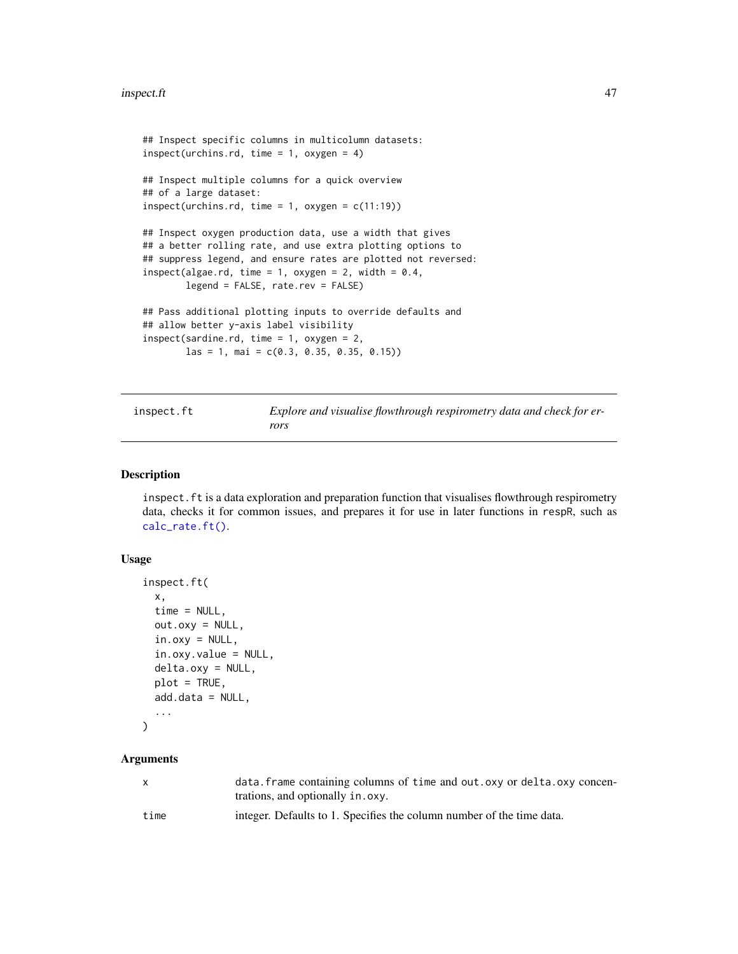```
## Inspect specific columns in multicolumn datasets:
inspect(urchins.rd, time = 1, oxygen = 4)## Inspect multiple columns for a quick overview
## of a large dataset:
inspect(urchins.rd, time = 1, oxygen = c(11:19))## Inspect oxygen production data, use a width that gives
## a better rolling rate, and use extra plotting options to
## suppress legend, and ensure rates are plotted not reversed:
inspect(algae.rd, time = 1, oxygen = 2, width = 0.4,
       legend = FALSE, rate.rev = FALSE)
## Pass additional plotting inputs to override defaults and
## allow better y-axis label visibility
inspect(sardine.rd, time = 1, oxygen = 2,
       las = 1, mai = c(0.3, 0.35, 0.35, 0.15))
```
<span id="page-46-0"></span>inspect.ft *Explore and visualise flowthrough respirometry data and check for errors*

#### Description

inspect.ft is a data exploration and preparation function that visualises flowthrough respirometry data, checks it for common issues, and prepares it for use in later functions in respR, such as [calc\\_rate.ft\(\)](#page-21-0).

### Usage

```
inspect.ft(
  x,
  time = NULL,
 out.oxy = NULL,
  in.oxy = NULL,
  in.oxy.value = NULL,
  delta.oxy = NULL,
  plot = TRUE,
  add.data = NULL,...
```
## )

#### Arguments

| X    | data. frame containing columns of time and out. oxy or delta. oxy concen-<br>trations, and optionally in . oxy. |
|------|-----------------------------------------------------------------------------------------------------------------|
| time | integer. Defaults to 1. Specifies the column number of the time data.                                           |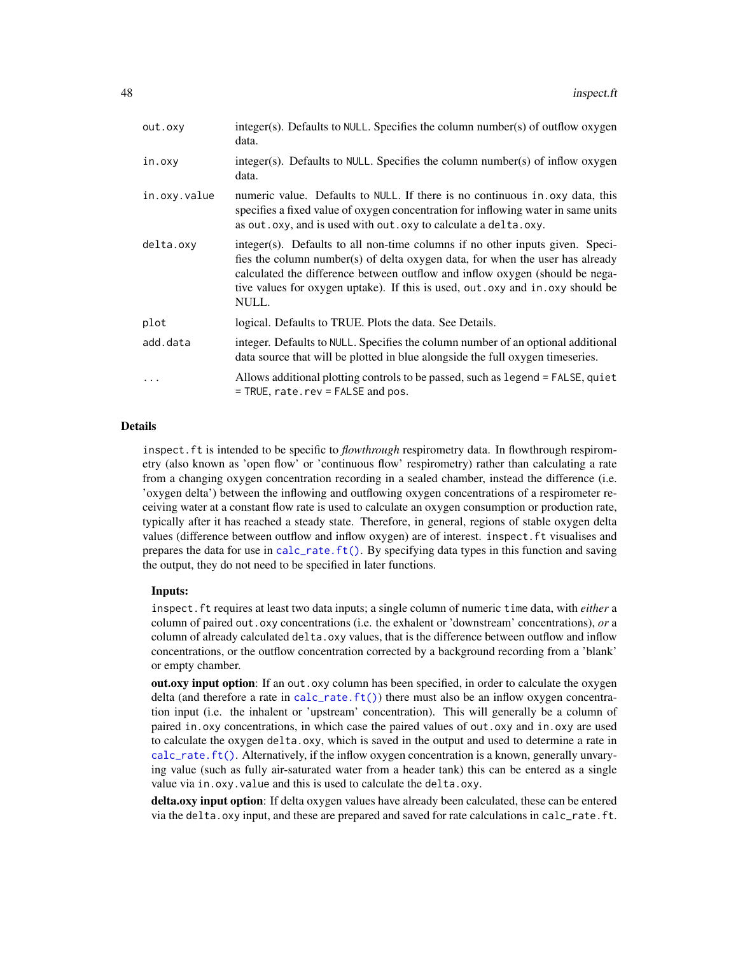| out.oxy      | integer(s). Defaults to NULL. Specifies the column number(s) of outflow oxygen<br>data.                                                                                                                                                                                                                                                      |
|--------------|----------------------------------------------------------------------------------------------------------------------------------------------------------------------------------------------------------------------------------------------------------------------------------------------------------------------------------------------|
| in.oxy       | $integer(s)$ . Defaults to NULL. Specifies the column number(s) of inflow oxygen<br>data.                                                                                                                                                                                                                                                    |
| in.oxy.value | numeric value. Defaults to NULL. If there is no continuous in oxy data, this<br>specifies a fixed value of oxygen concentration for inflowing water in same units<br>as out. oxy, and is used with out. oxy to calculate a delta. oxy.                                                                                                       |
| delta.oxy    | integer(s). Defaults to all non-time columns if no other inputs given. Speci-<br>fies the column number(s) of delta oxygen data, for when the user has already<br>calculated the difference between outflow and inflow oxygen (should be nega-<br>tive values for oxygen uptake). If this is used, out . oxy and in . oxy should be<br>NULL. |
| plot         | logical. Defaults to TRUE. Plots the data. See Details.                                                                                                                                                                                                                                                                                      |
| add.data     | integer. Defaults to NULL. Specifies the column number of an optional additional<br>data source that will be plotted in blue alongside the full oxygen timeseries.                                                                                                                                                                           |
| $\ddotsc$    | Allows additional plotting controls to be passed, such as legend = FALSE, quiet<br>= TRUE, rate.rev = FALSE and pos.                                                                                                                                                                                                                         |

#### Details

inspect.ft is intended to be specific to *flowthrough* respirometry data. In flowthrough respirometry (also known as 'open flow' or 'continuous flow' respirometry) rather than calculating a rate from a changing oxygen concentration recording in a sealed chamber, instead the difference (i.e. 'oxygen delta') between the inflowing and outflowing oxygen concentrations of a respirometer receiving water at a constant flow rate is used to calculate an oxygen consumption or production rate, typically after it has reached a steady state. Therefore, in general, regions of stable oxygen delta values (difference between outflow and inflow oxygen) are of interest. inspect.ft visualises and prepares the data for use in [calc\\_rate.ft\(\)](#page-21-0). By specifying data types in this function and saving the output, they do not need to be specified in later functions.

### Inputs:

inspect.ft requires at least two data inputs; a single column of numeric time data, with *either* a column of paired out.oxy concentrations (i.e. the exhalent or 'downstream' concentrations), *or* a column of already calculated delta.oxy values, that is the difference between outflow and inflow concentrations, or the outflow concentration corrected by a background recording from a 'blank' or empty chamber.

out.oxy input option: If an out.oxy column has been specified, in order to calculate the oxygen delta (and therefore a rate in [calc\\_rate.ft\(\)](#page-21-0)) there must also be an inflow oxygen concentration input (i.e. the inhalent or 'upstream' concentration). This will generally be a column of paired in.oxy concentrations, in which case the paired values of out.oxy and in.oxy are used to calculate the oxygen delta.oxy, which is saved in the output and used to determine a rate in [calc\\_rate.ft\(\)](#page-21-0). Alternatively, if the inflow oxygen concentration is a known, generally unvarying value (such as fully air-saturated water from a header tank) this can be entered as a single value via in.oxy.value and this is used to calculate the delta.oxy.

delta.oxy input option: If delta oxygen values have already been calculated, these can be entered via the delta.oxy input, and these are prepared and saved for rate calculations in calc\_rate.ft.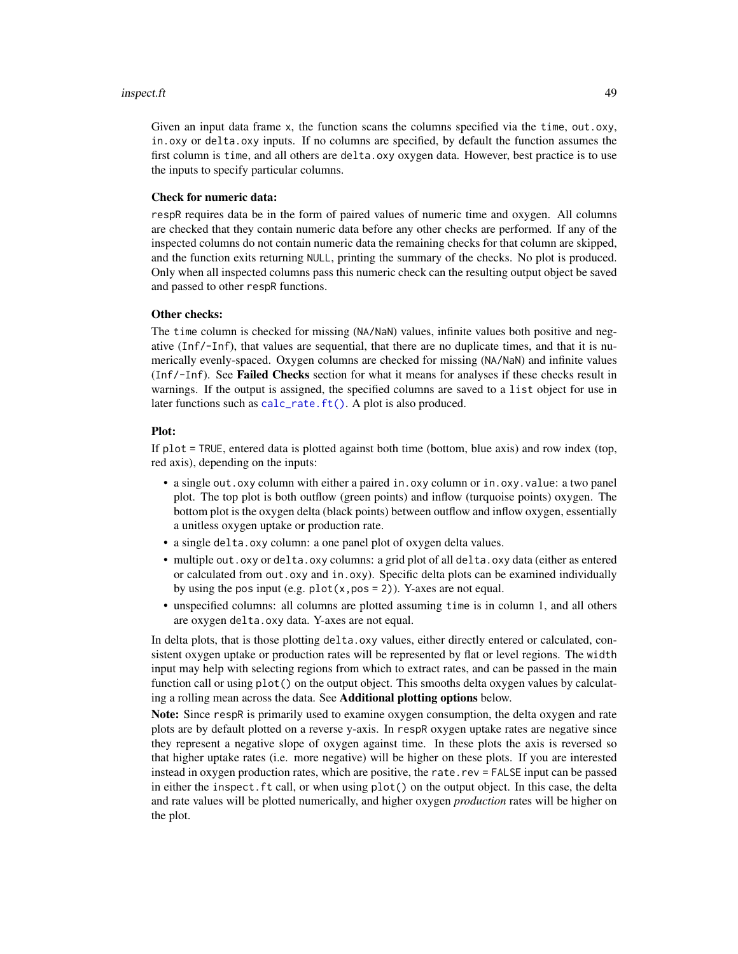#### inspect.ft 49

Given an input data frame x, the function scans the columns specified via the time, out.oxy, in.oxy or delta.oxy inputs. If no columns are specified, by default the function assumes the first column is time, and all others are delta.oxy oxygen data. However, best practice is to use the inputs to specify particular columns.

## Check for numeric data:

respR requires data be in the form of paired values of numeric time and oxygen. All columns are checked that they contain numeric data before any other checks are performed. If any of the inspected columns do not contain numeric data the remaining checks for that column are skipped, and the function exits returning NULL, printing the summary of the checks. No plot is produced. Only when all inspected columns pass this numeric check can the resulting output object be saved and passed to other respR functions.

#### Other checks:

The time column is checked for missing (NA/NaN) values, infinite values both positive and negative (Inf/-Inf), that values are sequential, that there are no duplicate times, and that it is numerically evenly-spaced. Oxygen columns are checked for missing (NA/NaN) and infinite values (Inf/-Inf). See Failed Checks section for what it means for analyses if these checks result in warnings. If the output is assigned, the specified columns are saved to a list object for use in later functions such as [calc\\_rate.ft\(\)](#page-21-0). A plot is also produced.

#### Plot:

If plot = TRUE, entered data is plotted against both time (bottom, blue axis) and row index (top, red axis), depending on the inputs:

- a single out.oxy column with either a paired in.oxy column or in.oxy.value: a two panel plot. The top plot is both outflow (green points) and inflow (turquoise points) oxygen. The bottom plot is the oxygen delta (black points) between outflow and inflow oxygen, essentially a unitless oxygen uptake or production rate.
- a single delta.oxy column: a one panel plot of oxygen delta values.
- multiple out.oxy or delta.oxy columns: a grid plot of all delta.oxy data (either as entered or calculated from out.oxy and in.oxy). Specific delta plots can be examined individually by using the pos input (e.g.  $plot(x, pos = 2)$ ). Y-axes are not equal.
- unspecified columns: all columns are plotted assuming time is in column 1, and all others are oxygen delta.oxy data. Y-axes are not equal.

In delta plots, that is those plotting delta.oxy values, either directly entered or calculated, consistent oxygen uptake or production rates will be represented by flat or level regions. The width input may help with selecting regions from which to extract rates, and can be passed in the main function call or using plot() on the output object. This smooths delta oxygen values by calculating a rolling mean across the data. See Additional plotting options below.

Note: Since respR is primarily used to examine oxygen consumption, the delta oxygen and rate plots are by default plotted on a reverse y-axis. In respR oxygen uptake rates are negative since they represent a negative slope of oxygen against time. In these plots the axis is reversed so that higher uptake rates (i.e. more negative) will be higher on these plots. If you are interested instead in oxygen production rates, which are positive, the rate.rev = FALSE input can be passed in either the inspect.ft call, or when using plot() on the output object. In this case, the delta and rate values will be plotted numerically, and higher oxygen *production* rates will be higher on the plot.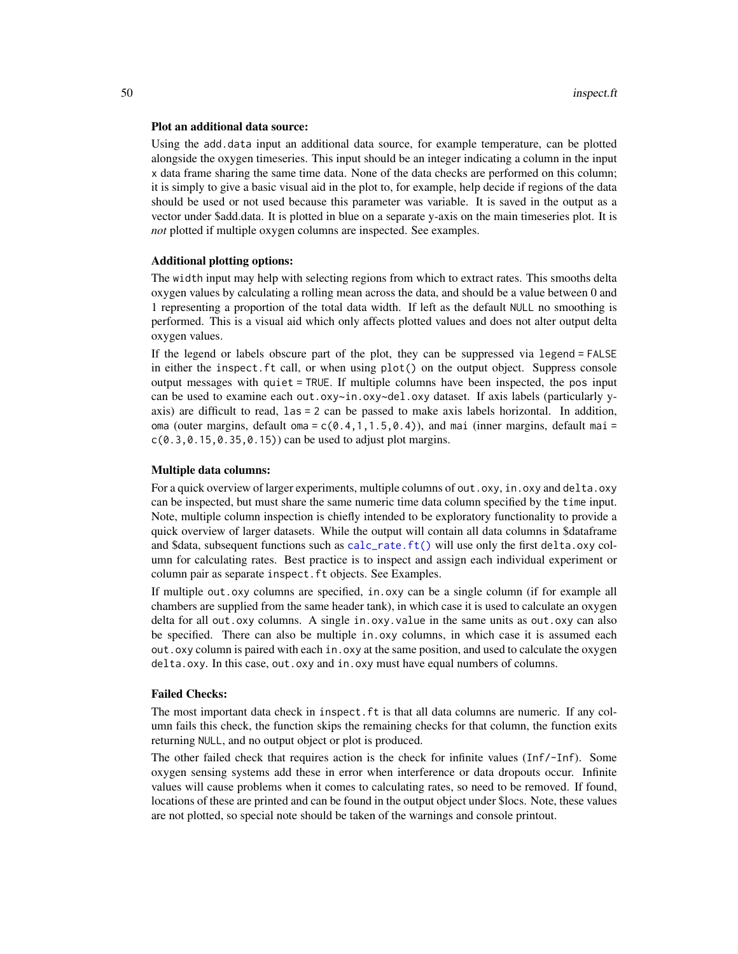#### Plot an additional data source:

Using the add.data input an additional data source, for example temperature, can be plotted alongside the oxygen timeseries. This input should be an integer indicating a column in the input x data frame sharing the same time data. None of the data checks are performed on this column; it is simply to give a basic visual aid in the plot to, for example, help decide if regions of the data should be used or not used because this parameter was variable. It is saved in the output as a vector under \$add.data. It is plotted in blue on a separate y-axis on the main timeseries plot. It is *not* plotted if multiple oxygen columns are inspected. See examples.

#### Additional plotting options:

The width input may help with selecting regions from which to extract rates. This smooths delta oxygen values by calculating a rolling mean across the data, and should be a value between 0 and 1 representing a proportion of the total data width. If left as the default NULL no smoothing is performed. This is a visual aid which only affects plotted values and does not alter output delta oxygen values.

If the legend or labels obscure part of the plot, they can be suppressed via legend = FALSE in either the inspect.ft call, or when using plot() on the output object. Suppress console output messages with quiet = TRUE. If multiple columns have been inspected, the pos input can be used to examine each out.oxy~in.oxy~del.oxy dataset. If axis labels (particularly yaxis) are difficult to read, las = 2 can be passed to make axis labels horizontal. In addition, oma (outer margins, default oma =  $c(0.4, 1, 1.5, 0.4)$ ), and mai (inner margins, default mai =  $c(0.3, 0.15, 0.35, 0.15)$  can be used to adjust plot margins.

#### Multiple data columns:

For a quick overview of larger experiments, multiple columns of out.oxy, in.oxy and delta.oxy can be inspected, but must share the same numeric time data column specified by the time input. Note, multiple column inspection is chiefly intended to be exploratory functionality to provide a quick overview of larger datasets. While the output will contain all data columns in \$dataframe and \$data, subsequent functions such as [calc\\_rate.ft\(\)](#page-21-0) will use only the first delta.oxy column for calculating rates. Best practice is to inspect and assign each individual experiment or column pair as separate inspect.ft objects. See Examples.

If multiple out.oxy columns are specified, in.oxy can be a single column (if for example all chambers are supplied from the same header tank), in which case it is used to calculate an oxygen delta for all out.oxy columns. A single in.oxy.value in the same units as out.oxy can also be specified. There can also be multiple in.oxy columns, in which case it is assumed each out.oxy column is paired with each in.oxy at the same position, and used to calculate the oxygen delta.oxy. In this case, out.oxy and in.oxy must have equal numbers of columns.

### Failed Checks:

The most important data check in inspect.ft is that all data columns are numeric. If any column fails this check, the function skips the remaining checks for that column, the function exits returning NULL, and no output object or plot is produced.

The other failed check that requires action is the check for infinite values (Inf/-Inf). Some oxygen sensing systems add these in error when interference or data dropouts occur. Infinite values will cause problems when it comes to calculating rates, so need to be removed. If found, locations of these are printed and can be found in the output object under \$locs. Note, these values are not plotted, so special note should be taken of the warnings and console printout.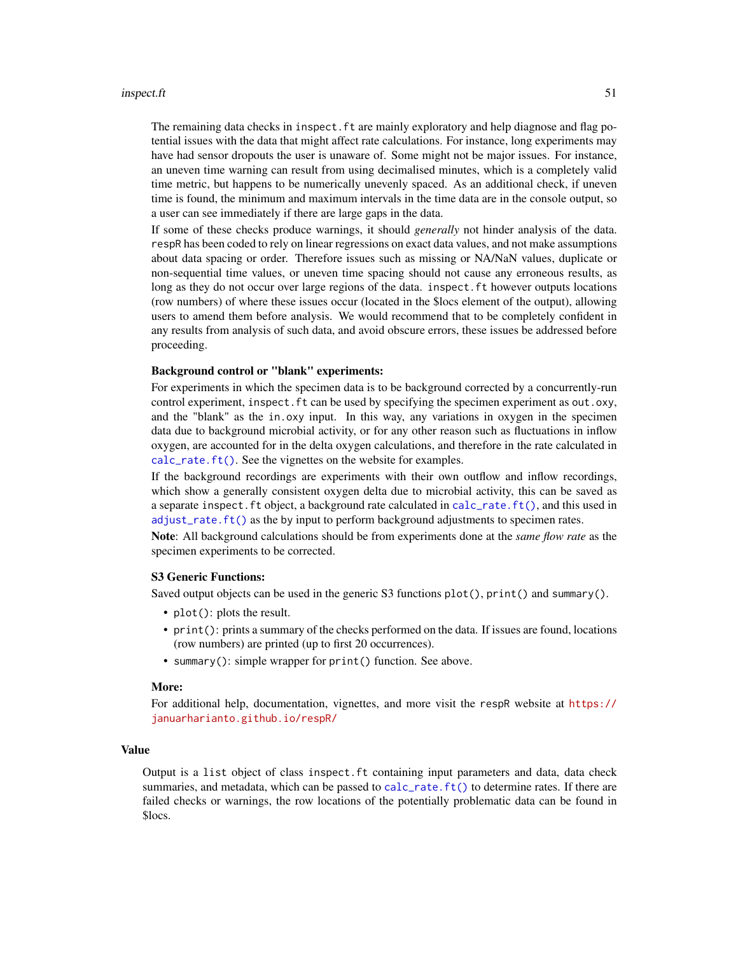#### inspect.ft 51

The remaining data checks in inspect. ft are mainly exploratory and help diagnose and flag potential issues with the data that might affect rate calculations. For instance, long experiments may have had sensor dropouts the user is unaware of. Some might not be major issues. For instance, an uneven time warning can result from using decimalised minutes, which is a completely valid time metric, but happens to be numerically unevenly spaced. As an additional check, if uneven time is found, the minimum and maximum intervals in the time data are in the console output, so a user can see immediately if there are large gaps in the data.

If some of these checks produce warnings, it should *generally* not hinder analysis of the data. respR has been coded to rely on linear regressions on exact data values, and not make assumptions about data spacing or order. Therefore issues such as missing or NA/NaN values, duplicate or non-sequential time values, or uneven time spacing should not cause any erroneous results, as long as they do not occur over large regions of the data. inspect. ft however outputs locations (row numbers) of where these issues occur (located in the \$locs element of the output), allowing users to amend them before analysis. We would recommend that to be completely confident in any results from analysis of such data, and avoid obscure errors, these issues be addressed before proceeding.

### Background control or "blank" experiments:

For experiments in which the specimen data is to be background corrected by a concurrently-run control experiment, inspect. ft can be used by specifying the specimen experiment as out.oxy, and the "blank" as the in.oxy input. In this way, any variations in oxygen in the specimen data due to background microbial activity, or for any other reason such as fluctuations in inflow oxygen, are accounted for in the delta oxygen calculations, and therefore in the rate calculated in [calc\\_rate.ft\(\)](#page-21-0). See the vignettes on the website for examples.

If the background recordings are experiments with their own outflow and inflow recordings, which show a generally consistent oxygen delta due to microbial activity, this can be saved as a separate inspect.ft object, a background rate calculated in [calc\\_rate.ft\(\)](#page-21-0), and this used in [adjust\\_rate.ft\(\)](#page-7-0) as the by input to perform background adjustments to specimen rates.

Note: All background calculations should be from experiments done at the *same flow rate* as the specimen experiments to be corrected.

### S3 Generic Functions:

Saved output objects can be used in the generic S3 functions plot(), print() and summary().

- plot(): plots the result.
- print(): prints a summary of the checks performed on the data. If issues are found, locations (row numbers) are printed (up to first 20 occurrences).
- summary(): simple wrapper for print() function. See above.

### More:

For additional help, documentation, vignettes, and more visit the respR website at [https://](https://januarharianto.github.io/respR/) [januarharianto.github.io/respR/](https://januarharianto.github.io/respR/)

#### Value

Output is a list object of class inspect.ft containing input parameters and data, data check summaries, and metadata, which can be passed to [calc\\_rate.ft\(\)](#page-21-0) to determine rates. If there are failed checks or warnings, the row locations of the potentially problematic data can be found in \$locs.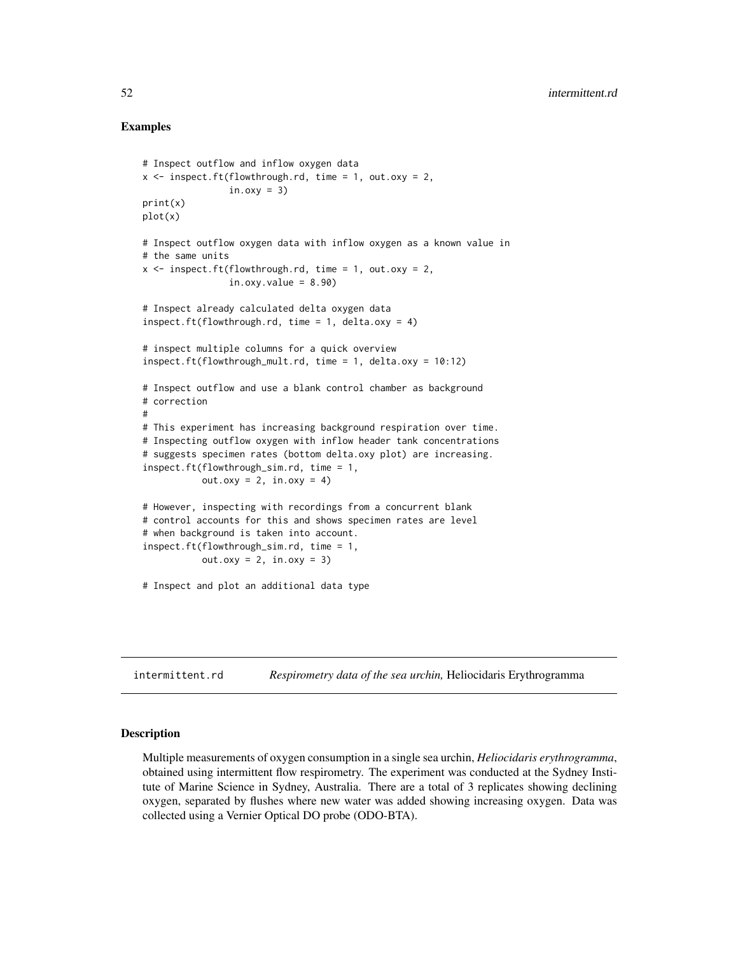### Examples

```
# Inspect outflow and inflow oxygen data
x \le - inspect.ft(flowthrough.rd, time = 1, out.oxy = 2,
                in.oxy = 3)print(x)
plot(x)
# Inspect outflow oxygen data with inflow oxygen as a known value in
# the same units
x \le - inspect.ft(flowthrough.rd, time = 1, out.oxy = 2,
                in.oxy.value = 8.90)
# Inspect already calculated delta oxygen data
inspect.ft(flowthrough.rd, time = 1, delta.oxy = 4)
# inspect multiple columns for a quick overview
inspect.ft(flowthrough_mult.rd, time = 1, delta.oxy = 10:12)
# Inspect outflow and use a blank control chamber as background
# correction
#
# This experiment has increasing background respiration over time.
# Inspecting outflow oxygen with inflow header tank concentrations
# suggests specimen rates (bottom delta.oxy plot) are increasing.
inspect.ft(flowthrough_sim.rd, time = 1,
           out.oxy = 2, in.oxy = 4)
# However, inspecting with recordings from a concurrent blank
# control accounts for this and shows specimen rates are level
# when background is taken into account.
inspect.ft(flowthrough_sim.rd, time = 1,
           out.oxy = 2, in.oxy = 3)
# Inspect and plot an additional data type
```
intermittent.rd *Respirometry data of the sea urchin,* Heliocidaris Erythrogramma

#### Description

Multiple measurements of oxygen consumption in a single sea urchin, *Heliocidaris erythrogramma*, obtained using intermittent flow respirometry. The experiment was conducted at the Sydney Institute of Marine Science in Sydney, Australia. There are a total of 3 replicates showing declining oxygen, separated by flushes where new water was added showing increasing oxygen. Data was collected using a Vernier Optical DO probe (ODO-BTA).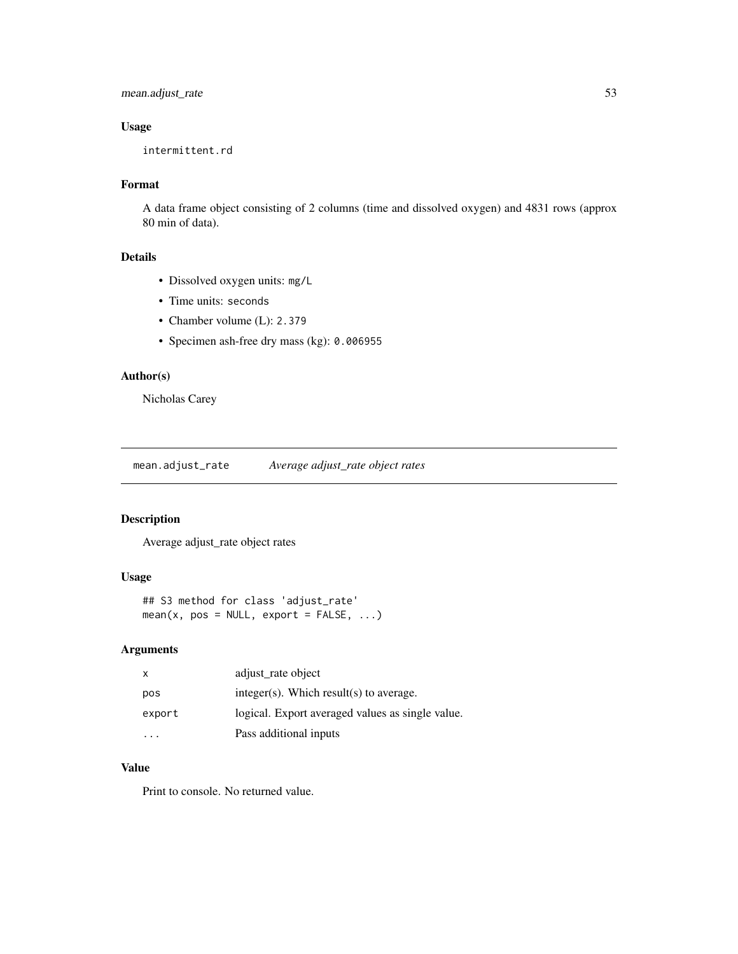# mean.adjust\_rate 53

# Usage

intermittent.rd

## Format

A data frame object consisting of 2 columns (time and dissolved oxygen) and 4831 rows (approx 80 min of data).

## Details

- Dissolved oxygen units: mg/L
- Time units: seconds
- Chamber volume (L): 2.379
- Specimen ash-free dry mass (kg): 0.006955

### Author(s)

Nicholas Carey

mean.adjust\_rate *Average adjust\_rate object rates*

### Description

Average adjust\_rate object rates

# Usage

```
## S3 method for class 'adjust_rate'
mean(x, pos = NULL, export = FALSE, ...)
```
# Arguments

| X      | adjust_rate object                               |
|--------|--------------------------------------------------|
| pos    | $integer(s)$ . Which result(s) to average.       |
| export | logical. Export averaged values as single value. |
|        | Pass additional inputs                           |

# Value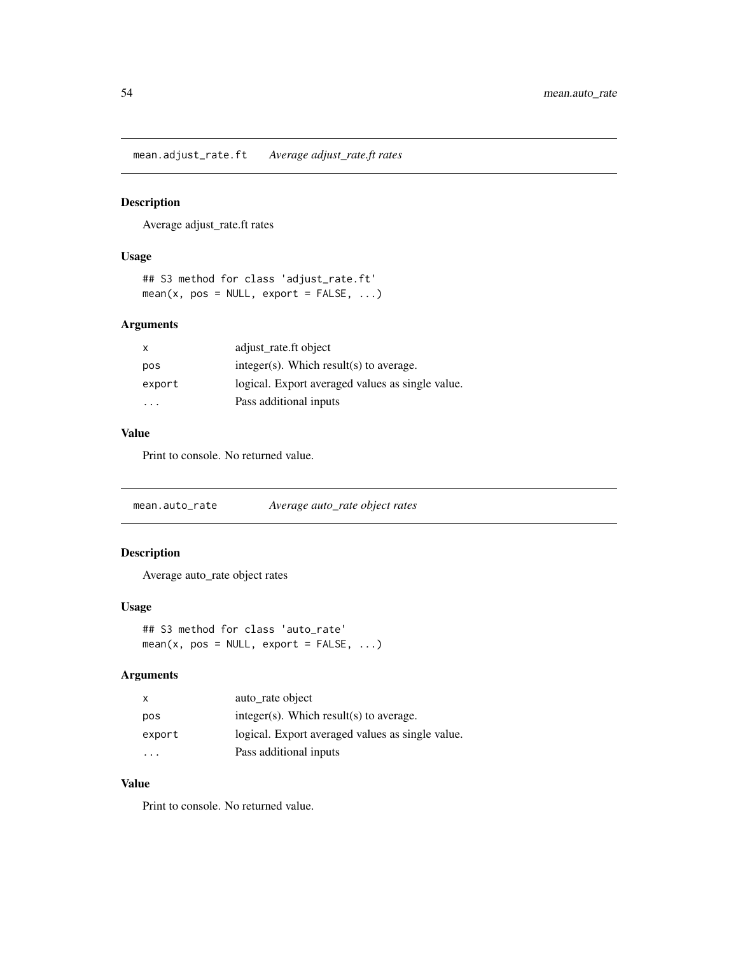mean.adjust\_rate.ft *Average adjust\_rate.ft rates*

### Description

Average adjust\_rate.ft rates

#### Usage

## S3 method for class 'adjust\_rate.ft'  $mean(x, pos = NULL, export = FALSE, ...)$ 

## Arguments

| $\mathsf{x}$ | adjust rate.ft object                            |
|--------------|--------------------------------------------------|
| pos          | $integer(s)$ . Which result(s) to average.       |
| export       | logical. Export averaged values as single value. |
| .            | Pass additional inputs                           |

### Value

Print to console. No returned value.

mean.auto\_rate *Average auto\_rate object rates*

## Description

Average auto\_rate object rates

#### Usage

```
## S3 method for class 'auto_rate'
mean(x, pos = NULL, export = FALSE, ...)
```
# Arguments

| $\mathsf{x}$ | auto rate object                                 |
|--------------|--------------------------------------------------|
| pos          | $integer(s)$ . Which result(s) to average.       |
| export       | logical. Export averaged values as single value. |
| .            | Pass additional inputs                           |

# Value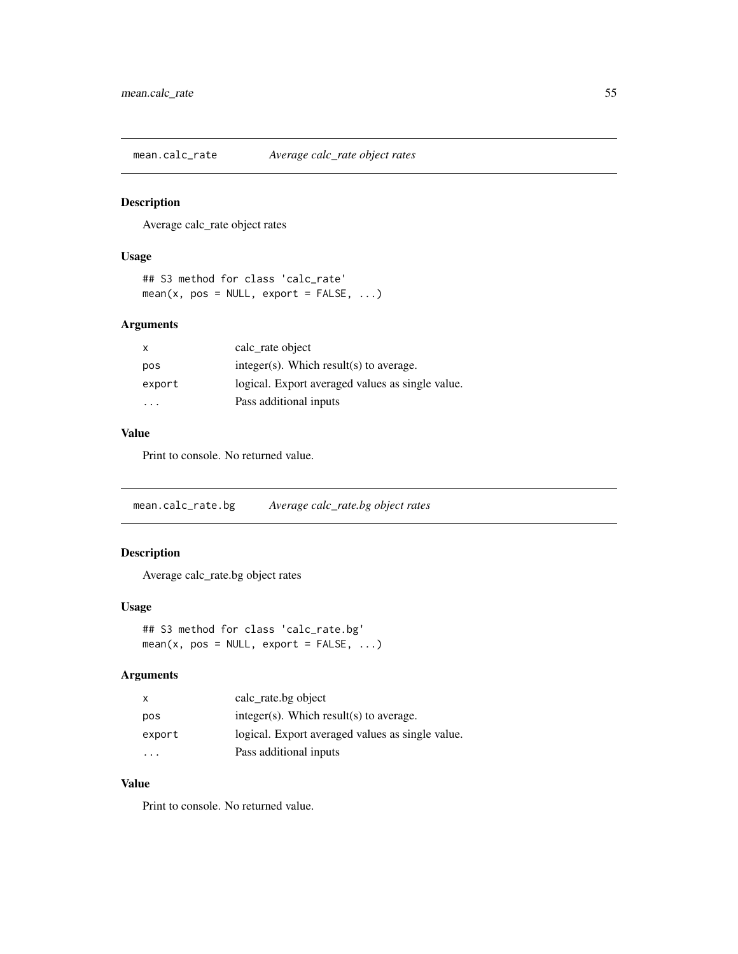mean.calc\_rate *Average calc\_rate object rates*

## Description

Average calc\_rate object rates

#### Usage

```
## S3 method for class 'calc_rate'
mean(x, pos = NULL, export = FALSE, ...)
```
## Arguments

| $\mathsf{x}$ | calc_rate object                                 |
|--------------|--------------------------------------------------|
| pos          | $integer(s)$ . Which result(s) to average.       |
| export       | logical. Export averaged values as single value. |
| .            | Pass additional inputs                           |

### Value

Print to console. No returned value.

mean.calc\_rate.bg *Average calc\_rate.bg object rates*

## Description

Average calc\_rate.bg object rates

#### Usage

```
## S3 method for class 'calc_rate.bg'
mean(x, pos = NULL, export = FALSE, ...)
```
# Arguments

| $\mathsf{x}$ | calc_rate.bg object                              |
|--------------|--------------------------------------------------|
| pos          | $integer(s)$ . Which result(s) to average.       |
| export       | logical. Export averaged values as single value. |
| $\cdot$      | Pass additional inputs                           |

# Value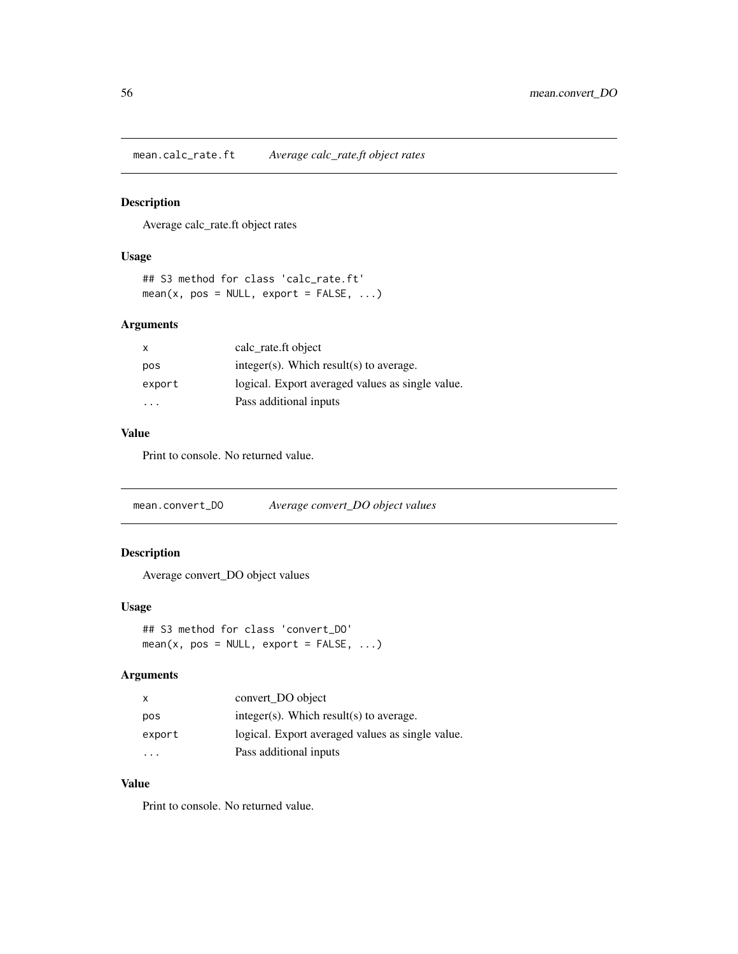mean.calc\_rate.ft *Average calc\_rate.ft object rates*

## Description

Average calc\_rate.ft object rates

### Usage

```
## S3 method for class 'calc_rate.ft'
mean(x, pos = NULL, export = FALSE, ...)
```
### Arguments

| $\mathsf{x}$ | calc_rate.ft object                              |
|--------------|--------------------------------------------------|
| pos          | $integer(s)$ . Which result(s) to average.       |
| export       | logical. Export averaged values as single value. |
| .            | Pass additional inputs                           |

### Value

Print to console. No returned value.

mean.convert\_DO *Average convert\_DO object values*

## Description

Average convert\_DO object values

#### Usage

```
## S3 method for class 'convert_DO'
mean(x, pos = NULL, export = FALSE, ...)
```
# Arguments

| $\mathsf{x}$ | convert DO object                                |
|--------------|--------------------------------------------------|
| pos          | $integer(s)$ . Which result(s) to average.       |
| export       | logical. Export averaged values as single value. |
| $\cdot$      | Pass additional inputs                           |

# Value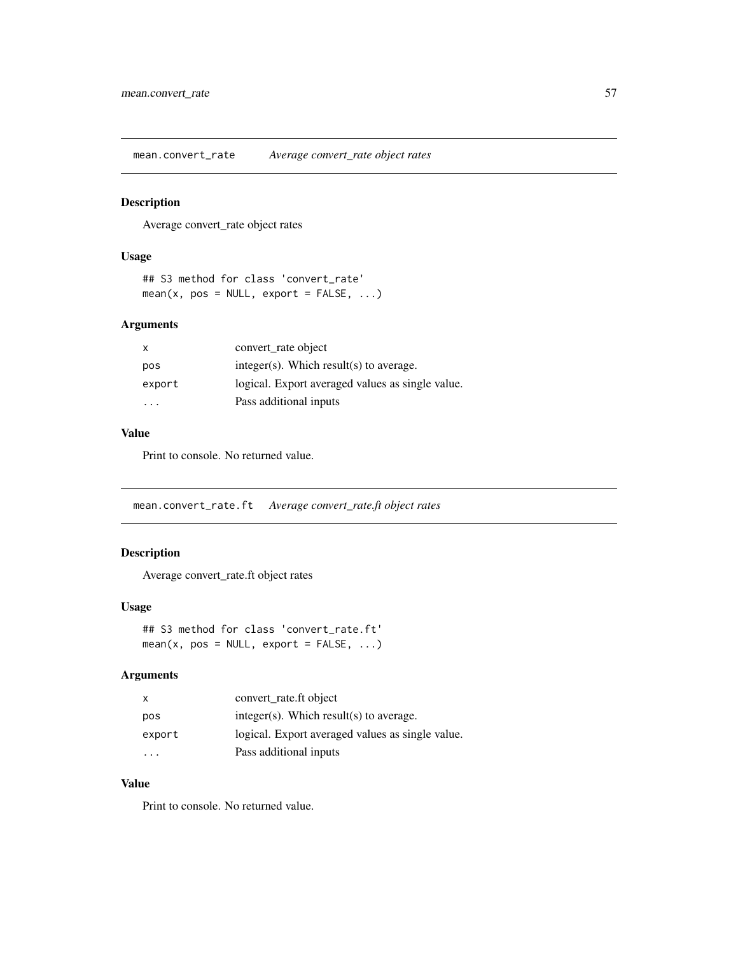mean.convert\_rate *Average convert\_rate object rates*

### Description

Average convert\_rate object rates

#### Usage

```
## S3 method for class 'convert_rate'
mean(x, pos = NULL, export = FALSE, ...)
```
## Arguments

| X      | convert_rate object                              |
|--------|--------------------------------------------------|
| pos    | $integer(s)$ . Which result(s) to average.       |
| export | logical. Export averaged values as single value. |
| .      | Pass additional inputs                           |

### Value

Print to console. No returned value.

mean.convert\_rate.ft *Average convert\_rate.ft object rates*

## Description

Average convert\_rate.ft object rates

#### Usage

```
## S3 method for class 'convert_rate.ft'
mean(x, pos = NULL, export = FALSE, ...)
```
# Arguments

| $\mathsf{X}$ | convert rate.ft object                           |
|--------------|--------------------------------------------------|
| pos          | $integer(s)$ . Which result(s) to average.       |
| export       | logical. Export averaged values as single value. |
| $\cdot$      | Pass additional inputs                           |

# Value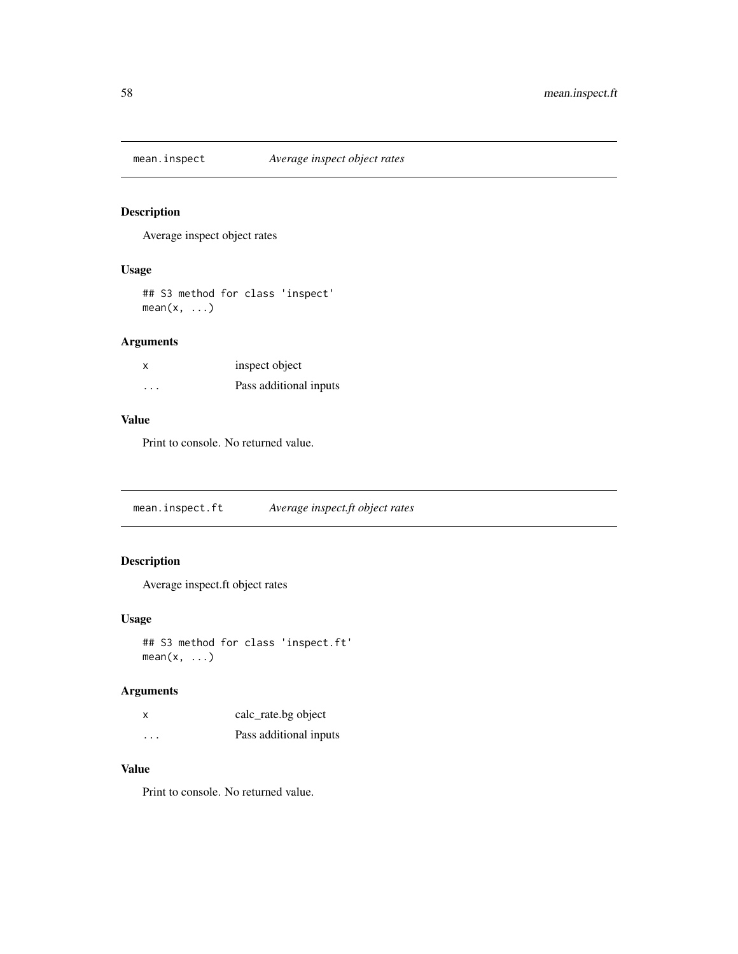# Description

Average inspect object rates

## Usage

## S3 method for class 'inspect'  $mean(x, \ldots)$ 

# Arguments

| x | inspect object         |
|---|------------------------|
| . | Pass additional inputs |

# Value

Print to console. No returned value.

mean.inspect.ft *Average inspect.ft object rates*

# Description

Average inspect.ft object rates

### Usage

## S3 method for class 'inspect.ft'  $mean(x, \ldots)$ 

# Arguments

| x                    | calc_rate.bg object    |
|----------------------|------------------------|
| $\ddot{\phantom{0}}$ | Pass additional inputs |

# Value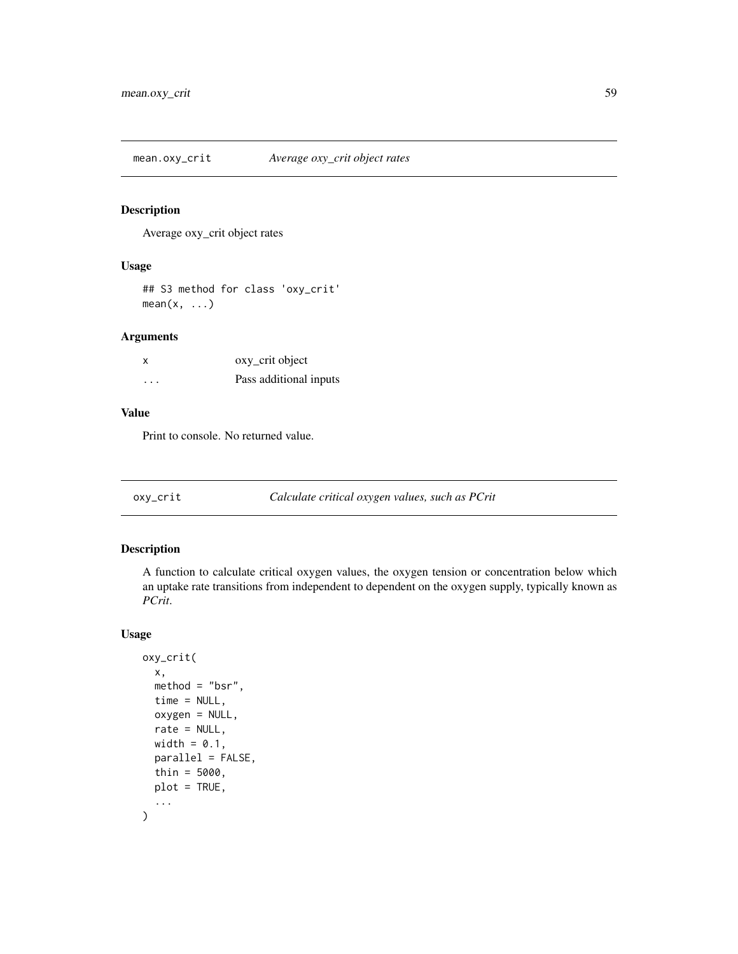mean.oxy\_crit *Average oxy\_crit object rates*

### Description

Average oxy\_crit object rates

# Usage

## S3 method for class 'oxy\_crit'  $mean(x, \ldots)$ 

# Arguments

| X        | oxy_crit object        |
|----------|------------------------|
| $\cdots$ | Pass additional inputs |

# Value

Print to console. No returned value.

oxy\_crit *Calculate critical oxygen values, such as PCrit*

# Description

A function to calculate critical oxygen values, the oxygen tension or concentration below which an uptake rate transitions from independent to dependent on the oxygen supply, typically known as *PCrit*.

# Usage

```
oxy_crit(
  x,
  method = "bsr",
  time = NULL,
  oxygen = NULL,
  rate = NULL,
  width = 0.1,
  parallel = FALSE,
  thin = 5000,
  plot = TRUE,
  ...
\mathcal{L}
```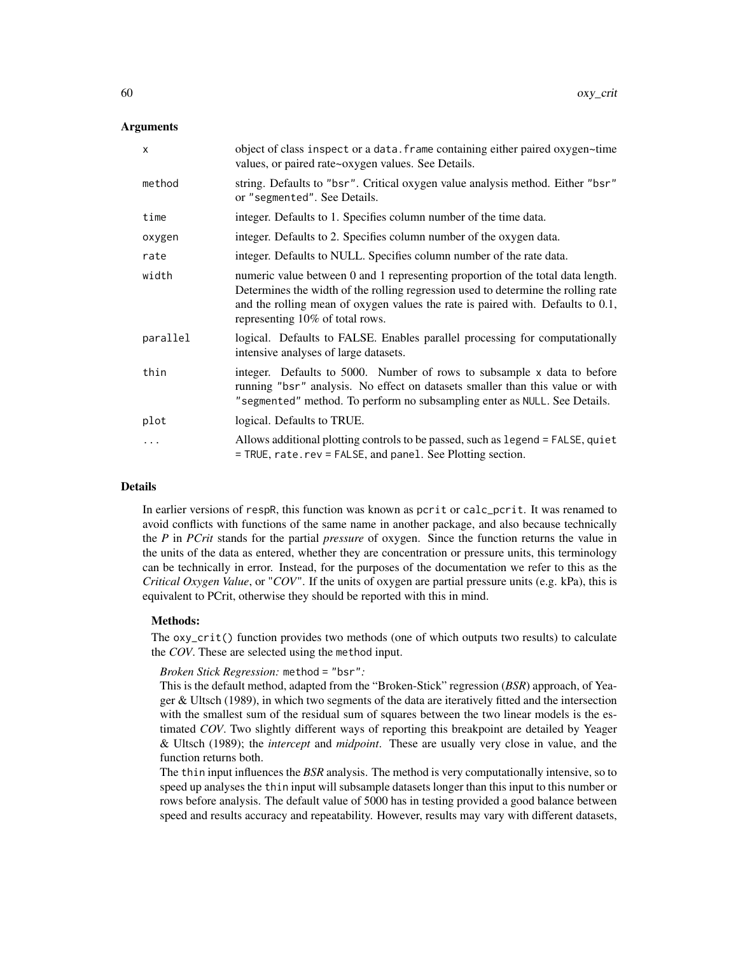### Arguments

| $\mathsf{x}$ | object of class inspect or a data. frame containing either paired oxygen~time<br>values, or paired rate~oxygen values. See Details.                                                                                                                                                        |
|--------------|--------------------------------------------------------------------------------------------------------------------------------------------------------------------------------------------------------------------------------------------------------------------------------------------|
| method       | string. Defaults to "bsr". Critical oxygen value analysis method. Either "bsr"<br>or "segmented". See Details.                                                                                                                                                                             |
| time         | integer. Defaults to 1. Specifies column number of the time data.                                                                                                                                                                                                                          |
| oxygen       | integer. Defaults to 2. Specifies column number of the oxygen data.                                                                                                                                                                                                                        |
| rate         | integer. Defaults to NULL. Specifies column number of the rate data.                                                                                                                                                                                                                       |
| width        | numeric value between 0 and 1 representing proportion of the total data length.<br>Determines the width of the rolling regression used to determine the rolling rate<br>and the rolling mean of oxygen values the rate is paired with. Defaults to 0.1,<br>representing 10% of total rows. |
| parallel     | logical. Defaults to FALSE. Enables parallel processing for computationally<br>intensive analyses of large datasets.                                                                                                                                                                       |
| thin         | integer. Defaults to 5000. Number of rows to subsample x data to before<br>running "bsr" analysis. No effect on datasets smaller than this value or with<br>"segmented" method. To perform no subsampling enter as NULL. See Details.                                                      |
| plot         | logical. Defaults to TRUE.                                                                                                                                                                                                                                                                 |
| .            | Allows additional plotting controls to be passed, such as legend = FALSE, quiet<br>= TRUE, rate.rev = FALSE, and panel. See Plotting section.                                                                                                                                              |

### Details

In earlier versions of respR, this function was known as pcrit or calc\_pcrit. It was renamed to avoid conflicts with functions of the same name in another package, and also because technically the *P* in *PCrit* stands for the partial *pressure* of oxygen. Since the function returns the value in the units of the data as entered, whether they are concentration or pressure units, this terminology can be technically in error. Instead, for the purposes of the documentation we refer to this as the *Critical Oxygen Value*, or "*COV*". If the units of oxygen are partial pressure units (e.g. kPa), this is equivalent to PCrit, otherwise they should be reported with this in mind.

#### Methods:

The oxy\_crit() function provides two methods (one of which outputs two results) to calculate the *COV*. These are selected using the method input.

#### *Broken Stick Regression:* method = "bsr"*:*

This is the default method, adapted from the "Broken-Stick" regression (*BSR*) approach, of Yeager & Ultsch (1989), in which two segments of the data are iteratively fitted and the intersection with the smallest sum of the residual sum of squares between the two linear models is the estimated *COV*. Two slightly different ways of reporting this breakpoint are detailed by Yeager & Ultsch (1989); the *intercept* and *midpoint*. These are usually very close in value, and the function returns both.

The thin input influences the *BSR* analysis. The method is very computationally intensive, so to speed up analyses the thin input will subsample datasets longer than this input to this number or rows before analysis. The default value of 5000 has in testing provided a good balance between speed and results accuracy and repeatability. However, results may vary with different datasets,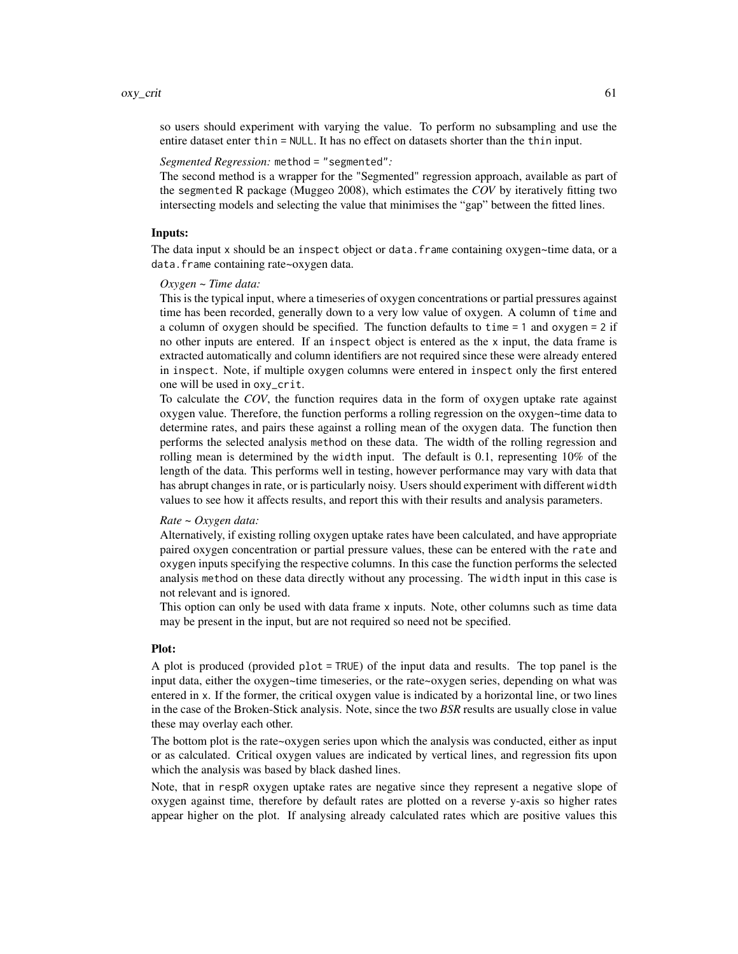so users should experiment with varying the value. To perform no subsampling and use the entire dataset enter thin = NULL. It has no effect on datasets shorter than the thin input.

## *Segmented Regression:* method = "segmented"*:*

The second method is a wrapper for the "Segmented" regression approach, available as part of the segmented R package (Muggeo 2008), which estimates the *COV* by iteratively fitting two intersecting models and selecting the value that minimises the "gap" between the fitted lines.

### Inputs:

The data input x should be an inspect object or data. frame containing oxygen~time data, or a data.frame containing rate~oxygen data.

#### *Oxygen ~ Time data:*

This is the typical input, where a timeseries of oxygen concentrations or partial pressures against time has been recorded, generally down to a very low value of oxygen. A column of time and a column of oxygen should be specified. The function defaults to time = 1 and oxygen = 2 if no other inputs are entered. If an inspect object is entered as the x input, the data frame is extracted automatically and column identifiers are not required since these were already entered in inspect. Note, if multiple oxygen columns were entered in inspect only the first entered one will be used in oxy\_crit.

To calculate the *COV*, the function requires data in the form of oxygen uptake rate against oxygen value. Therefore, the function performs a rolling regression on the oxygen~time data to determine rates, and pairs these against a rolling mean of the oxygen data. The function then performs the selected analysis method on these data. The width of the rolling regression and rolling mean is determined by the width input. The default is 0.1, representing 10% of the length of the data. This performs well in testing, however performance may vary with data that has abrupt changes in rate, or is particularly noisy. Users should experiment with different width values to see how it affects results, and report this with their results and analysis parameters.

#### *Rate ~ Oxygen data:*

Alternatively, if existing rolling oxygen uptake rates have been calculated, and have appropriate paired oxygen concentration or partial pressure values, these can be entered with the rate and oxygen inputs specifying the respective columns. In this case the function performs the selected analysis method on these data directly without any processing. The width input in this case is not relevant and is ignored.

This option can only be used with data frame x inputs. Note, other columns such as time data may be present in the input, but are not required so need not be specified.

### Plot:

A plot is produced (provided plot = TRUE) of the input data and results. The top panel is the input data, either the oxygen~time timeseries, or the rate~oxygen series, depending on what was entered in x. If the former, the critical oxygen value is indicated by a horizontal line, or two lines in the case of the Broken-Stick analysis. Note, since the two *BSR* results are usually close in value these may overlay each other.

The bottom plot is the rate~oxygen series upon which the analysis was conducted, either as input or as calculated. Critical oxygen values are indicated by vertical lines, and regression fits upon which the analysis was based by black dashed lines.

Note, that in respR oxygen uptake rates are negative since they represent a negative slope of oxygen against time, therefore by default rates are plotted on a reverse y-axis so higher rates appear higher on the plot. If analysing already calculated rates which are positive values this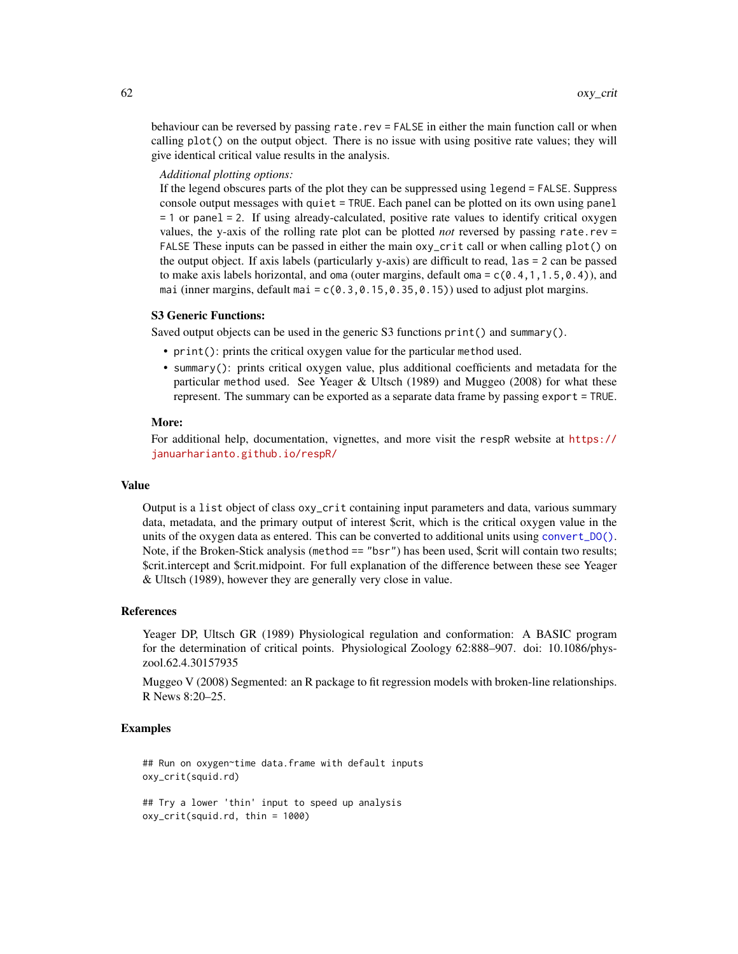behaviour can be reversed by passing rate.rev = FALSE in either the main function call or when calling plot() on the output object. There is no issue with using positive rate values; they will give identical critical value results in the analysis.

#### *Additional plotting options:*

If the legend obscures parts of the plot they can be suppressed using legend = FALSE. Suppress console output messages with quiet = TRUE. Each panel can be plotted on its own using panel = 1 or panel = 2. If using already-calculated, positive rate values to identify critical oxygen values, the y-axis of the rolling rate plot can be plotted *not* reversed by passing rate.rev = FALSE These inputs can be passed in either the main oxy\_crit call or when calling plot() on the output object. If axis labels (particularly y-axis) are difficult to read, las = 2 can be passed to make axis labels horizontal, and oma (outer margins, default oma =  $c(0.4, 1, 1.5, 0.4)$ ), and mai (inner margins, default mai =  $c(0.3,0.15,0.35,0.15)$ ) used to adjust plot margins.

#### S3 Generic Functions:

Saved output objects can be used in the generic S3 functions print() and summary().

- print(): prints the critical oxygen value for the particular method used.
- summary(): prints critical oxygen value, plus additional coefficients and metadata for the particular method used. See Yeager & Ultsch (1989) and Muggeo (2008) for what these represent. The summary can be exported as a separate data frame by passing export = TRUE.

#### More:

For additional help, documentation, vignettes, and more visit the respR website at [https://](https://januarharianto.github.io/respR/) [januarharianto.github.io/respR/](https://januarharianto.github.io/respR/)

#### Value

Output is a list object of class oxy\_crit containing input parameters and data, various summary data, metadata, and the primary output of interest \$crit, which is the critical oxygen value in the units of the oxygen data as entered. This can be converted to additional units using [convert\\_DO\(\)](#page-25-0). Note, if the Broken-Stick analysis (method == "bsr") has been used, \$crit will contain two results; \$crit.intercept and \$crit.midpoint. For full explanation of the difference between these see Yeager & Ultsch (1989), however they are generally very close in value.

#### References

Yeager DP, Ultsch GR (1989) Physiological regulation and conformation: A BASIC program for the determination of critical points. Physiological Zoology 62:888–907. doi: 10.1086/physzool.62.4.30157935

Muggeo V (2008) Segmented: an R package to fit regression models with broken-line relationships. R News 8:20–25.

#### Examples

## Run on oxygen~time data.frame with default inputs oxy\_crit(squid.rd)

## Try a lower 'thin' input to speed up analysis oxy\_crit(squid.rd, thin = 1000)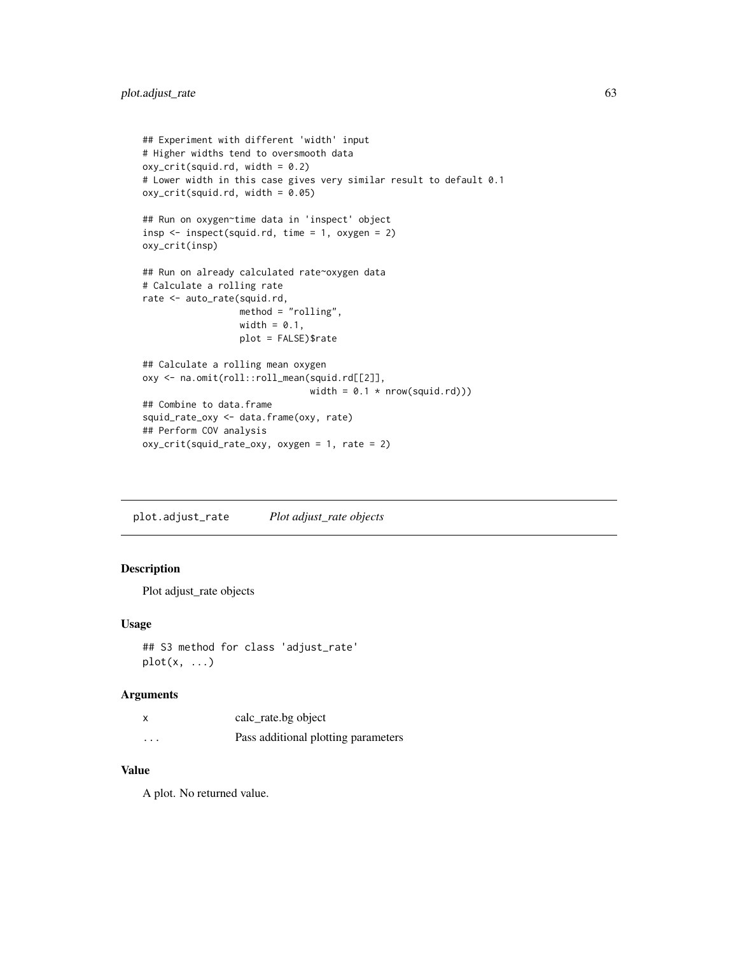```
## Experiment with different 'width' input
# Higher widths tend to oversmooth data
oxy\_crit(squid.rd, width = 0.2)# Lower width in this case gives very similar result to default 0.1
oxy_crit(squid.rd, width = 0.05)
## Run on oxygen~time data in 'inspect' object
insp <- inspect(squid.rd, time = 1, oxygen = 2)
oxy_crit(insp)
## Run on already calculated rate~oxygen data
# Calculate a rolling rate
rate <- auto_rate(squid.rd,
                  method = "rolling",
                  width = 0.1,
                  plot = FALSE)$rate
## Calculate a rolling mean oxygen
oxy <- na.omit(roll::roll_mean(squid.rd[[2]],
                               width = 0.1 * new(squid, rd))## Combine to data.frame
squid_rate_oxy <- data.frame(oxy, rate)
## Perform COV analysis
oxy_crit(squid_rate_oxy, oxygen = 1, rate = 2)
```
plot.adjust\_rate *Plot adjust\_rate objects*

## Description

Plot adjust\_rate objects

## Usage

```
## S3 method for class 'adjust_rate'
plot(x, ...)
```
### Arguments

|          | calc_rate.bg object                 |
|----------|-------------------------------------|
| $\cdots$ | Pass additional plotting parameters |

## Value

A plot. No returned value.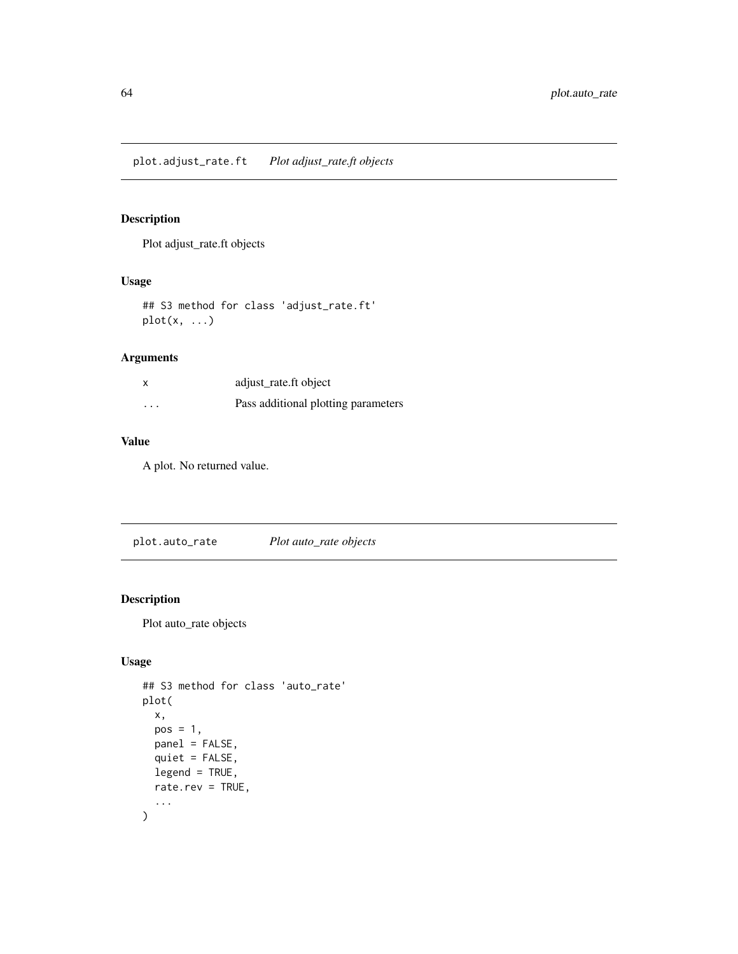# Description

Plot adjust\_rate.ft objects

## Usage

## S3 method for class 'adjust\_rate.ft'  $plot(x, \ldots)$ 

# Arguments

| X        | adjust_rate.ft object               |
|----------|-------------------------------------|
| $\cdots$ | Pass additional plotting parameters |

## Value

A plot. No returned value.

plot.auto\_rate *Plot auto\_rate objects*

# Description

Plot auto\_rate objects

# Usage

```
## S3 method for class 'auto_rate'
plot(
  x,
  pos = 1,
  panel = FALSE,
  quiet = FALSE,
  legend = TRUE,rate.rev = TRUE,
  ...
\mathcal{L}
```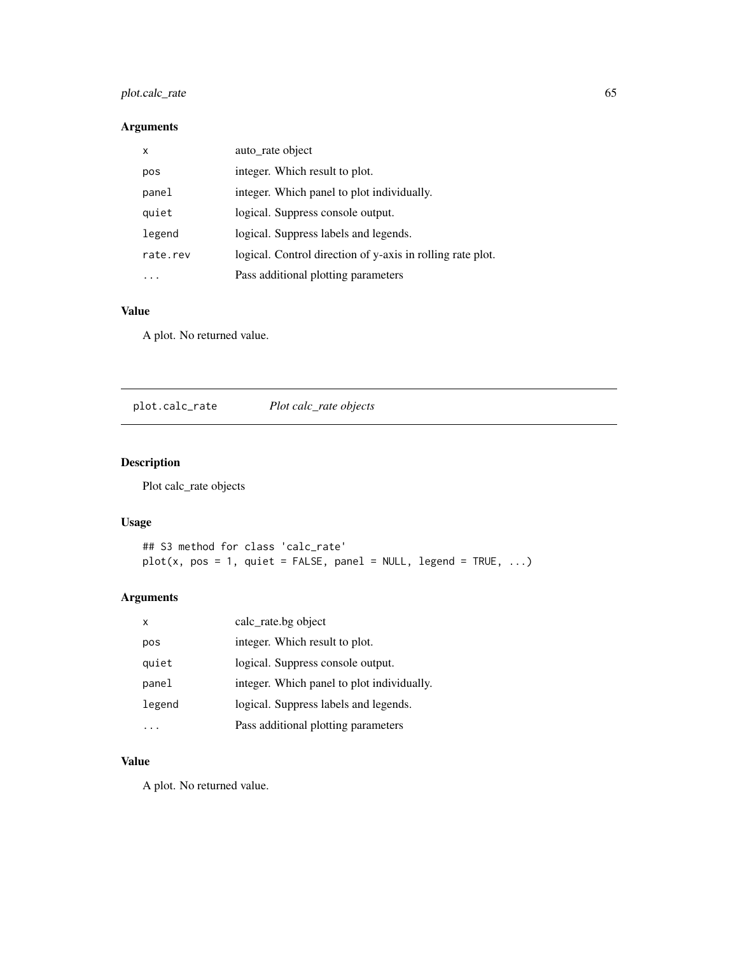# plot.calc\_rate 65

# Arguments

| x        | auto_rate object                                           |
|----------|------------------------------------------------------------|
| pos      | integer. Which result to plot.                             |
| panel    | integer. Which panel to plot individually.                 |
| quiet    | logical. Suppress console output.                          |
| legend   | logical. Suppress labels and legends.                      |
| rate.rev | logical. Control direction of y-axis in rolling rate plot. |
| .        | Pass additional plotting parameters                        |

# Value

A plot. No returned value.

plot.calc\_rate *Plot calc\_rate objects*

# Description

Plot calc\_rate objects

# Usage

```
## S3 method for class 'calc_rate'
plot(x, pos = 1, quiet = FALSE, panel = NULL, legend = TRUE, ...)
```
# Arguments

| x      | calc_rate.bg object                        |
|--------|--------------------------------------------|
| pos    | integer. Which result to plot.             |
| quiet  | logical. Suppress console output.          |
| panel  | integer. Which panel to plot individually. |
| legend | logical. Suppress labels and legends.      |
|        | Pass additional plotting parameters        |

# Value

A plot. No returned value.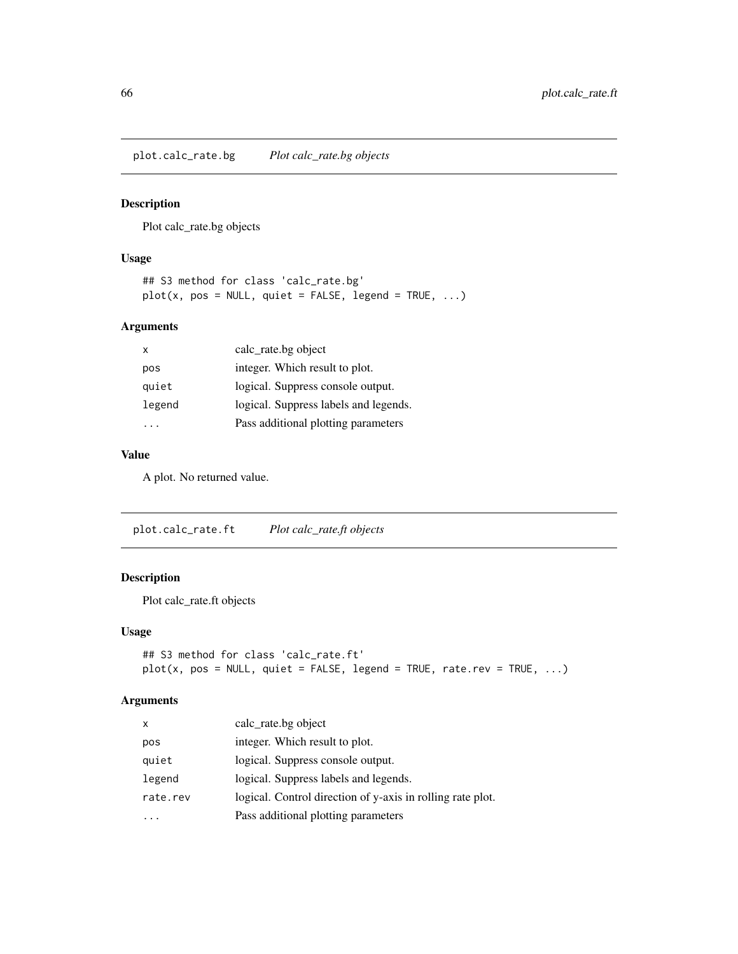plot.calc\_rate.bg *Plot calc\_rate.bg objects*

# Description

Plot calc\_rate.bg objects

# Usage

## S3 method for class 'calc\_rate.bg'  $plot(x, pos = NULL, quiet = FALSE, legend = TRUE, ...)$ 

### Arguments

| x      | calc_rate.bg object                   |
|--------|---------------------------------------|
| pos    | integer. Which result to plot.        |
| quiet  | logical. Suppress console output.     |
| legend | logical. Suppress labels and legends. |
|        | Pass additional plotting parameters   |

## Value

A plot. No returned value.

plot.calc\_rate.ft *Plot calc\_rate.ft objects*

# Description

Plot calc\_rate.ft objects

### Usage

```
## S3 method for class 'calc_rate.ft'
plot(x, pos = NULL, quiet = FALSE, legend = TRUE, rate.rev = TRUE, ...)
```
# Arguments

| X        | calc_rate.bg object                                        |
|----------|------------------------------------------------------------|
| pos      | integer. Which result to plot.                             |
| quiet    | logical. Suppress console output.                          |
| legend   | logical. Suppress labels and legends.                      |
| rate.rev | logical. Control direction of y-axis in rolling rate plot. |
|          | Pass additional plotting parameters                        |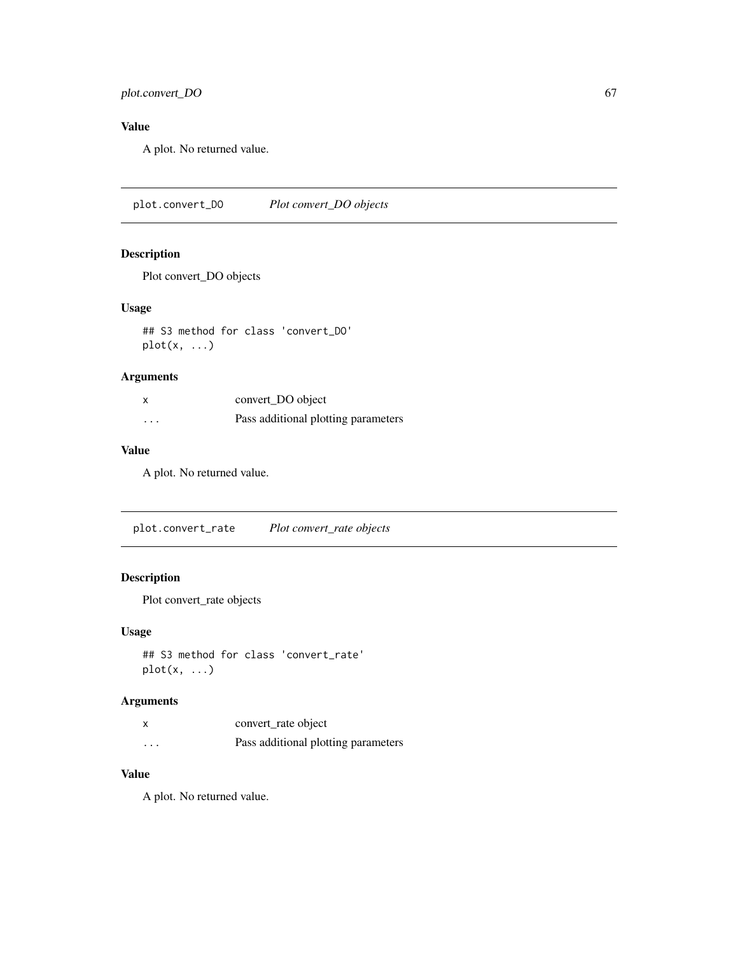# plot.convert\_DO 67

# Value

A plot. No returned value.

plot.convert\_DO *Plot convert\_DO objects*

### Description

Plot convert\_DO objects

### Usage

## S3 method for class 'convert\_DO'  $plot(x, \ldots)$ 

# Arguments

| X        | convert_DO object                   |
|----------|-------------------------------------|
| $\cdots$ | Pass additional plotting parameters |

# Value

A plot. No returned value.

plot.convert\_rate *Plot convert\_rate objects*

# Description

Plot convert\_rate objects

# Usage

```
## S3 method for class 'convert_rate'
plot(x, \ldots)
```
# Arguments

| x       | convert_rate object                 |
|---------|-------------------------------------|
| $\cdot$ | Pass additional plotting parameters |

## Value

A plot. No returned value.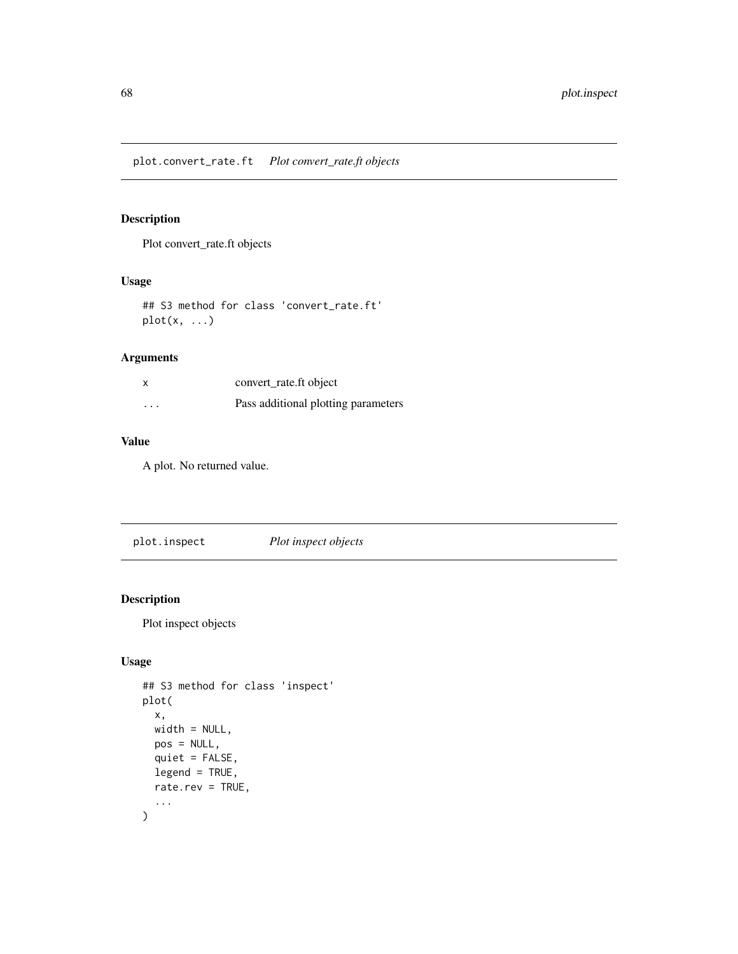# Description

Plot convert\_rate.ft objects

# Usage

## S3 method for class 'convert\_rate.ft'  $plot(x, \ldots)$ 

# Arguments

| X        | convert_rate.ft object              |
|----------|-------------------------------------|
| $\cdots$ | Pass additional plotting parameters |

## Value

A plot. No returned value.

plot.inspect *Plot inspect objects*

# Description

Plot inspect objects

# Usage

```
## S3 method for class 'inspect'
plot(
  x,
  width = NULL,
  pos = NULL,
  quiet = FALSE,
  legend = TRUE,rate.rev = TRUE,
  ...
\mathcal{L}
```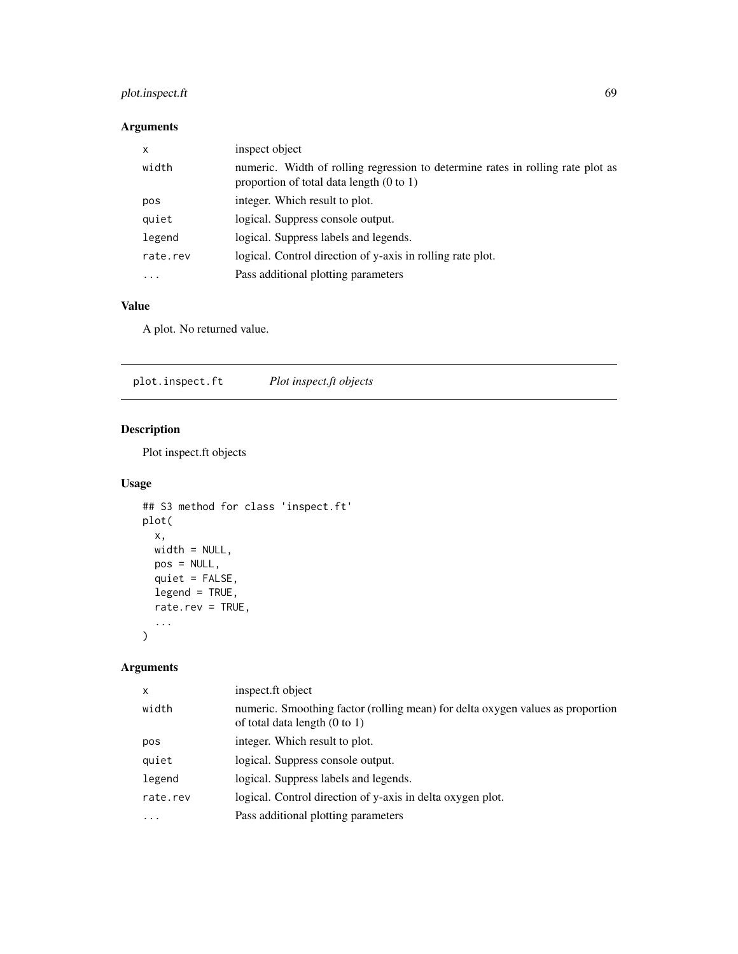# plot.inspect.ft 69

# Arguments

| x        | inspect object                                                                                                                         |
|----------|----------------------------------------------------------------------------------------------------------------------------------------|
| width    | numeric. Width of rolling regression to determine rates in rolling rate plot as<br>proportion of total data length $(0 \text{ to } 1)$ |
| pos      | integer. Which result to plot.                                                                                                         |
| quiet    | logical. Suppress console output.                                                                                                      |
| legend   | logical. Suppress labels and legends.                                                                                                  |
| rate.rev | logical. Control direction of y-axis in rolling rate plot.                                                                             |
| $\cdots$ | Pass additional plotting parameters                                                                                                    |

# Value

A plot. No returned value.

plot.inspect.ft *Plot inspect.ft objects*

# Description

Plot inspect.ft objects

# Usage

```
## S3 method for class 'inspect.ft'
plot(
 x,
 width = NULL,
 pos = NULL,
 quiet = FALSE,
 legend = TRUE,
 rate.rev = TRUE,
  ...
)
```
# Arguments

| $\mathsf{x}$ | inspect.ft object                                                                                                          |
|--------------|----------------------------------------------------------------------------------------------------------------------------|
| width        | numeric. Smoothing factor (rolling mean) for delta oxygen values as proportion<br>of total data length $(0 \text{ to } 1)$ |
| pos          | integer. Which result to plot.                                                                                             |
| quiet        | logical. Suppress console output.                                                                                          |
| legend       | logical. Suppress labels and legends.                                                                                      |
| rate.rev     | logical. Control direction of y-axis in delta oxygen plot.                                                                 |
| $\ddotsc$    | Pass additional plotting parameters                                                                                        |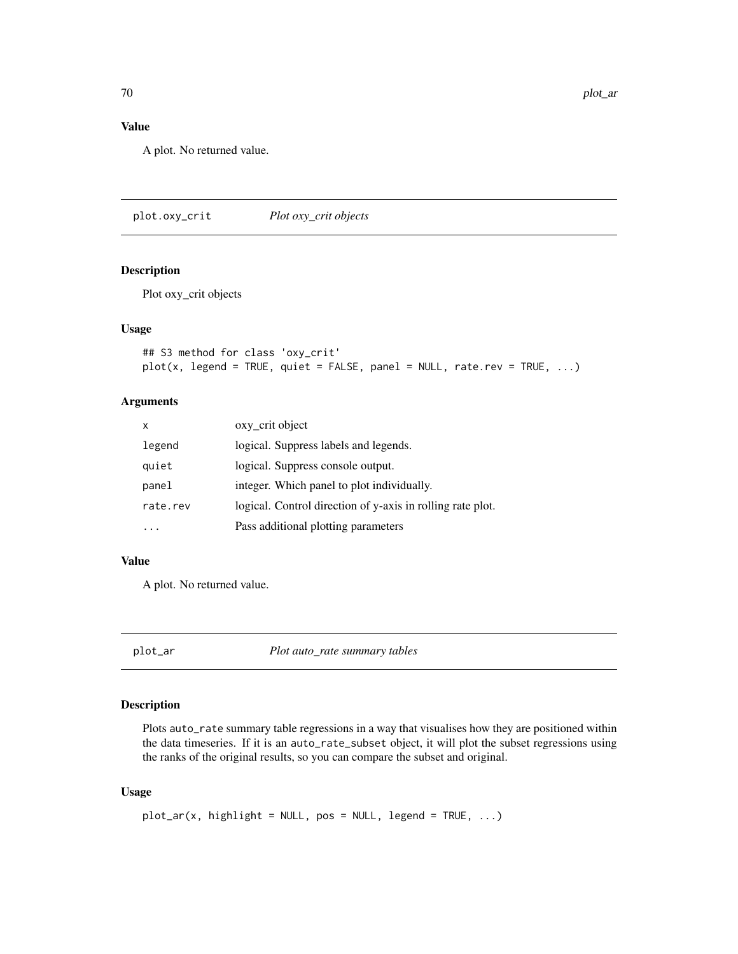## Value

A plot. No returned value.

plot.oxy\_crit *Plot oxy\_crit objects*

# Description

Plot oxy\_crit objects

#### Usage

```
## S3 method for class 'oxy_crit'
plot(x, legend = TRUE, quiet = FALSE, panel = NULL, rate.rev = TRUE, ...)
```
# Arguments

| x        | oxy_crit object                                            |
|----------|------------------------------------------------------------|
| legend   | logical. Suppress labels and legends.                      |
| quiet    | logical. Suppress console output.                          |
| panel    | integer. Which panel to plot individually.                 |
| rate.rev | logical. Control direction of y-axis in rolling rate plot. |
|          | Pass additional plotting parameters                        |

# Value

A plot. No returned value.

plot\_ar *Plot auto\_rate summary tables*

### Description

Plots auto\_rate summary table regressions in a way that visualises how they are positioned within the data timeseries. If it is an auto\_rate\_subset object, it will plot the subset regressions using the ranks of the original results, so you can compare the subset and original.

#### Usage

```
plot_ar(x, highlight = NULL, pos = NULL, legend = TRUE, ...)
```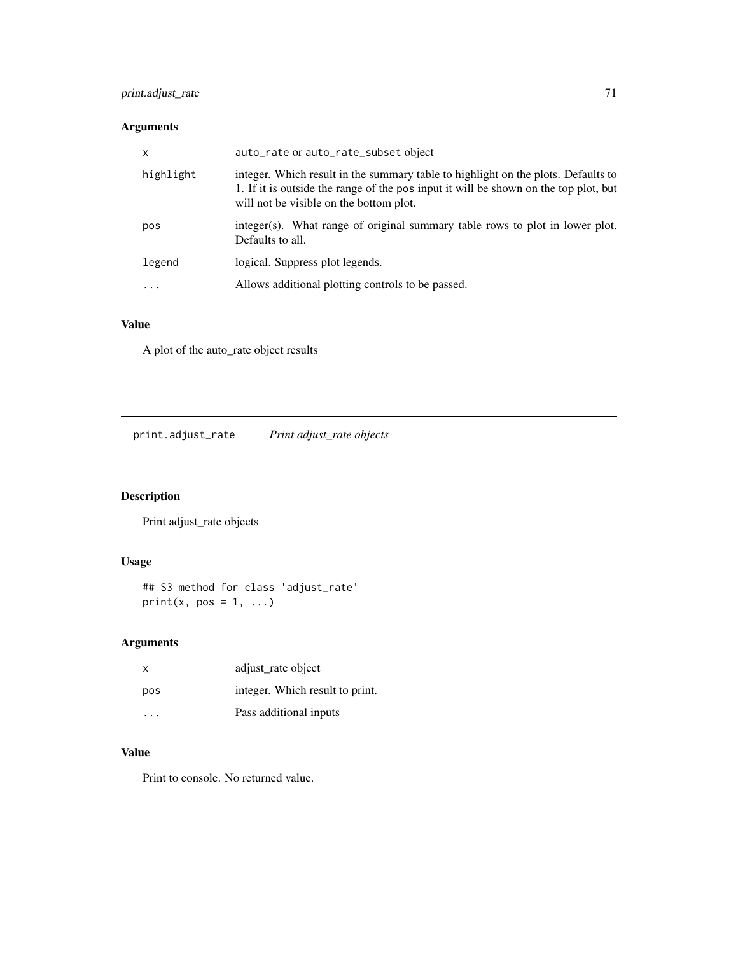# print.adjust\_rate 71

# Arguments

| $\times$  | auto_rate or auto_rate_subset object                                                                                                                                                                              |
|-----------|-------------------------------------------------------------------------------------------------------------------------------------------------------------------------------------------------------------------|
| highlight | integer. Which result in the summary table to highlight on the plots. Defaults to<br>1. If it is outside the range of the posing it will be shown on the top plot, but<br>will not be visible on the bottom plot. |
| pos       | integer(s). What range of original summary table rows to plot in lower plot.<br>Defaults to all.                                                                                                                  |
| legend    | logical. Suppress plot legends.                                                                                                                                                                                   |
| .         | Allows additional plotting controls to be passed.                                                                                                                                                                 |

# Value

A plot of the auto\_rate object results

print.adjust\_rate *Print adjust\_rate objects*

# Description

Print adjust\_rate objects

# Usage

## S3 method for class 'adjust\_rate'  $print(x, pos = 1, ...)$ 

# Arguments

| $\mathsf{x}$            | adjust rate object              |
|-------------------------|---------------------------------|
| pos                     | integer. Which result to print. |
| $\cdot$ $\cdot$ $\cdot$ | Pass additional inputs          |

# Value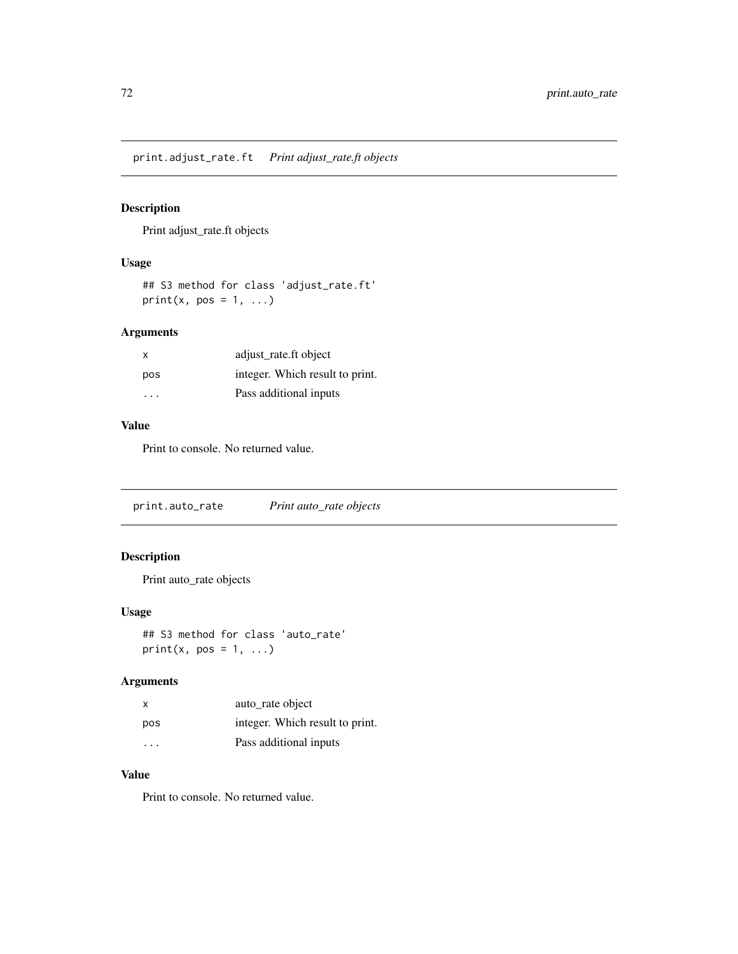print.adjust\_rate.ft *Print adjust\_rate.ft objects*

# Description

Print adjust\_rate.ft objects

# Usage

```
## S3 method for class 'adjust_rate.ft'
print(x, pos = 1, ...)
```
# Arguments

| X                       | adjust rate.ft object           |
|-------------------------|---------------------------------|
| pos                     | integer. Which result to print. |
| $\cdot$ $\cdot$ $\cdot$ | Pass additional inputs          |

### Value

Print to console. No returned value.

print.auto\_rate *Print auto\_rate objects*

# Description

Print auto\_rate objects

### Usage

## S3 method for class 'auto\_rate'  $print(x, pos = 1, ...)$ 

# Arguments

| x       | auto_rate object                |
|---------|---------------------------------|
| pos     | integer. Which result to print. |
| $\cdot$ | Pass additional inputs          |

# Value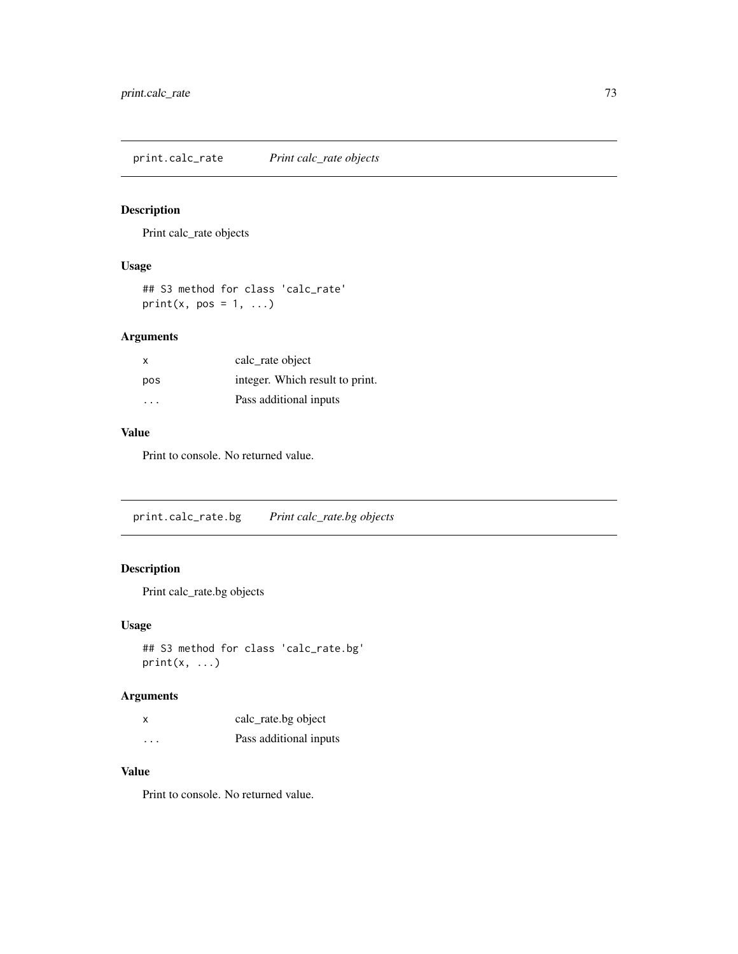<span id="page-72-0"></span>print.calc\_rate *Print calc\_rate objects*

# Description

Print calc\_rate objects

# Usage

## S3 method for class 'calc\_rate' print(x, pos =  $1, ...$ )

# Arguments

| x   | calc rate object                |
|-----|---------------------------------|
| pos | integer. Which result to print. |
| .   | Pass additional inputs          |

#### Value

Print to console. No returned value.

print.calc\_rate.bg *Print calc\_rate.bg objects*

# Description

Print calc\_rate.bg objects

# Usage

```
## S3 method for class 'calc_rate.bg'
print(x, \ldots)
```
# Arguments

| x                    | calc_rate.bg object    |
|----------------------|------------------------|
| $\ddot{\phantom{0}}$ | Pass additional inputs |

# Value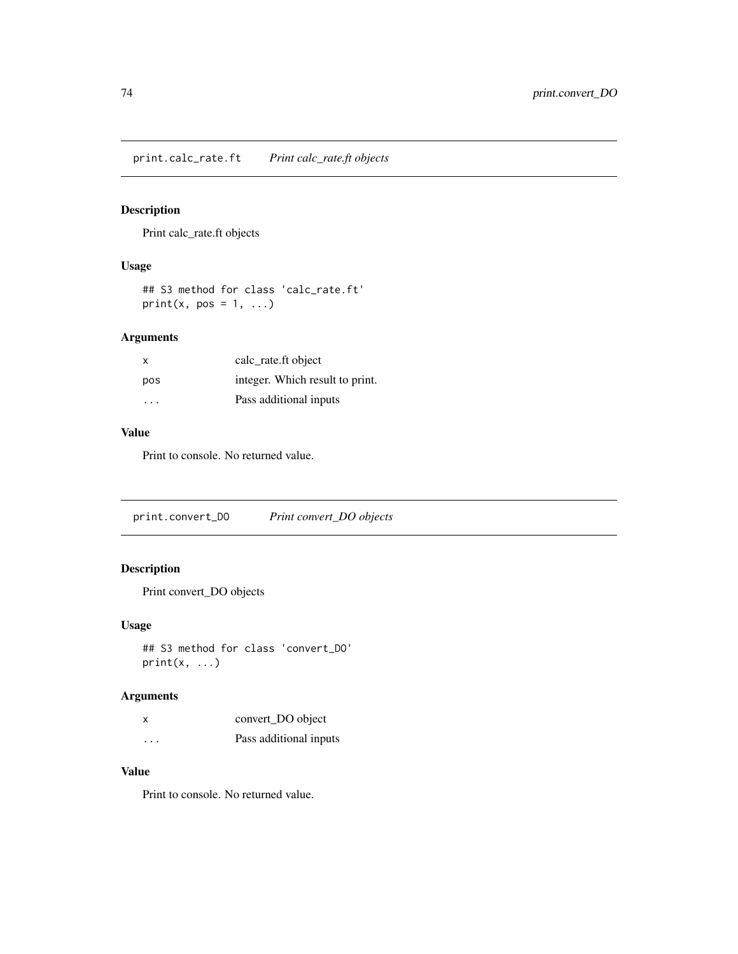<span id="page-73-0"></span>print.calc\_rate.ft *Print calc\_rate.ft objects*

# Description

Print calc\_rate.ft objects

# Usage

## S3 method for class 'calc\_rate.ft' print(x, pos =  $1, ...$ )

# Arguments

| х   | calc_rate.ft object             |
|-----|---------------------------------|
| pos | integer. Which result to print. |
| .   | Pass additional inputs          |

#### Value

Print to console. No returned value.

print.convert\_DO *Print convert\_DO objects*

# Description

Print convert\_DO objects

# Usage

## S3 method for class 'convert\_DO'  $print(x, \ldots)$ 

# Arguments

| x                    | convert_DO object      |
|----------------------|------------------------|
| $\ddot{\phantom{0}}$ | Pass additional inputs |

# Value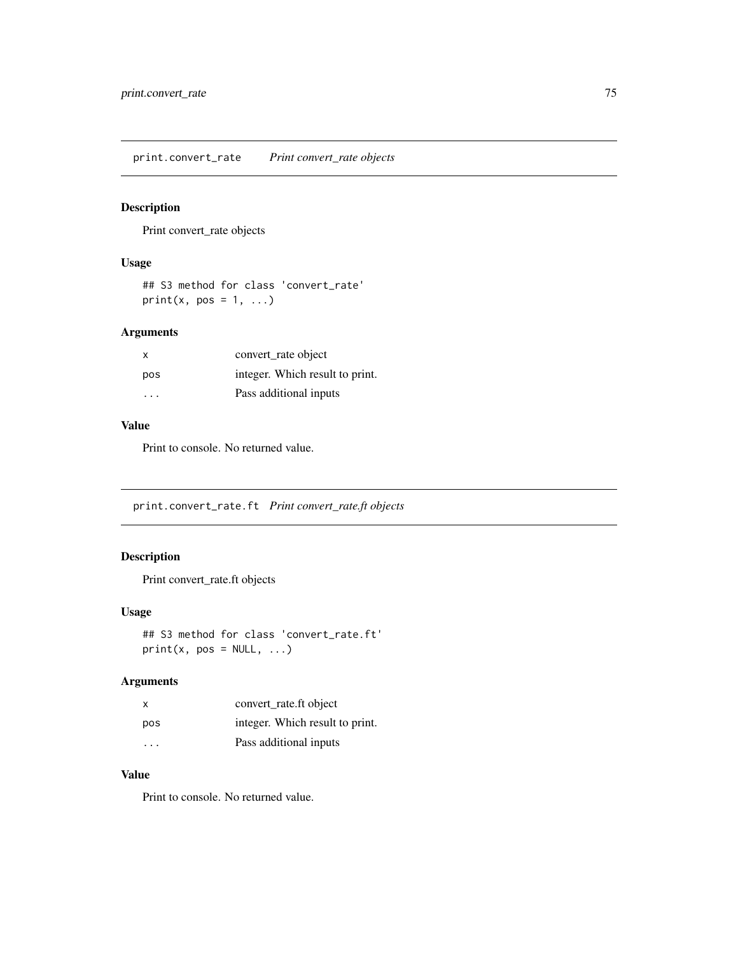<span id="page-74-0"></span>print.convert\_rate *Print convert\_rate objects*

# Description

Print convert\_rate objects

# Usage

## S3 method for class 'convert\_rate' print(x, pos =  $1, ...$ )

# Arguments

| $\mathsf{x}$ | convert rate object             |
|--------------|---------------------------------|
| pos          | integer. Which result to print. |
| $\cdot$      | Pass additional inputs          |

# Value

Print to console. No returned value.

print.convert\_rate.ft *Print convert\_rate.ft objects*

# Description

Print convert\_rate.ft objects

# Usage

## S3 method for class 'convert\_rate.ft'  $print(x, pos = NULL, ...)$ 

# Arguments

| x                       | convert rate.ft object          |
|-------------------------|---------------------------------|
| pos                     | integer. Which result to print. |
| $\cdot$ $\cdot$ $\cdot$ | Pass additional inputs          |

# Value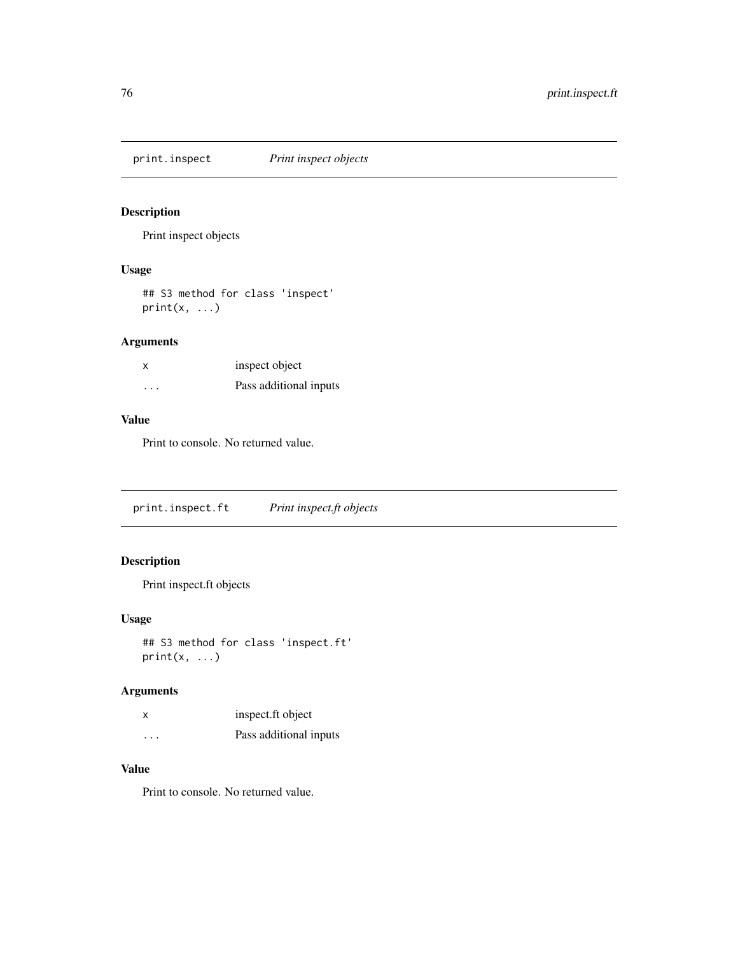<span id="page-75-0"></span>print.inspect *Print inspect objects*

# Description

Print inspect objects

# Usage

## S3 method for class 'inspect'  $print(x, \ldots)$ 

# Arguments

| x | inspect object         |
|---|------------------------|
| . | Pass additional inputs |

# Value

Print to console. No returned value.

print.inspect.ft *Print inspect.ft objects*

# Description

Print inspect.ft objects

# Usage

```
## S3 method for class 'inspect.ft'
print(x, \ldots)
```
# Arguments

|                      | inspect.ft object      |
|----------------------|------------------------|
| $\ddot{\phantom{0}}$ | Pass additional inputs |

# Value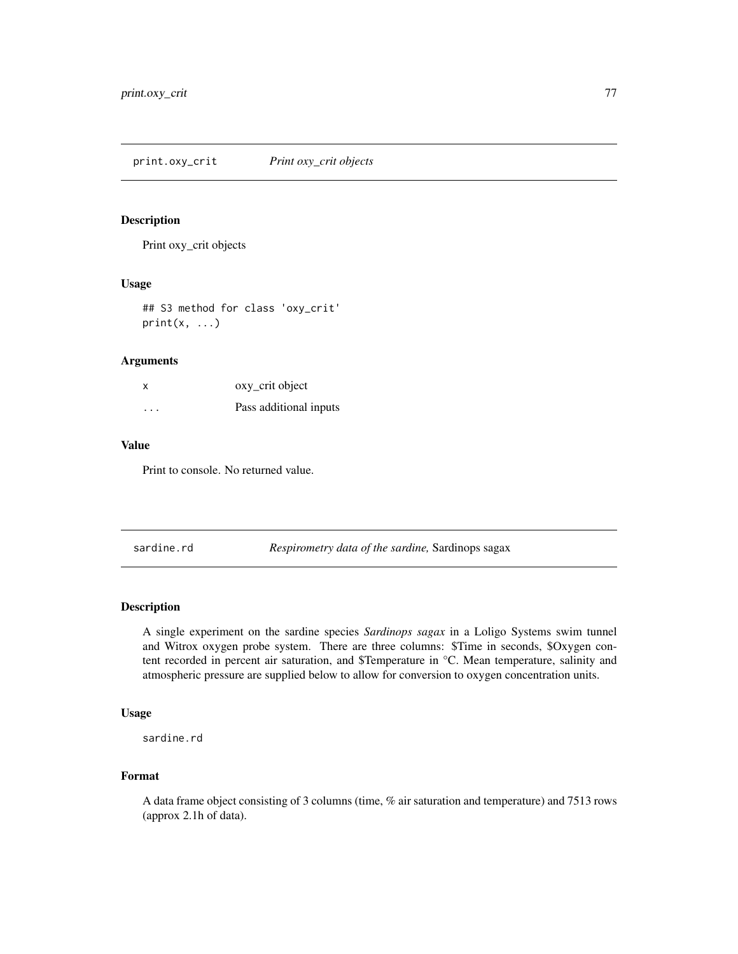<span id="page-76-0"></span>print.oxy\_crit *Print oxy\_crit objects*

# Description

Print oxy\_crit objects

#### Usage

## S3 method for class 'oxy\_crit'  $print(x, \ldots)$ 

#### Arguments

| x       | oxy_crit object        |
|---------|------------------------|
| $\cdot$ | Pass additional inputs |

# Value

Print to console. No returned value.

sardine.rd *Respirometry data of the sardine*, Sardinops sagax

#### Description

A single experiment on the sardine species *Sardinops sagax* in a Loligo Systems swim tunnel and Witrox oxygen probe system. There are three columns: \$Time in seconds, \$Oxygen content recorded in percent air saturation, and \$Temperature in °C. Mean temperature, salinity and atmospheric pressure are supplied below to allow for conversion to oxygen concentration units.

# Usage

sardine.rd

### Format

A data frame object consisting of 3 columns (time, % air saturation and temperature) and 7513 rows (approx 2.1h of data).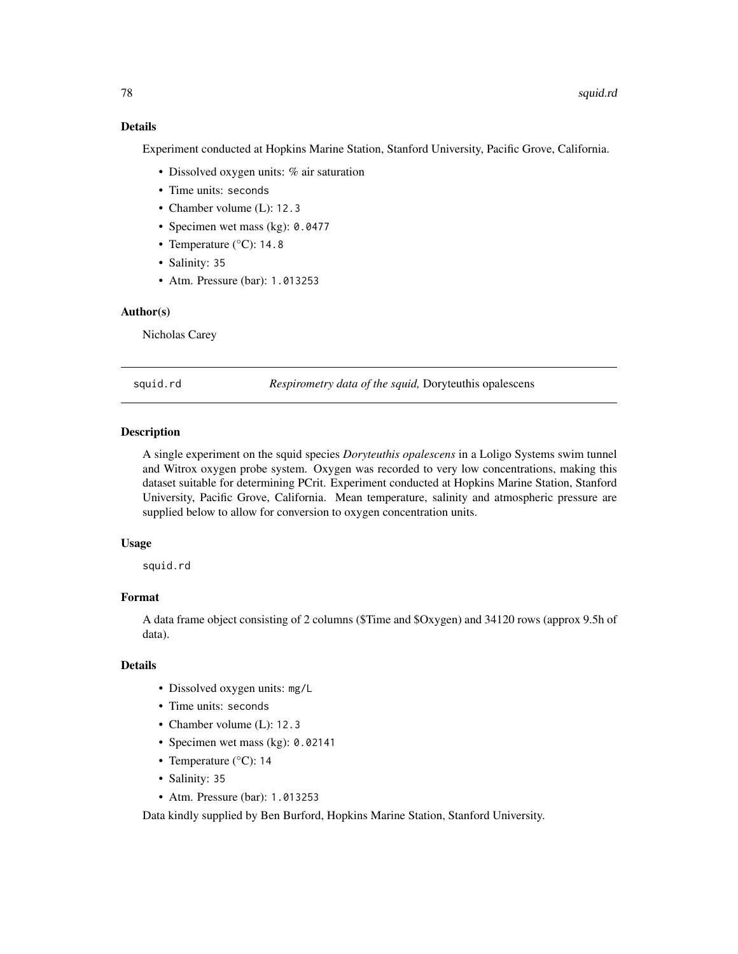# Details

Experiment conducted at Hopkins Marine Station, Stanford University, Pacific Grove, California.

- Dissolved oxygen units: % air saturation
- Time units: seconds
- Chamber volume (L): 12.3
- Specimen wet mass (kg): 0.0477
- Temperature (°C): 14.8
- Salinity: 35
- Atm. Pressure (bar): 1.013253

#### Author(s)

Nicholas Carey

squid.rd *Respirometry data of the squid,* Doryteuthis opalescens

#### Description

A single experiment on the squid species *Doryteuthis opalescens* in a Loligo Systems swim tunnel and Witrox oxygen probe system. Oxygen was recorded to very low concentrations, making this dataset suitable for determining PCrit. Experiment conducted at Hopkins Marine Station, Stanford University, Pacific Grove, California. Mean temperature, salinity and atmospheric pressure are supplied below to allow for conversion to oxygen concentration units.

#### Usage

squid.rd

# Format

A data frame object consisting of 2 columns (\$Time and \$Oxygen) and 34120 rows (approx 9.5h of data).

# **Details**

- Dissolved oxygen units: mg/L
- Time units: seconds
- Chamber volume (L): 12.3
- Specimen wet mass (kg): 0.02141
- Temperature (°C): 14
- Salinity: 35
- Atm. Pressure (bar): 1.013253

Data kindly supplied by Ben Burford, Hopkins Marine Station, Stanford University.

<span id="page-77-0"></span>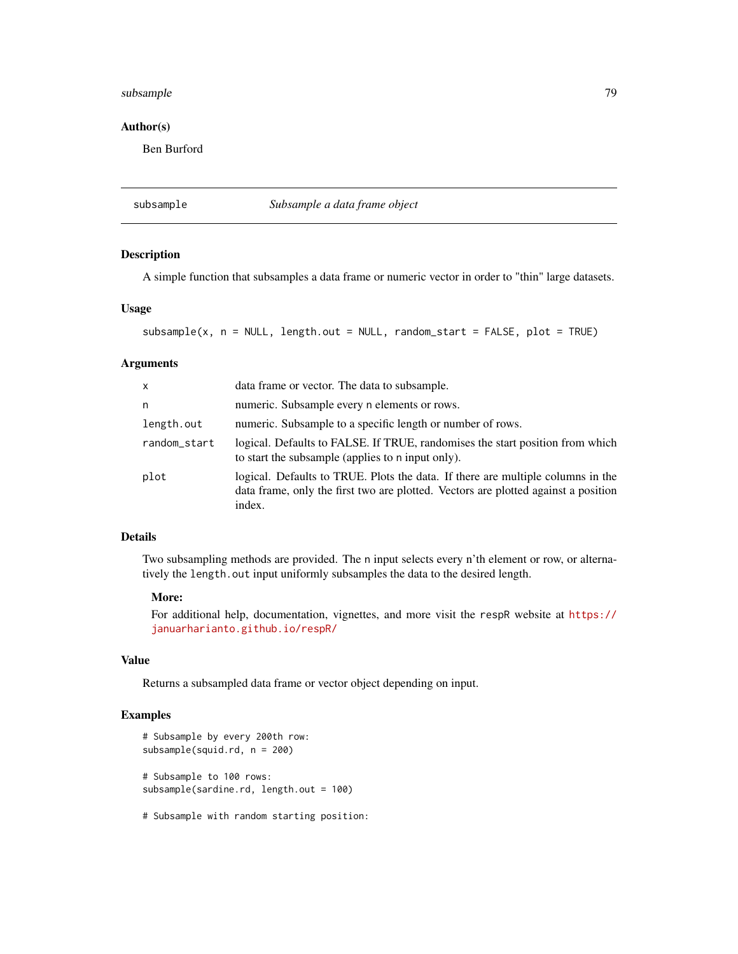# <span id="page-78-0"></span>subsample 79

# Author(s)

Ben Burford

subsample *Subsample a data frame object*

#### Description

A simple function that subsamples a data frame or numeric vector in order to "thin" large datasets.

#### Usage

```
subsample(x, n = NULL, length.out = NULL, random_start = FALSE, plot = TRUE)
```
#### Arguments

| $\mathsf{x}$ | data frame or vector. The data to subsample.                                                                                                                                    |
|--------------|---------------------------------------------------------------------------------------------------------------------------------------------------------------------------------|
| n            | numeric. Subsample every n elements or rows.                                                                                                                                    |
| length.out   | numeric. Subsample to a specific length or number of rows.                                                                                                                      |
| random_start | logical. Defaults to FALSE. If TRUE, randomises the start position from which<br>to start the subsample (applies to n input only).                                              |
| plot         | logical. Defaults to TRUE. Plots the data. If there are multiple columns in the<br>data frame, only the first two are plotted. Vectors are plotted against a position<br>index. |

# Details

Two subsampling methods are provided. The n input selects every n'th element or row, or alternatively the length.out input uniformly subsamples the data to the desired length.

#### More:

For additional help, documentation, vignettes, and more visit the respR website at [https://](https://januarharianto.github.io/respR/) [januarharianto.github.io/respR/](https://januarharianto.github.io/respR/)

#### Value

Returns a subsampled data frame or vector object depending on input.

# Examples

```
# Subsample by every 200th row:
subsample(squid.rd, n = 200)
# Subsample to 100 rows:
subsample(sardine.rd, length.out = 100)
```
# Subsample with random starting position: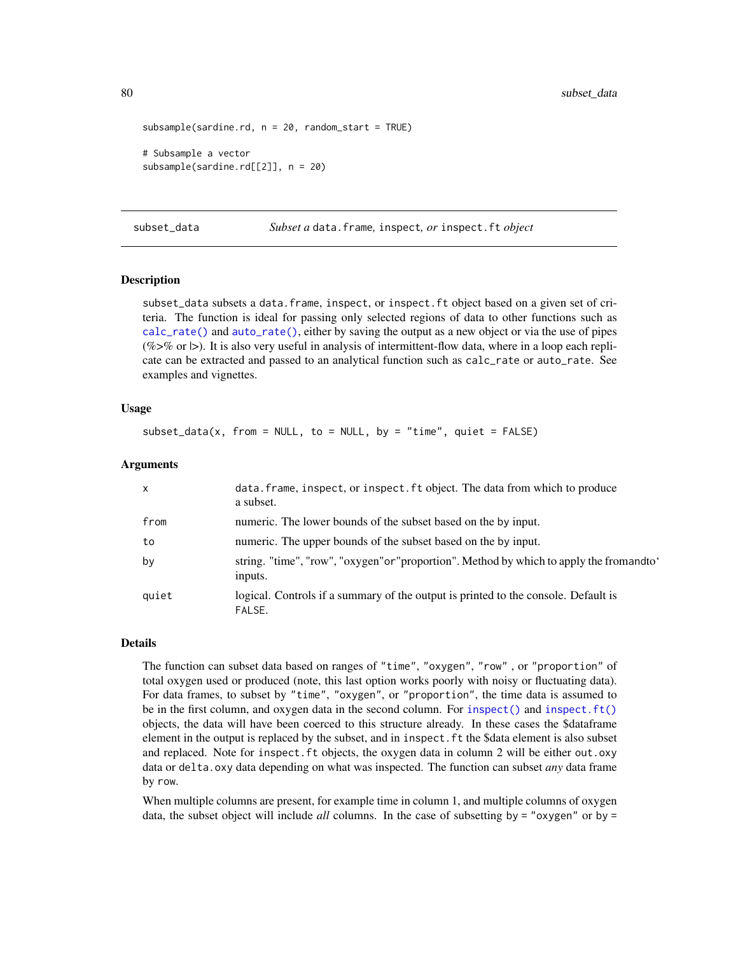```
subsample(sardine.rd, n = 20, random_start = TRUE)# Subsample a vector
subsample(sardine.rd[[2]], n = 20)
```
<span id="page-79-0"></span>subset\_data *Subset a* data.frame*,* inspect*, or* inspect.ft *object*

#### **Description**

subset\_data subsets a data.frame, inspect, or inspect.ft object based on a given set of criteria. The function is ideal for passing only selected regions of data to other functions such as [calc\\_rate\(\)](#page-17-0) and [auto\\_rate\(\)](#page-11-0), either by saving the output as a new object or via the use of pipes (%>% or  $\triangleright$ ). It is also very useful in analysis of intermittent-flow data, where in a loop each replicate can be extracted and passed to an analytical function such as calc\_rate or auto\_rate. See examples and vignettes.

#### Usage

 $subset_data(x, from = NULL, to = NULL, by = "time", quiet = FALSE)$ 

#### Arguments

| $\mathsf{x}$ | data. frame, inspect, or inspect. ft object. The data from which to produce<br>a subset.          |
|--------------|---------------------------------------------------------------------------------------------------|
| from         | numeric. The lower bounds of the subset based on the by input.                                    |
| to           | numeric. The upper bounds of the subset based on the by input.                                    |
| by           | string. "time", "row", "oxygen"or"proportion". Method by which to apply the fromandto'<br>inputs. |
| quiet        | logical. Controls if a summary of the output is printed to the console. Default is<br>FALSE.      |

# Details

The function can subset data based on ranges of "time", "oxygen", "row" , or "proportion" of total oxygen used or produced (note, this last option works poorly with noisy or fluctuating data). For data frames, to subset by "time", "oxygen", or "proportion", the time data is assumed to be in the first column, and oxygen data in the second column. For [inspect\(\)](#page-42-0) and [inspect.ft\(\)](#page-46-0) objects, the data will have been coerced to this structure already. In these cases the \$dataframe element in the output is replaced by the subset, and in inspect.ft the \$data element is also subset and replaced. Note for inspect.ft objects, the oxygen data in column 2 will be either out.oxy data or delta.oxy data depending on what was inspected. The function can subset *any* data frame by row.

When multiple columns are present, for example time in column 1, and multiple columns of oxygen data, the subset object will include *all* columns. In the case of subsetting by = "oxygen" or by =

<span id="page-79-1"></span>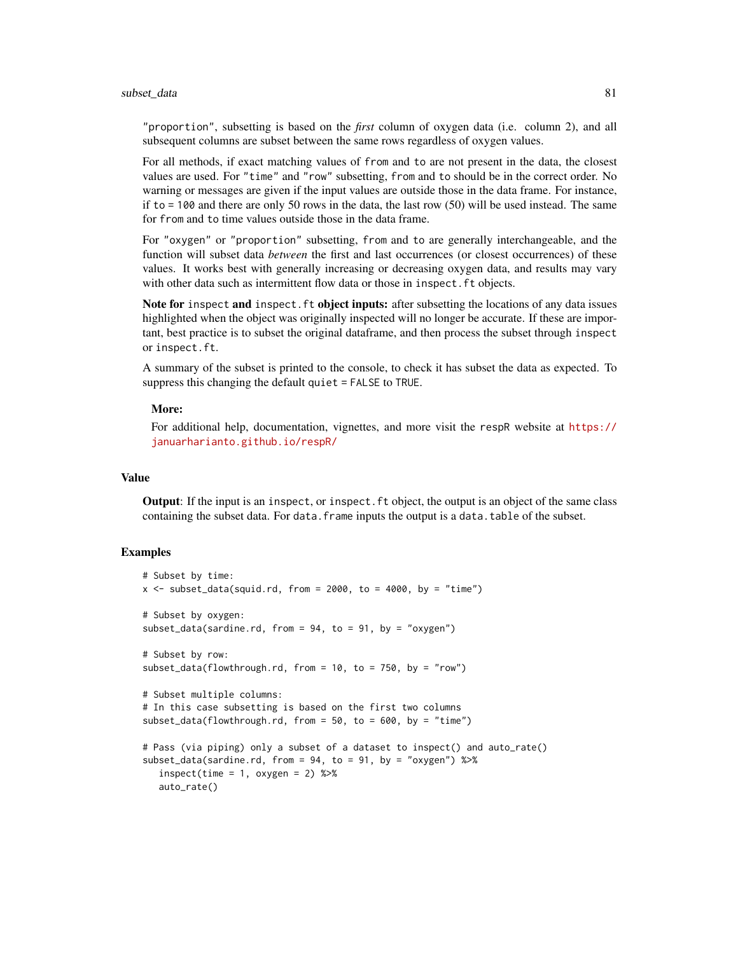#### subset\_data 81

"proportion", subsetting is based on the *first* column of oxygen data (i.e. column 2), and all subsequent columns are subset between the same rows regardless of oxygen values.

For all methods, if exact matching values of from and to are not present in the data, the closest values are used. For "time" and "row" subsetting, from and to should be in the correct order. No warning or messages are given if the input values are outside those in the data frame. For instance, if to  $= 100$  and there are only 50 rows in the data, the last row (50) will be used instead. The same for from and to time values outside those in the data frame.

For "oxygen" or "proportion" subsetting, from and to are generally interchangeable, and the function will subset data *between* the first and last occurrences (or closest occurrences) of these values. It works best with generally increasing or decreasing oxygen data, and results may vary with other data such as intermittent flow data or those in inspect. ft objects.

Note for inspect and inspect. ft object inputs: after subsetting the locations of any data issues highlighted when the object was originally inspected will no longer be accurate. If these are important, best practice is to subset the original dataframe, and then process the subset through inspect or inspect.ft.

A summary of the subset is printed to the console, to check it has subset the data as expected. To suppress this changing the default quiet = FALSE to TRUE.

#### More:

For additional help, documentation, vignettes, and more visit the respR website at [https://](https://januarharianto.github.io/respR/) [januarharianto.github.io/respR/](https://januarharianto.github.io/respR/)

### Value

Output: If the input is an inspect, or inspect.ft object, the output is an object of the same class containing the subset data. For data. frame inputs the output is a data.table of the subset.

#### Examples

```
# Subset by time:
x \le - subset_data(squid.rd, from = 2000, to = 4000, by = "time")
# Subset by oxygen:
subset_data(sardine.rd, from = 94, to = 91, by = "oxygen")
# Subset by row:
subset_data(flowthrough.rd, from = 10, to = 750, by = "row")
# Subset multiple columns:
# In this case subsetting is based on the first two columns
subset_data(flowthrough.rd, from = 50, to = 600, by = "time")
# Pass (via piping) only a subset of a dataset to inspect() and auto_rate()
subset_data(sardine.rd, from = 94, to = 91, by = "oxygen") %>%
  inspect(time = 1, oxygen = 2) %>%
  auto_rate()
```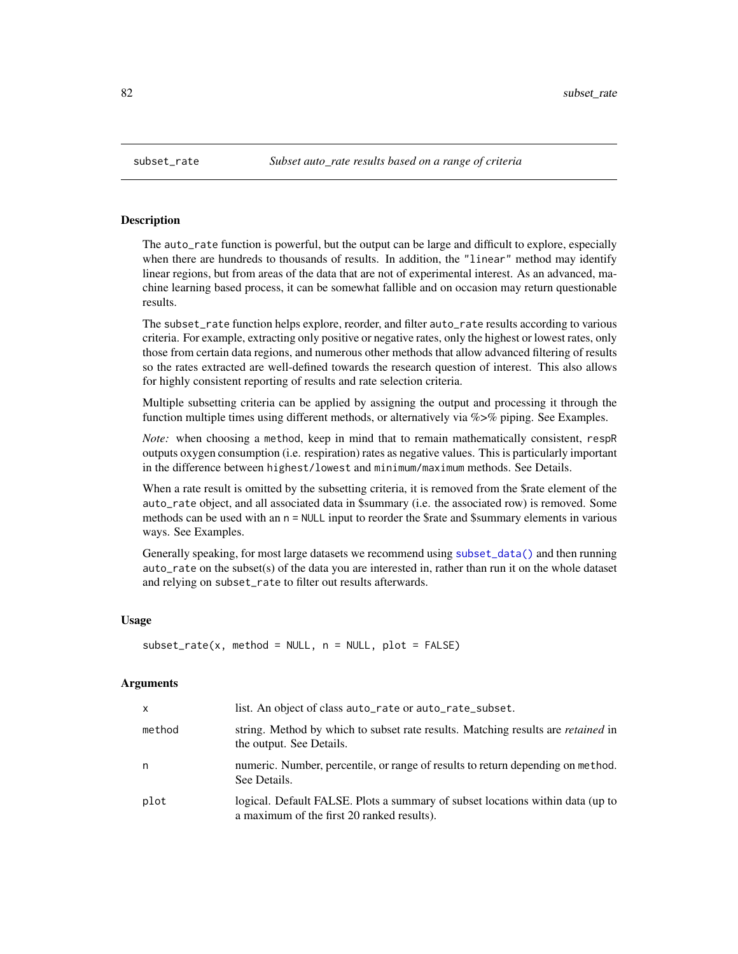#### **Description**

The auto\_rate function is powerful, but the output can be large and difficult to explore, especially when there are hundreds to thousands of results. In addition, the "linear" method may identify linear regions, but from areas of the data that are not of experimental interest. As an advanced, machine learning based process, it can be somewhat fallible and on occasion may return questionable results.

The subset\_rate function helps explore, reorder, and filter auto\_rate results according to various criteria. For example, extracting only positive or negative rates, only the highest or lowest rates, only those from certain data regions, and numerous other methods that allow advanced filtering of results so the rates extracted are well-defined towards the research question of interest. This also allows for highly consistent reporting of results and rate selection criteria.

Multiple subsetting criteria can be applied by assigning the output and processing it through the function multiple times using different methods, or alternatively via  $\%$  >% piping. See Examples.

*Note:* when choosing a method, keep in mind that to remain mathematically consistent, respR outputs oxygen consumption (i.e. respiration) rates as negative values. This is particularly important in the difference between highest/lowest and minimum/maximum methods. See Details.

When a rate result is omitted by the subsetting criteria, it is removed from the \$rate element of the auto\_rate object, and all associated data in \$summary (i.e. the associated row) is removed. Some methods can be used with an n = NULL input to reorder the \$rate and \$summary elements in various ways. See Examples.

Generally speaking, for most large datasets we recommend using [subset\\_data\(\)](#page-79-0) and then running auto\_rate on the subset(s) of the data you are interested in, rather than run it on the whole dataset and relying on subset\_rate to filter out results afterwards.

#### Usage

```
subset_{\text{rate}}(x, \text{ method} = \text{NULL}, \text{n} = \text{NULL}, \text{plot} = \text{FALSE})
```
#### Arguments

| $\mathsf{x}$ | list. An object of class auto_rate or auto_rate_subset.                                                                      |
|--------------|------------------------------------------------------------------------------------------------------------------------------|
| method       | string. Method by which to subset rate results. Matching results are <i>retained</i> in<br>the output. See Details.          |
| n            | numeric. Number, percentile, or range of results to return depending on method.<br>See Details.                              |
| plot         | logical. Default FALSE. Plots a summary of subset locations within data (up to<br>a maximum of the first 20 ranked results). |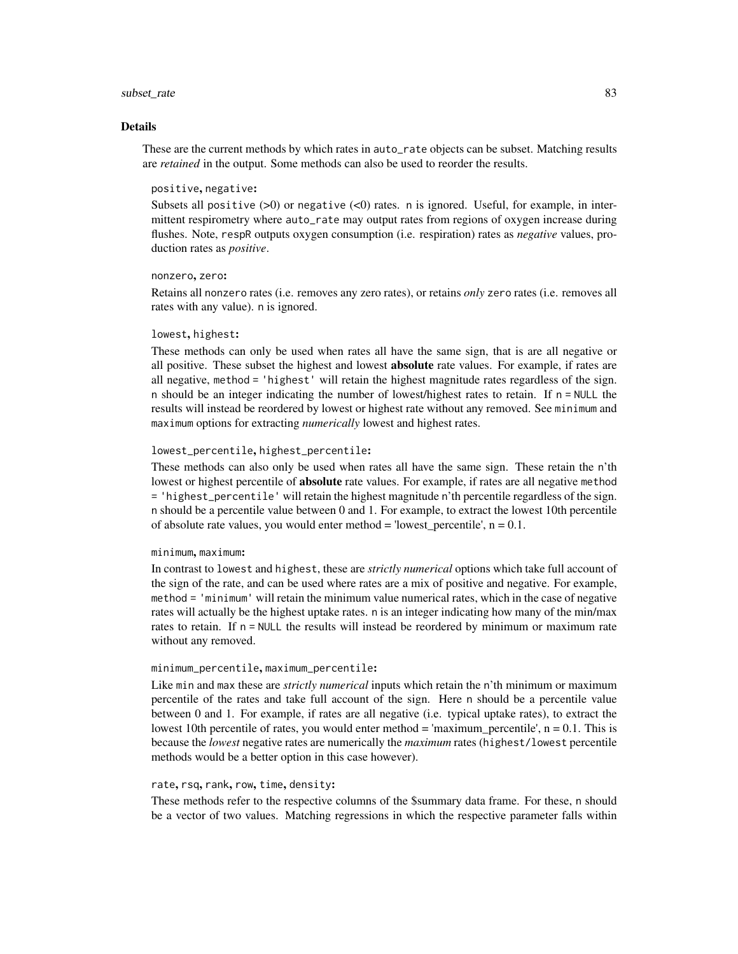#### subset\_rate 83

#### Details

These are the current methods by which rates in auto\_rate objects can be subset. Matching results are *retained* in the output. Some methods can also be used to reorder the results.

#### positive, negative:

Subsets all positive  $(>0)$  or negative  $(<0)$  rates. n is ignored. Useful, for example, in intermittent respirometry where auto\_rate may output rates from regions of oxygen increase during flushes. Note, respR outputs oxygen consumption (i.e. respiration) rates as *negative* values, production rates as *positive*.

#### nonzero, zero:

Retains all nonzero rates (i.e. removes any zero rates), or retains *only* zero rates (i.e. removes all rates with any value). n is ignored.

#### lowest, highest:

These methods can only be used when rates all have the same sign, that is are all negative or all positive. These subset the highest and lowest absolute rate values. For example, if rates are all negative, method = 'highest' will retain the highest magnitude rates regardless of the sign. n should be an integer indicating the number of lowest/highest rates to retain. If  $n = NULL$  the results will instead be reordered by lowest or highest rate without any removed. See minimum and maximum options for extracting *numerically* lowest and highest rates.

#### lowest\_percentile, highest\_percentile:

These methods can also only be used when rates all have the same sign. These retain the n'th lowest or highest percentile of absolute rate values. For example, if rates are all negative method = 'highest\_percentile' will retain the highest magnitude n'th percentile regardless of the sign. n should be a percentile value between 0 and 1. For example, to extract the lowest 10th percentile of absolute rate values, you would enter method = 'lowest percentile',  $n = 0.1$ .

#### minimum, maximum:

In contrast to lowest and highest, these are *strictly numerical* options which take full account of the sign of the rate, and can be used where rates are a mix of positive and negative. For example, method = 'minimum' will retain the minimum value numerical rates, which in the case of negative rates will actually be the highest uptake rates. n is an integer indicating how many of the min/max rates to retain. If n = NULL the results will instead be reordered by minimum or maximum rate without any removed.

#### minimum\_percentile, maximum\_percentile:

Like min and max these are *strictly numerical* inputs which retain the n'th minimum or maximum percentile of the rates and take full account of the sign. Here n should be a percentile value between 0 and 1. For example, if rates are all negative (i.e. typical uptake rates), to extract the lowest 10th percentile of rates, you would enter method = 'maximum\_percentile',  $n = 0.1$ . This is because the *lowest* negative rates are numerically the *maximum* rates (highest/lowest percentile methods would be a better option in this case however).

#### rate, rsq, rank, row, time, density:

These methods refer to the respective columns of the \$summary data frame. For these, n should be a vector of two values. Matching regressions in which the respective parameter falls within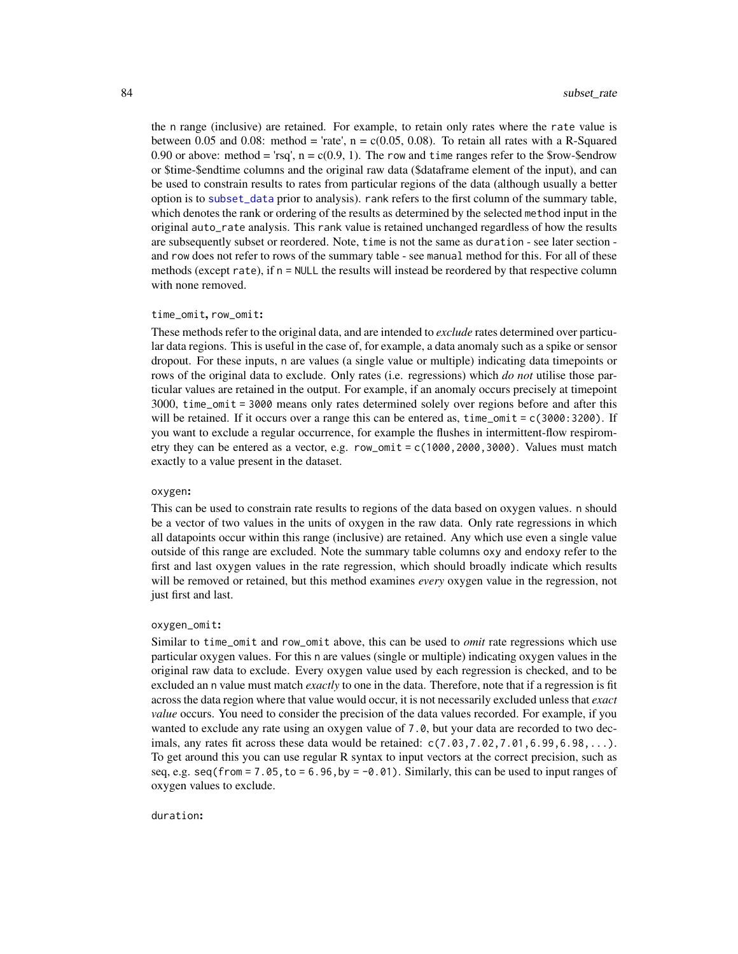<span id="page-83-0"></span>the n range (inclusive) are retained. For example, to retain only rates where the rate value is between 0.05 and 0.08: method = 'rate',  $n = c(0.05, 0.08)$ . To retain all rates with a R-Squared 0.90 or above: method = 'rsq',  $n = c(0.9, 1)$ . The row and time ranges refer to the \$row-\$endrow or \$time-\$endtime columns and the original raw data (\$dataframe element of the input), and can be used to constrain results to rates from particular regions of the data (although usually a better option is to [subset\\_data](#page-79-0) prior to analysis). rank refers to the first column of the summary table, which denotes the rank or ordering of the results as determined by the selected method input in the original auto\_rate analysis. This rank value is retained unchanged regardless of how the results are subsequently subset or reordered. Note, time is not the same as duration - see later section and row does not refer to rows of the summary table - see manual method for this. For all of these methods (except rate), if  $n = \text{NULL}$  the results will instead be reordered by that respective column with none removed.

#### time\_omit, row\_omit:

These methods refer to the original data, and are intended to *exclude* rates determined over particular data regions. This is useful in the case of, for example, a data anomaly such as a spike or sensor dropout. For these inputs, n are values (a single value or multiple) indicating data timepoints or rows of the original data to exclude. Only rates (i.e. regressions) which *do not* utilise those particular values are retained in the output. For example, if an anomaly occurs precisely at timepoint 3000, time\_omit = 3000 means only rates determined solely over regions before and after this will be retained. If it occurs over a range this can be entered as,  $time\_omit = c(3000:3200)$ . If you want to exclude a regular occurrence, for example the flushes in intermittent-flow respirometry they can be entered as a vector, e.g. row\_omit =  $c(1000, 2000, 3000)$ . Values must match exactly to a value present in the dataset.

#### oxygen:

This can be used to constrain rate results to regions of the data based on oxygen values. n should be a vector of two values in the units of oxygen in the raw data. Only rate regressions in which all datapoints occur within this range (inclusive) are retained. Any which use even a single value outside of this range are excluded. Note the summary table columns oxy and endoxy refer to the first and last oxygen values in the rate regression, which should broadly indicate which results will be removed or retained, but this method examines *every* oxygen value in the regression, not just first and last.

#### oxygen\_omit:

Similar to time\_omit and row\_omit above, this can be used to *omit* rate regressions which use particular oxygen values. For this n are values (single or multiple) indicating oxygen values in the original raw data to exclude. Every oxygen value used by each regression is checked, and to be excluded an n value must match *exactly* to one in the data. Therefore, note that if a regression is fit across the data region where that value would occur, it is not necessarily excluded unless that *exact value* occurs. You need to consider the precision of the data values recorded. For example, if you wanted to exclude any rate using an oxygen value of 7.0, but your data are recorded to two decimals, any rates fit across these data would be retained:  $c(7.03, 7.02, 7.01, 6.99, 6.98, \ldots)$ . To get around this you can use regular R syntax to input vectors at the correct precision, such as seq, e.g. seq(from = 7.05, to = 6.96, by =  $-0.01$ ). Similarly, this can be used to input ranges of oxygen values to exclude.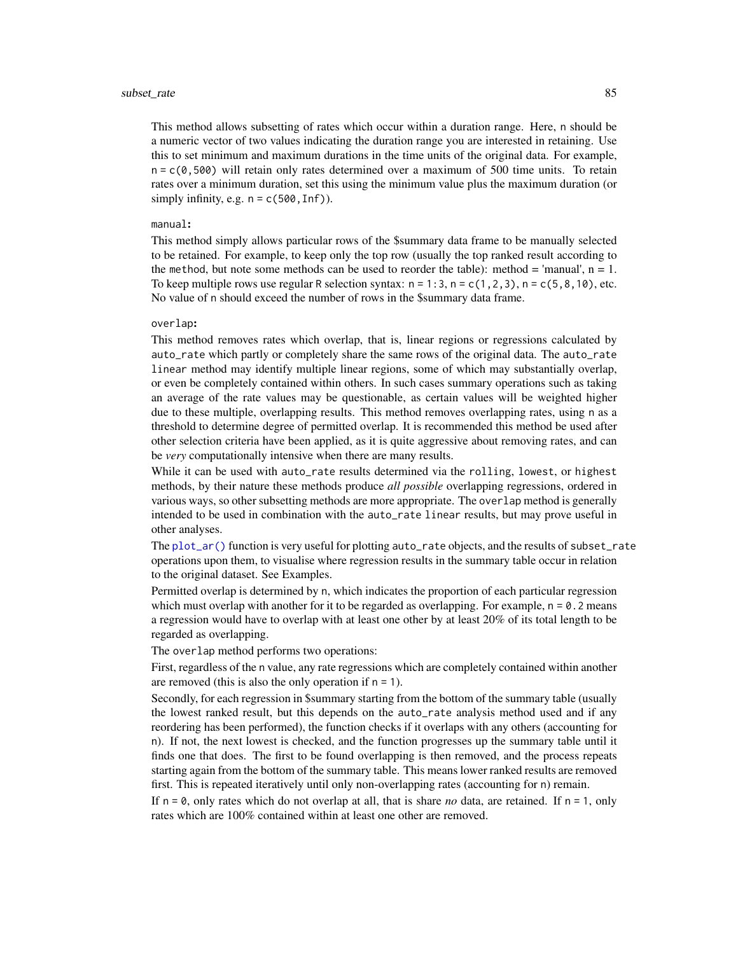<span id="page-84-0"></span>This method allows subsetting of rates which occur within a duration range. Here, n should be a numeric vector of two values indicating the duration range you are interested in retaining. Use this to set minimum and maximum durations in the time units of the original data. For example,  $n = c(0, 500)$  will retain only rates determined over a maximum of 500 time units. To retain rates over a minimum duration, set this using the minimum value plus the maximum duration (or simply infinity, e.g.  $n = c(500, lnf)$ .

#### manual:

This method simply allows particular rows of the \$summary data frame to be manually selected to be retained. For example, to keep only the top row (usually the top ranked result according to the method, but note some methods can be used to reorder the table): method = 'manual',  $n = 1$ . To keep multiple rows use regular R selection syntax:  $n = 1:3$ ,  $n = c(1,2,3)$ ,  $n = c(5,8,10)$ , etc. No value of n should exceed the number of rows in the \$summary data frame.

#### overlap:

This method removes rates which overlap, that is, linear regions or regressions calculated by auto\_rate which partly or completely share the same rows of the original data. The auto\_rate linear method may identify multiple linear regions, some of which may substantially overlap, or even be completely contained within others. In such cases summary operations such as taking an average of the rate values may be questionable, as certain values will be weighted higher due to these multiple, overlapping results. This method removes overlapping rates, using n as a threshold to determine degree of permitted overlap. It is recommended this method be used after other selection criteria have been applied, as it is quite aggressive about removing rates, and can be *very* computationally intensive when there are many results.

While it can be used with auto\_rate results determined via the rolling, lowest, or highest methods, by their nature these methods produce *all possible* overlapping regressions, ordered in various ways, so other subsetting methods are more appropriate. The overlap method is generally intended to be used in combination with the auto\_rate linear results, but may prove useful in other analyses.

The [plot\\_ar\(\)](#page-69-0) function is very useful for plotting auto\_rate objects, and the results of subset\_rate operations upon them, to visualise where regression results in the summary table occur in relation to the original dataset. See Examples.

Permitted overlap is determined by n, which indicates the proportion of each particular regression which must overlap with another for it to be regarded as overlapping. For example,  $n = 0.2$  means a regression would have to overlap with at least one other by at least 20% of its total length to be regarded as overlapping.

The overlap method performs two operations:

First, regardless of the n value, any rate regressions which are completely contained within another are removed (this is also the only operation if  $n = 1$ ).

Secondly, for each regression in \$summary starting from the bottom of the summary table (usually the lowest ranked result, but this depends on the auto\_rate analysis method used and if any reordering has been performed), the function checks if it overlaps with any others (accounting for n). If not, the next lowest is checked, and the function progresses up the summary table until it finds one that does. The first to be found overlapping is then removed, and the process repeats starting again from the bottom of the summary table. This means lower ranked results are removed first. This is repeated iteratively until only non-overlapping rates (accounting for n) remain.

If  $n = \emptyset$ , only rates which do not overlap at all, that is share *no* data, are retained. If  $n = 1$ , only rates which are 100% contained within at least one other are removed.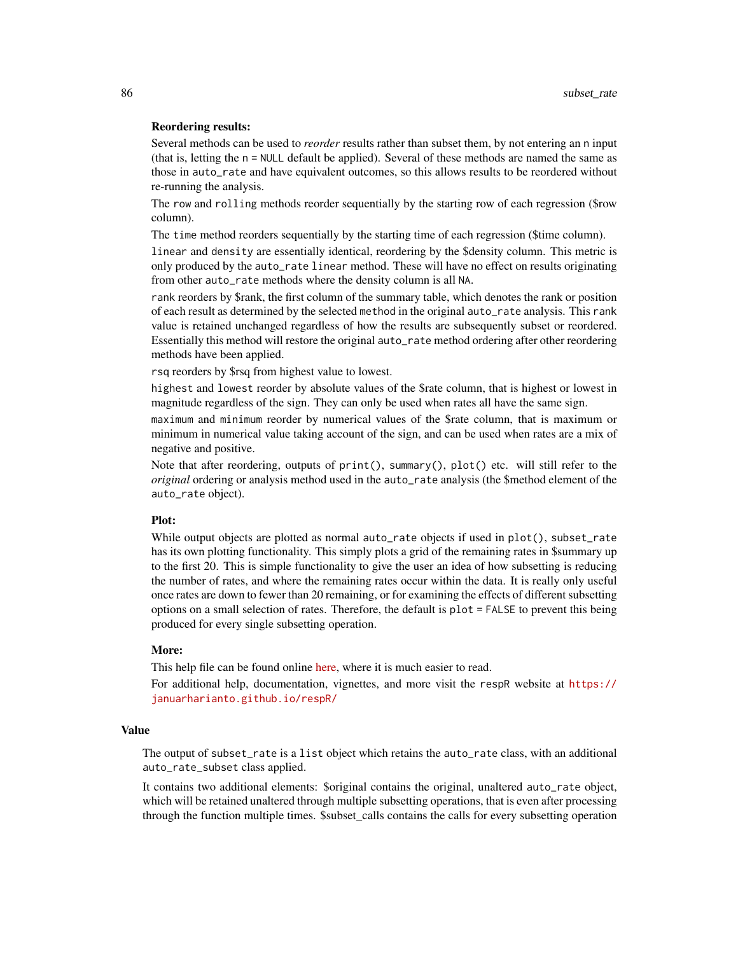#### Reordering results:

Several methods can be used to *reorder* results rather than subset them, by not entering an n input (that is, letting the n = NULL default be applied). Several of these methods are named the same as those in auto\_rate and have equivalent outcomes, so this allows results to be reordered without re-running the analysis.

The row and rolling methods reorder sequentially by the starting row of each regression (\$row column).

The time method reorders sequentially by the starting time of each regression (\$time column).

linear and density are essentially identical, reordering by the \$density column. This metric is only produced by the auto\_rate linear method. These will have no effect on results originating from other auto\_rate methods where the density column is all NA.

rank reorders by \$rank, the first column of the summary table, which denotes the rank or position of each result as determined by the selected method in the original auto\_rate analysis. This rank value is retained unchanged regardless of how the results are subsequently subset or reordered. Essentially this method will restore the original auto\_rate method ordering after other reordering methods have been applied.

rsq reorders by \$rsq from highest value to lowest.

highest and lowest reorder by absolute values of the \$rate column, that is highest or lowest in magnitude regardless of the sign. They can only be used when rates all have the same sign.

maximum and minimum reorder by numerical values of the \$rate column, that is maximum or minimum in numerical value taking account of the sign, and can be used when rates are a mix of negative and positive.

Note that after reordering, outputs of print(), summary(), plot() etc. will still refer to the *original* ordering or analysis method used in the auto\_rate analysis (the \$method element of the auto\_rate object).

# Plot:

While output objects are plotted as normal auto\_rate objects if used in plot(), subset\_rate has its own plotting functionality. This simply plots a grid of the remaining rates in \$summary up to the first 20. This is simple functionality to give the user an idea of how subsetting is reducing the number of rates, and where the remaining rates occur within the data. It is really only useful once rates are down to fewer than 20 remaining, or for examining the effects of different subsetting options on a small selection of rates. Therefore, the default is plot = FALSE to prevent this being produced for every single subsetting operation.

# More:

This help file can be found online [here,](https://januarharianto.github.io/respR/reference/subset_rate.html) where it is much easier to read.

For additional help, documentation, vignettes, and more visit the respR website at [https://](https://januarharianto.github.io/respR/) [januarharianto.github.io/respR/](https://januarharianto.github.io/respR/)

#### Value

The output of subset\_rate is a list object which retains the auto\_rate class, with an additional auto\_rate\_subset class applied.

It contains two additional elements: \$original contains the original, unaltered auto\_rate object, which will be retained unaltered through multiple subsetting operations, that is even after processing through the function multiple times. \$subset\_calls contains the calls for every subsetting operation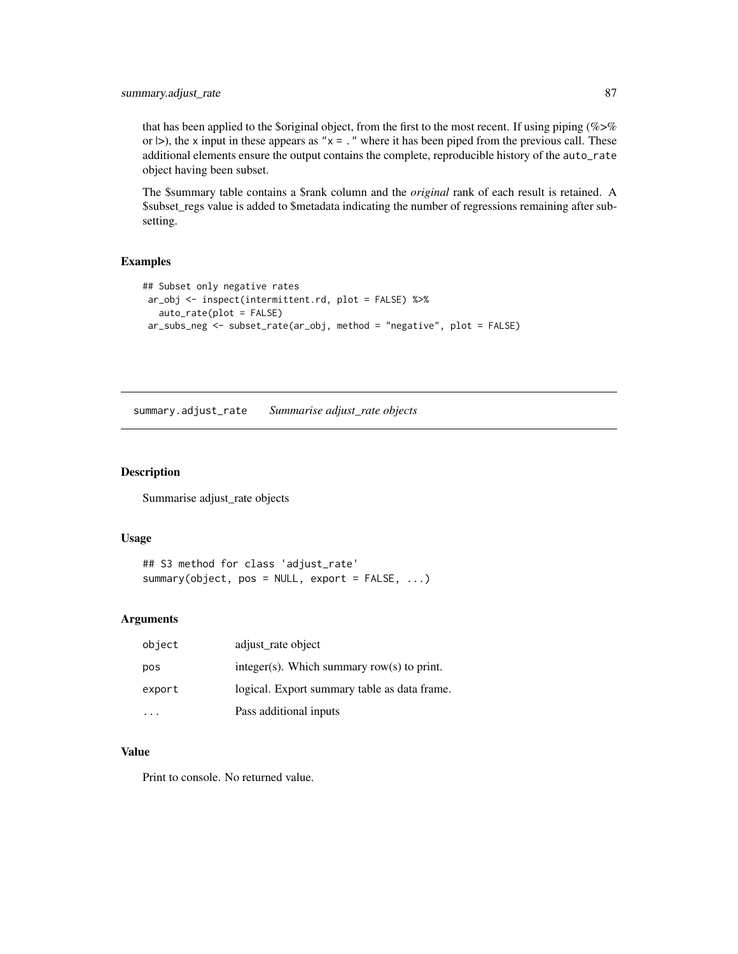# <span id="page-86-0"></span>summary.adjust\_rate 87

that has been applied to the \$original object, from the first to the most recent. If using piping (%>% or  $|>$ ), the x input in these appears as " $x =$ ." where it has been piped from the previous call. These additional elements ensure the output contains the complete, reproducible history of the auto\_rate object having been subset.

The \$summary table contains a \$rank column and the *original* rank of each result is retained. A \$subset\_regs value is added to \$metadata indicating the number of regressions remaining after subsetting.

# Examples

```
## Subset only negative rates
ar_obj <- inspect(intermittent.rd, plot = FALSE) %>%
  auto_rate(plot = FALSE)
ar_subs_neg <- subset_rate(ar_obj, method = "negative", plot = FALSE)
```
summary.adjust\_rate *Summarise adjust\_rate objects*

#### Description

Summarise adjust\_rate objects

# Usage

```
## S3 method for class 'adjust_rate'
summary(object, pos = NULL, export = FALSE, ...)
```
#### Arguments

| object | adjust_rate object                           |
|--------|----------------------------------------------|
| pos    | integer(s). Which summary row(s) to print.   |
| export | logical. Export summary table as data frame. |
|        | Pass additional inputs                       |

# Value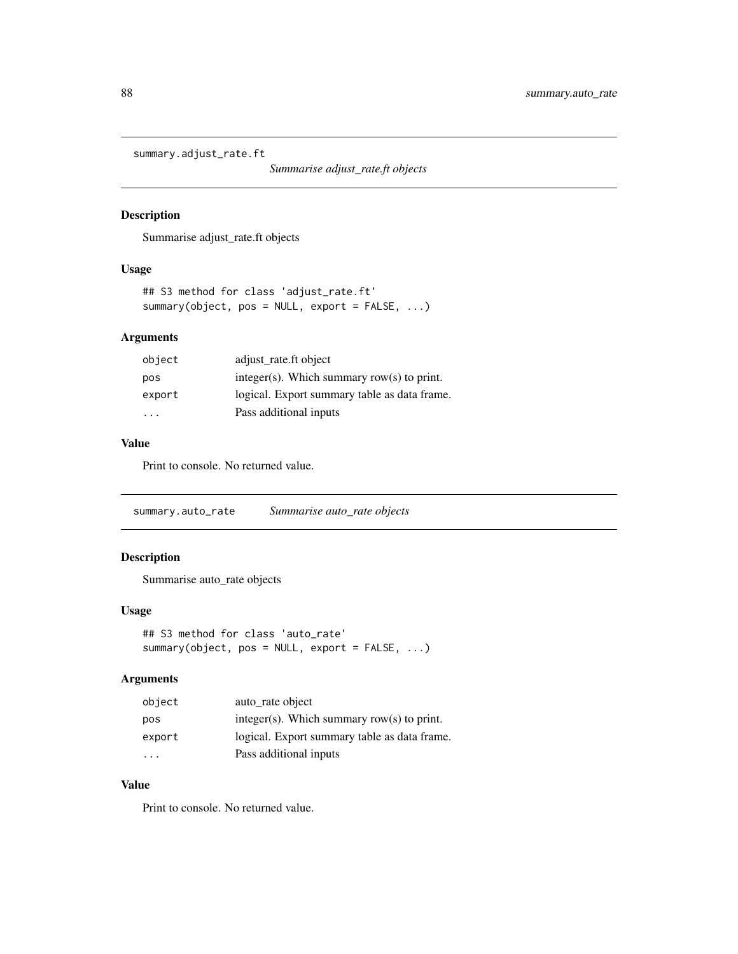<span id="page-87-0"></span>summary.adjust\_rate.ft

*Summarise adjust\_rate.ft objects*

# Description

Summarise adjust\_rate.ft objects

# Usage

```
## S3 method for class 'adjust_rate.ft'
summary(object, pos = NULL, export = FALSE, ...)
```
# Arguments

| object | adjust_rate.ft object                         |
|--------|-----------------------------------------------|
| pos    | $integer(s)$ . Which summary row(s) to print. |
| export | logical. Export summary table as data frame.  |
| .      | Pass additional inputs                        |
|        |                                               |

# Value

Print to console. No returned value.

summary.auto\_rate *Summarise auto\_rate objects*

# Description

Summarise auto\_rate objects

#### Usage

```
## S3 method for class 'auto_rate'
summary(object, pos = NULL, export = FALSE, ...)
```
#### Arguments

| object | auto rate object                             |
|--------|----------------------------------------------|
| pos    | integer(s). Which summary row(s) to print.   |
| export | logical. Export summary table as data frame. |
| .      | Pass additional inputs                       |

# Value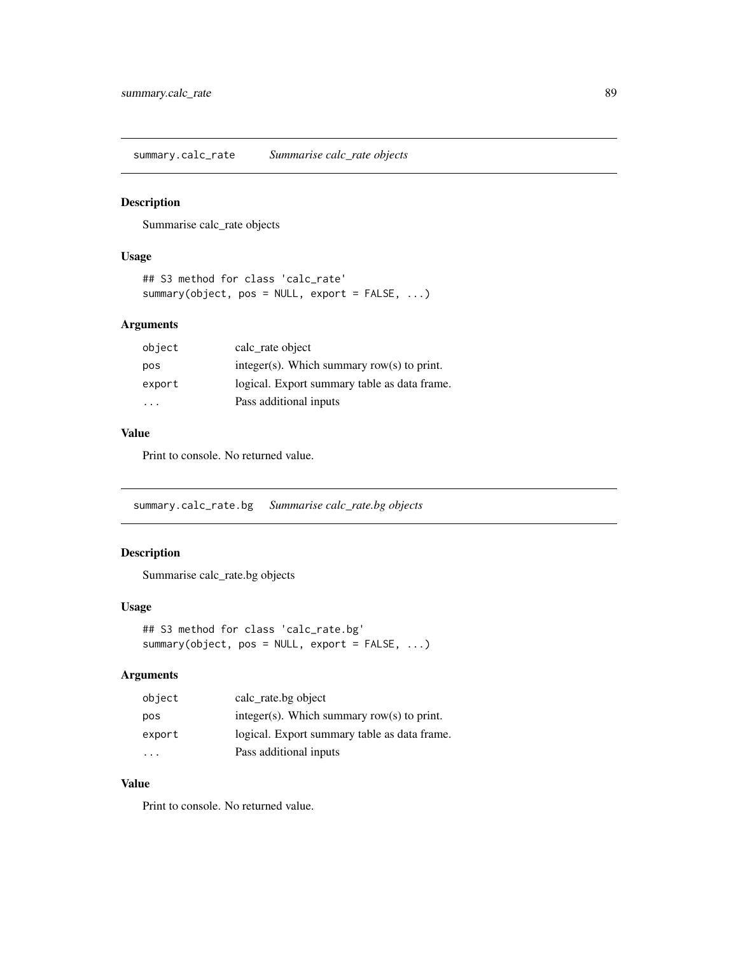<span id="page-88-0"></span>summary.calc\_rate *Summarise calc\_rate objects*

# Description

Summarise calc\_rate objects

#### Usage

```
## S3 method for class 'calc_rate'
summary(object, pos = NULL, export = FALSE, ...)
```
# Arguments

| object | calc_rate object                              |
|--------|-----------------------------------------------|
| pos    | $integer(s)$ . Which summary row(s) to print. |
| export | logical. Export summary table as data frame.  |
| .      | Pass additional inputs                        |

# Value

Print to console. No returned value.

summary.calc\_rate.bg *Summarise calc\_rate.bg objects*

# Description

Summarise calc\_rate.bg objects

#### Usage

```
## S3 method for class 'calc_rate.bg'
summary(object, pos = NULL, export = FALSE, ...)
```
# Arguments

| object | calc rate bg object                          |
|--------|----------------------------------------------|
| pos    | integer(s). Which summary row(s) to print.   |
| export | logical. Export summary table as data frame. |
| .      | Pass additional inputs                       |

# Value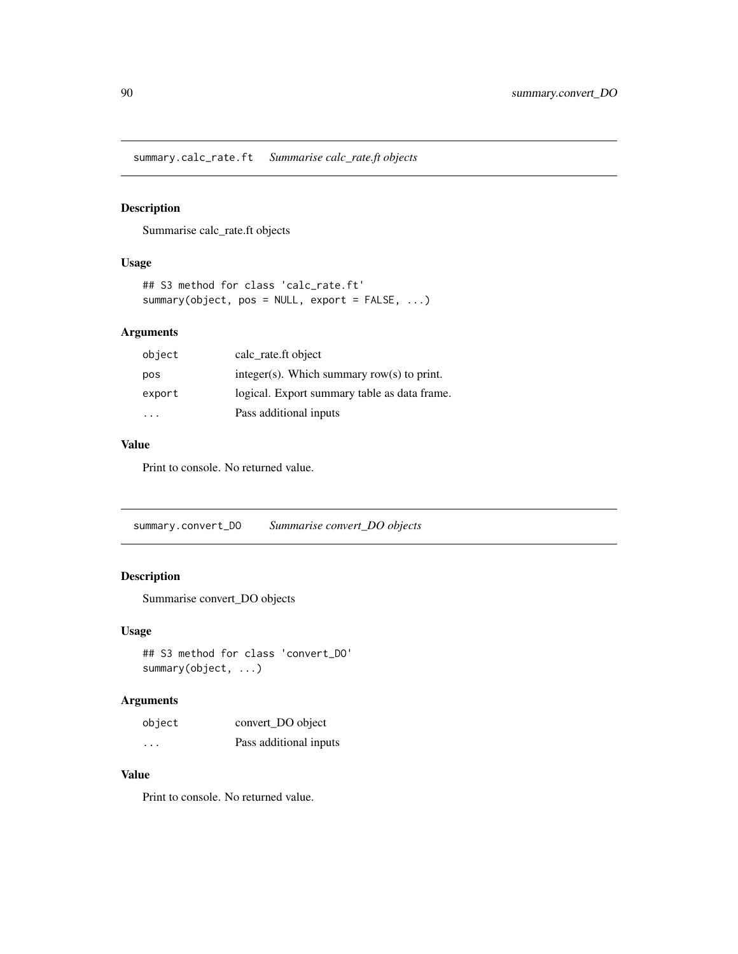<span id="page-89-0"></span>summary.calc\_rate.ft *Summarise calc\_rate.ft objects*

# Description

Summarise calc\_rate.ft objects

# Usage

```
## S3 method for class 'calc_rate.ft'
summary(object, pos = NULL, export = FALSE, ...)
```
# Arguments

| object | calc_rate.ft object                           |
|--------|-----------------------------------------------|
| pos    | $integer(s)$ . Which summary row(s) to print. |
| export | logical. Export summary table as data frame.  |
| .      | Pass additional inputs                        |

# Value

Print to console. No returned value.

summary.convert\_DO *Summarise convert\_DO objects*

# Description

Summarise convert\_DO objects

# Usage

```
## S3 method for class 'convert_DO'
summary(object, ...)
```
# Arguments

| object  | convert_DO object      |
|---------|------------------------|
| $\cdot$ | Pass additional inputs |

# Value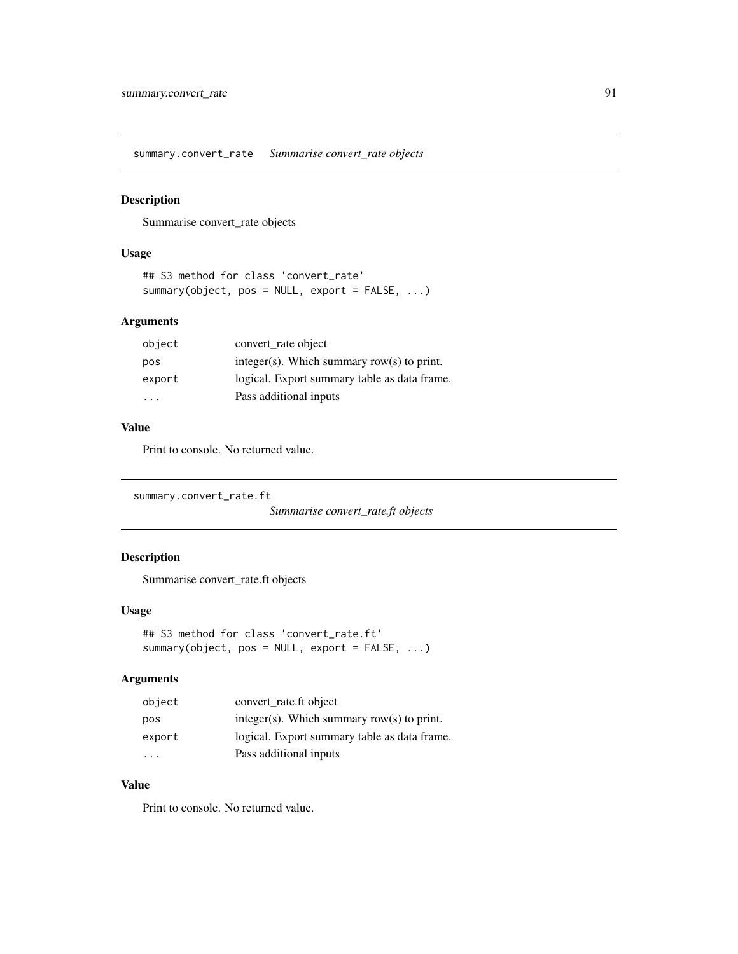<span id="page-90-0"></span>summary.convert\_rate *Summarise convert\_rate objects*

# Description

Summarise convert\_rate objects

# Usage

```
## S3 method for class 'convert_rate'
summary(object, pos = NULL, export = FALSE, ...)
```
# Arguments

| object | convert_rate object                          |
|--------|----------------------------------------------|
| pos    | integer(s). Which summary row(s) to print.   |
| export | logical. Export summary table as data frame. |
| .      | Pass additional inputs                       |

# Value

Print to console. No returned value.

summary.convert\_rate.ft

*Summarise convert\_rate.ft objects*

# Description

Summarise convert\_rate.ft objects

#### Usage

```
## S3 method for class 'convert_rate.ft'
summary(object, pos = NULL, export = FALSE, ...)
```
# Arguments

| object | convert_rate.ft object                        |
|--------|-----------------------------------------------|
| pos    | $integer(s)$ . Which summary row(s) to print. |
| export | logical. Export summary table as data frame.  |
| .      | Pass additional inputs                        |

# Value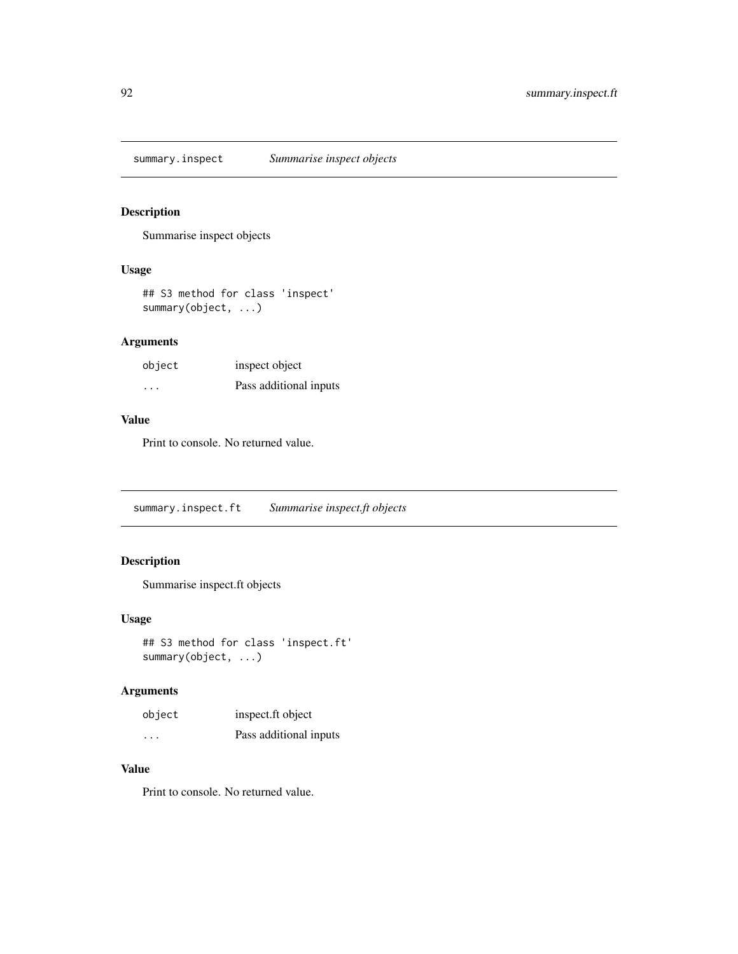<span id="page-91-0"></span>summary.inspect *Summarise inspect objects*

# Description

Summarise inspect objects

# Usage

## S3 method for class 'inspect' summary(object, ...)

# Arguments

| object | inspect object         |
|--------|------------------------|
| .      | Pass additional inputs |

#### Value

Print to console. No returned value.

summary.inspect.ft *Summarise inspect.ft objects*

# Description

Summarise inspect.ft objects

# Usage

```
## S3 method for class 'inspect.ft'
summary(object, ...)
```
# Arguments

| object  | inspect.ft object      |
|---------|------------------------|
| $\cdot$ | Pass additional inputs |

# Value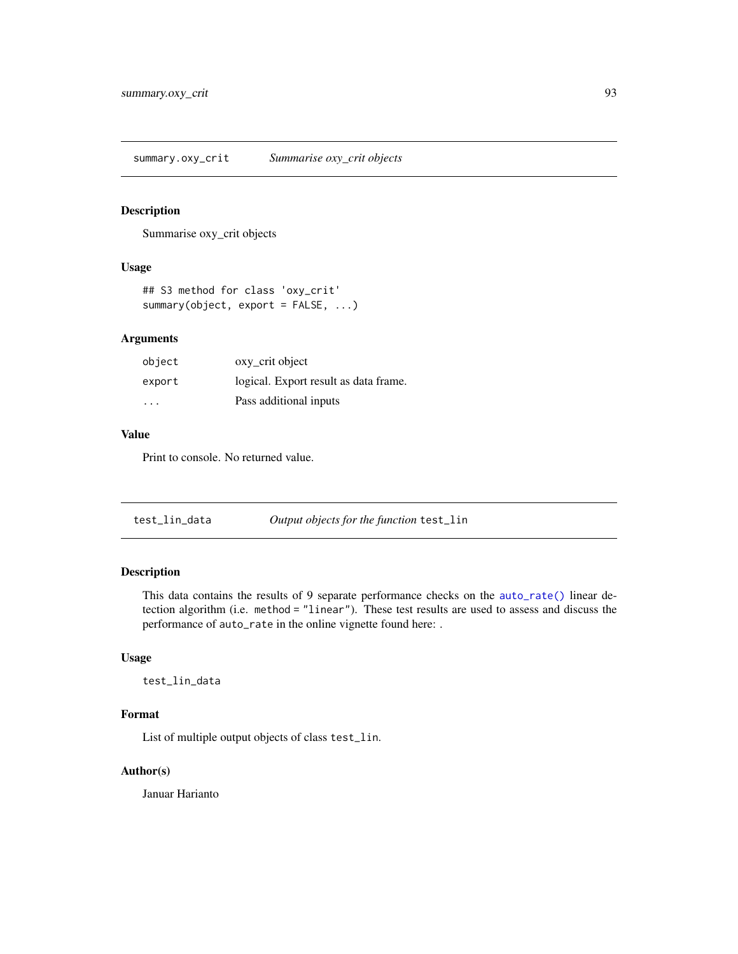<span id="page-92-0"></span>summary.oxy\_crit *Summarise oxy\_crit objects*

#### Description

Summarise oxy\_crit objects

# Usage

```
## S3 method for class 'oxy_crit'
summary(object, export = FALSE, ...)
```
# Arguments

| object | oxy_crit object                       |
|--------|---------------------------------------|
| export | logical. Export result as data frame. |
| .      | Pass additional inputs                |

# Value

Print to console. No returned value.

| test_lin_data | Output objects for the function test_lin |
|---------------|------------------------------------------|
|---------------|------------------------------------------|

# Description

This data contains the results of 9 separate performance checks on the [auto\\_rate\(\)](#page-11-0) linear detection algorithm (i.e. method = "linear"). These test results are used to assess and discuss the performance of auto\_rate in the online vignette found here: .

### Usage

test\_lin\_data

#### Format

List of multiple output objects of class test\_lin.

# Author(s)

Januar Harianto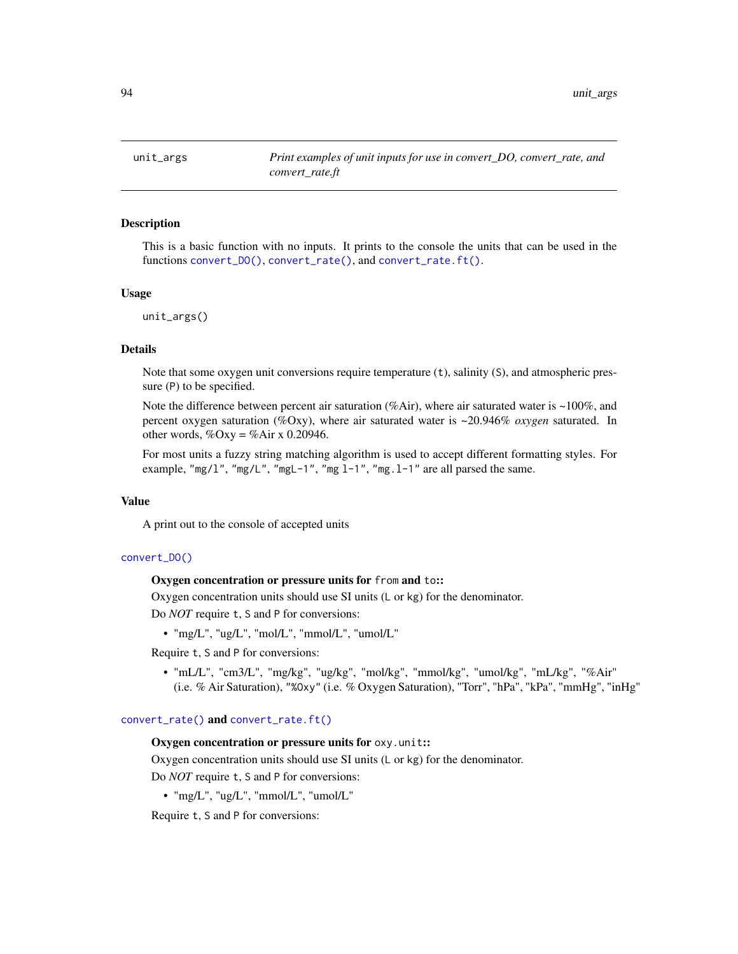<span id="page-93-0"></span>

#### Description

This is a basic function with no inputs. It prints to the console the units that can be used in the functions [convert\\_DO\(\)](#page-25-0), [convert\\_rate\(\)](#page-27-0), and [convert\\_rate.ft\(\)](#page-30-0).

#### Usage

unit\_args()

#### Details

Note that some oxygen unit conversions require temperature (t), salinity (S), and atmospheric pressure (P) to be specified.

Note the difference between percent air saturation (%Air), where air saturated water is  $\sim$ 100%, and percent oxygen saturation (%Oxy), where air saturated water is ~20.946% *oxygen* saturated. In other words,  $\%$ Oxy =  $\%$ Air x 0.20946.

For most units a fuzzy string matching algorithm is used to accept different formatting styles. For example, "mg/l", "mg/L", "mgL-1", "mg  $1-1$ ", "mg. $1-1$ " are all parsed the same.

#### Value

A print out to the console of accepted units

#### [convert\\_DO\(\)](#page-25-0)

#### Oxygen concentration or pressure units for from and to::

Oxygen concentration units should use SI units (L or kg) for the denominator.

Do *NOT* require t, S and P for conversions:

• "mg/L", "ug/L", "mol/L", "mmol/L", "umol/L"

Require t, S and P for conversions:

• "mL/L", "cm3/L", "mg/kg", "ug/kg", "mol/kg", "mmol/kg", "umol/kg", "mL/kg", "%Air" (i.e. % Air Saturation), "%Oxy" (i.e. % Oxygen Saturation), "Torr", "hPa", "kPa", "mmHg", "inHg"

#### [convert\\_rate\(\)](#page-27-0) and [convert\\_rate.ft\(\)](#page-30-0)

#### Oxygen concentration or pressure units for oxy.unit::

Oxygen concentration units should use SI units (L or kg) for the denominator.

Do *NOT* require t, S and P for conversions:

• "mg/L", "ug/L", "mmol/L", "umol/L"

Require t, S and P for conversions: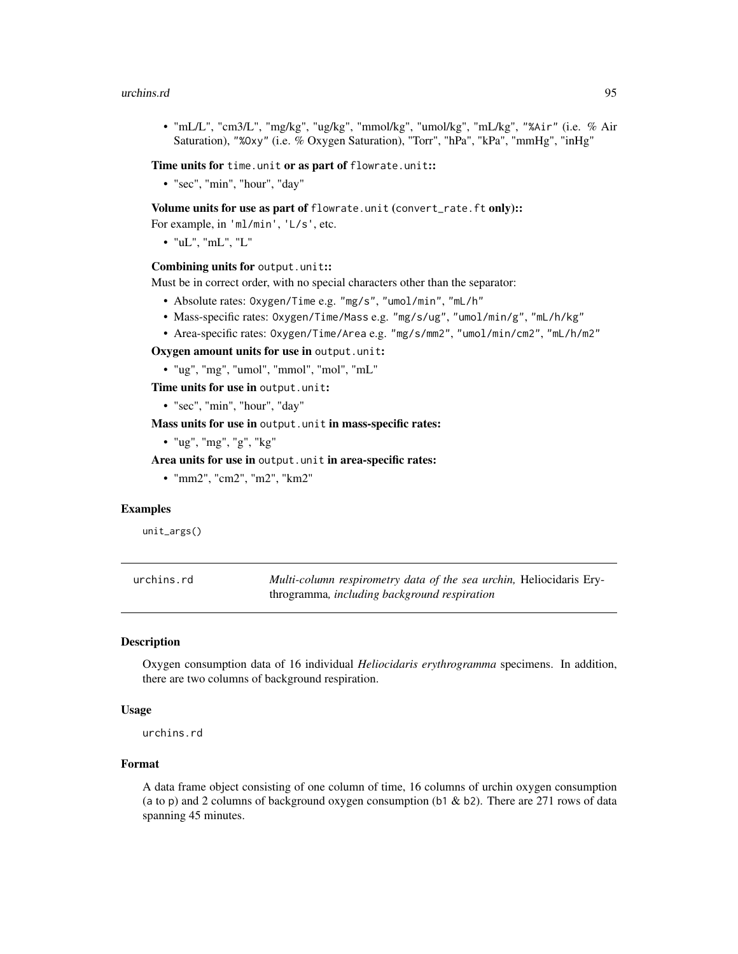#### <span id="page-94-0"></span>urchins.rd 95

• "mL/L", "cm3/L", "mg/kg", "ug/kg", "mmol/kg", "umol/kg", "mL/kg", "%Air" (i.e. % Air Saturation), "%Oxy" (i.e. % Oxygen Saturation), "Torr", "hPa", "kPa", "mmHg", "inHg"

Time units for time.unit or as part of flowrate.unit::

• "sec", "min", "hour", "day"

Volume units for use as part of flowrate.unit (convert\_rate.ft only)::

For example, in 'ml/min', 'L/s', etc.

• "uL", "mL", "L"

#### Combining units for output.unit::

Must be in correct order, with no special characters other than the separator:

- Absolute rates: Oxygen/Time e.g. "mg/s", "umol/min", "mL/h"
- Mass-specific rates: Oxygen/Time/Mass e.g. "mg/s/ug", "umol/min/g", "mL/h/kg"
- Area-specific rates: Oxygen/Time/Area e.g. "mg/s/mm2", "umol/min/cm2", "mL/h/m2"

Oxygen amount units for use in output.unit:

• "ug", "mg", "umol", "mmol", "mol", "mL"

Time units for use in output.unit:

• "sec", "min", "hour", "day"

Mass units for use in output.unit in mass-specific rates:

• "ug", "mg", "g", "kg"

Area units for use in output.unit in area-specific rates:

• "mm2", "cm2", "m2", "km2"

#### Examples

unit\_args()

| urchins.rd | Multi-column respirometry data of the sea urchin, Heliocidaris Ery- |
|------------|---------------------------------------------------------------------|
|            | throgramma, including background respiration                        |

### **Description**

Oxygen consumption data of 16 individual *Heliocidaris erythrogramma* specimens. In addition, there are two columns of background respiration.

#### Usage

urchins.rd

# Format

A data frame object consisting of one column of time, 16 columns of urchin oxygen consumption (a to p) and 2 columns of background oxygen consumption (b1 & b2). There are 271 rows of data spanning 45 minutes.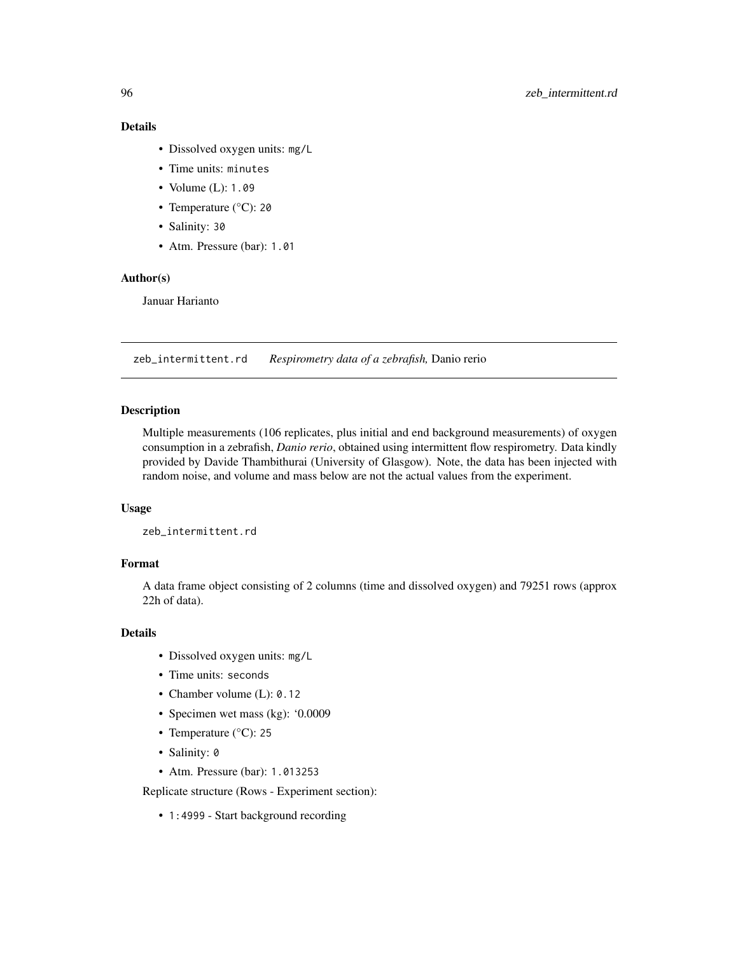# Details

- Dissolved oxygen units: mg/L
- Time units: minutes
- Volume (L): 1.09
- Temperature (°C): 20
- Salinity: 30
- Atm. Pressure (bar): 1.01

# Author(s)

Januar Harianto

zeb\_intermittent.rd *Respirometry data of a zebrafish,* Danio rerio

#### Description

Multiple measurements (106 replicates, plus initial and end background measurements) of oxygen consumption in a zebrafish, *Danio rerio*, obtained using intermittent flow respirometry. Data kindly provided by Davide Thambithurai (University of Glasgow). Note, the data has been injected with random noise, and volume and mass below are not the actual values from the experiment.

## Usage

zeb\_intermittent.rd

# Format

A data frame object consisting of 2 columns (time and dissolved oxygen) and 79251 rows (approx 22h of data).

#### Details

- Dissolved oxygen units: mg/L
- Time units: seconds
- Chamber volume (L): 0.12
- Specimen wet mass (kg): '0.0009
- Temperature (°C): 25
- Salinity: 0
- Atm. Pressure (bar): 1.013253

Replicate structure (Rows - Experiment section):

• 1:4999 - Start background recording

<span id="page-95-0"></span>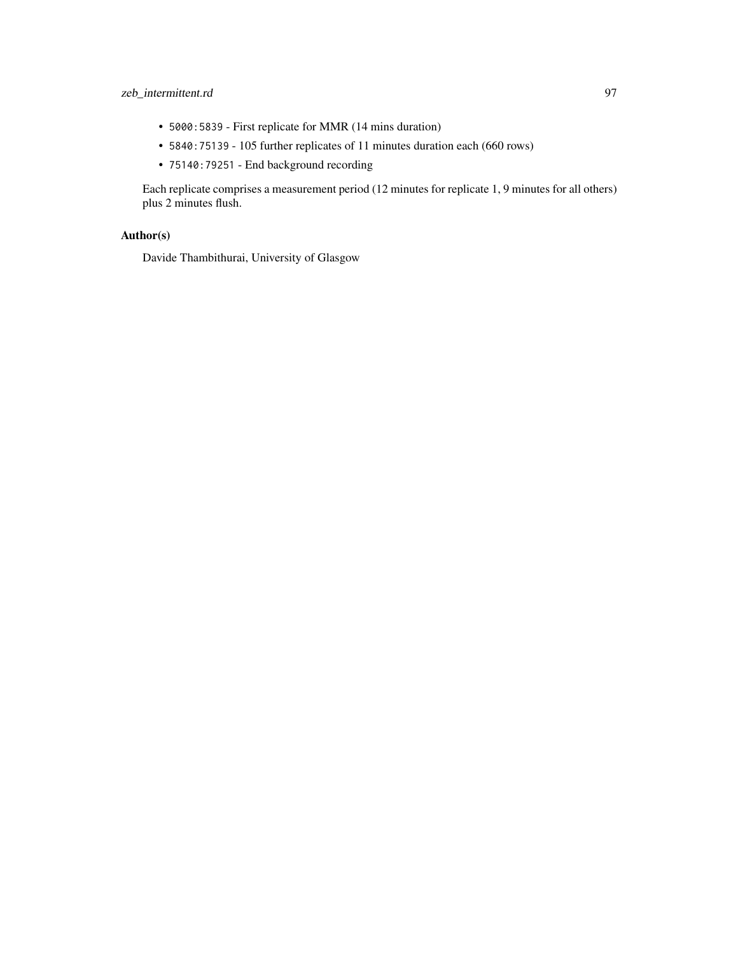# zeb\_intermittent.rd 97

- 5000:5839 First replicate for MMR (14 mins duration)
- 5840:75139 105 further replicates of 11 minutes duration each (660 rows)
- 75140:79251 End background recording

Each replicate comprises a measurement period (12 minutes for replicate 1, 9 minutes for all others) plus 2 minutes flush.

# Author(s)

Davide Thambithurai, University of Glasgow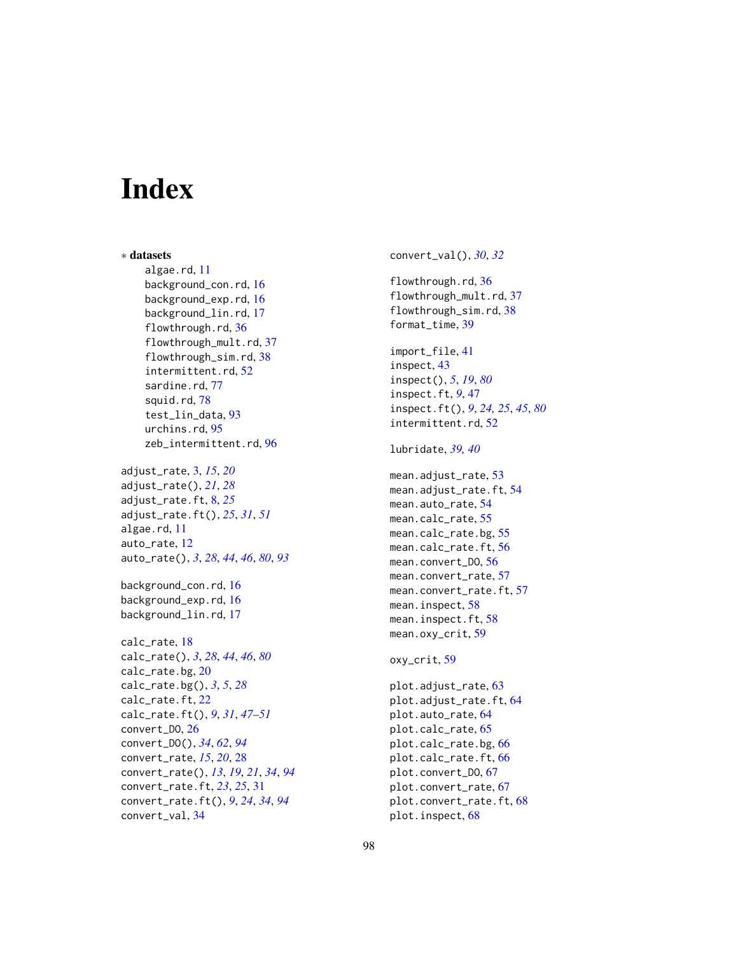# **Index**

∗ datasets algae.rd, [11](#page-10-0) background\_con.rd, [16](#page-15-0) background\_exp.rd, [16](#page-15-0) background\_lin.rd, [17](#page-16-0) flowthrough.rd, [36](#page-35-0) flowthrough\_mult.rd, [37](#page-36-0) flowthrough\_sim.rd, [38](#page-37-0) intermittent.rd, [52](#page-51-0) sardine.rd. [77](#page-76-0) squid.rd, [78](#page-77-0) test\_lin\_data, [93](#page-92-0) urchins.rd, [95](#page-94-0) zeb\_intermittent.rd, [96](#page-95-0) adjust\_rate, [3,](#page-2-0) *[15](#page-14-0)*, *[20](#page-19-0)* adjust\_rate(), *[21](#page-20-0)*, *[28](#page-27-1)* adjust\_rate.ft, [8,](#page-7-0) *[25](#page-24-0)* adjust\_rate.ft(), *[25](#page-24-0)*, *[31](#page-30-1)*, *[51](#page-50-0)* algae.rd, [11](#page-10-0) auto\_rate, [12](#page-11-1) auto\_rate(), *[3](#page-2-0)*, *[28](#page-27-1)*, *[44](#page-43-0)*, *[46](#page-45-0)*, *[80](#page-79-1)*, *[93](#page-92-0)* background\_con.rd, [16](#page-15-0) background\_exp.rd, [16](#page-15-0) background\_lin.rd, [17](#page-16-0) calc\_rate, [18](#page-17-1) calc\_rate(), *[3](#page-2-0)*, *[28](#page-27-1)*, *[44](#page-43-0)*, *[46](#page-45-0)*, *[80](#page-79-1)* calc\_rate.bg, [20](#page-19-0) calc\_rate.bg(), *[3](#page-2-0)*, *[5](#page-4-0)*, *[28](#page-27-1)* calc\_rate.ft, [22](#page-21-0) calc\_rate.ft(), *[9](#page-8-0)*, *[31](#page-30-1)*, *[47–](#page-46-1)[51](#page-50-0)* convert\_DO, [26](#page-25-1) convert\_DO(), *[34](#page-33-0)*, *[62](#page-61-0)*, *[94](#page-93-0)* convert\_rate, *[15](#page-14-0)*, *[20](#page-19-0)*, [28](#page-27-1) convert\_rate(), *[13](#page-12-0)*, *[19](#page-18-0)*, *[21](#page-20-0)*, *[34](#page-33-0)*, *[94](#page-93-0)* convert\_rate.ft, *[23](#page-22-0)*, *[25](#page-24-0)*, [31](#page-30-1) convert\_rate.ft(), *[9](#page-8-0)*, *[24](#page-23-0)*, *[34](#page-33-0)*, *[94](#page-93-0)* convert\_val, [34](#page-33-0)

convert\_val(), *[30](#page-29-0)*, *[32](#page-31-0)* flowthrough.rd, [36](#page-35-0) flowthrough\_mult.rd, [37](#page-36-0) flowthrough\_sim.rd, [38](#page-37-0) format\_time, [39](#page-38-0) import\_file, [41](#page-40-0) inspect, [43](#page-42-1) inspect(), *[5](#page-4-0)*, *[19](#page-18-0)*, *[80](#page-79-1)* inspect.ft, *[9](#page-8-0)*, [47](#page-46-1) inspect.ft(), *[9](#page-8-0)*, *[24,](#page-23-0) [25](#page-24-0)*, *[45](#page-44-0)*, *[80](#page-79-1)* intermittent.rd, [52](#page-51-0) lubridate, *[39,](#page-38-0) [40](#page-39-0)* mean.adjust\_rate, [53](#page-52-0) mean.adjust\_rate.ft, [54](#page-53-0) mean.auto\_rate, [54](#page-53-0) mean.calc\_rate, [55](#page-54-0) mean.calc\_rate.bg, [55](#page-54-0) mean.calc\_rate.ft, [56](#page-55-0) mean.convert\_DO, [56](#page-55-0) mean.convert\_rate, [57](#page-56-0) mean.convert\_rate.ft, [57](#page-56-0) mean.inspect, [58](#page-57-0) mean.inspect.ft, [58](#page-57-0) mean.oxy\_crit, [59](#page-58-0) oxy\_crit, [59](#page-58-0) plot.adjust\_rate, [63](#page-62-0) plot.adjust\_rate.ft, [64](#page-63-0) plot.auto\_rate, [64](#page-63-0) plot.calc\_rate, [65](#page-64-0) plot.calc\_rate.bg, [66](#page-65-0) plot.calc\_rate.ft, [66](#page-65-0) plot.convert\_DO, [67](#page-66-0) plot.convert\_rate, [67](#page-66-0) plot.convert\_rate.ft, [68](#page-67-0)

plot.inspect, [68](#page-67-0)